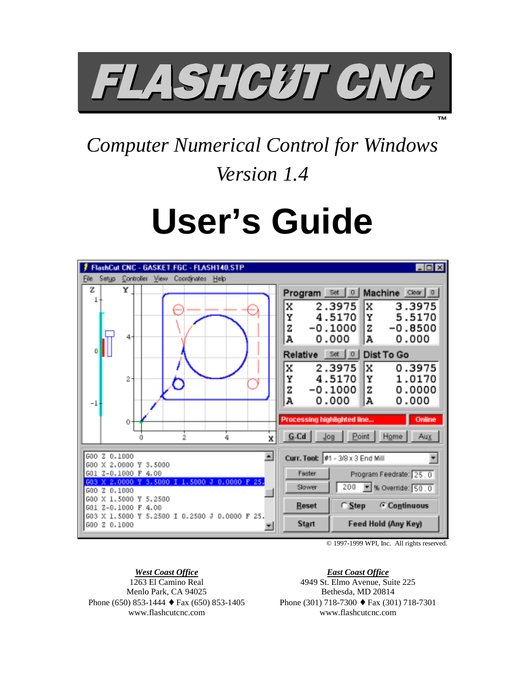

*Computer Numerical Control for Windows Version 1.4*

# **User's Guide**



© 1997-1999 WPI, Inc. All rights reserved.

**™**

# *West Coast Office*

1263 El Camino Real Menlo Park, CA 94025 Phone (650) 853-1444  $\bullet$  Fax (650) 853-1405 www.flashcutcnc.com

*East Coast Office* 4949 St. Elmo Avenue, Suite 225 Bethesda, MD 20814 Phone (301) 718-7300 ♦ Fax (301) 718-7301 www.flashcutcnc.com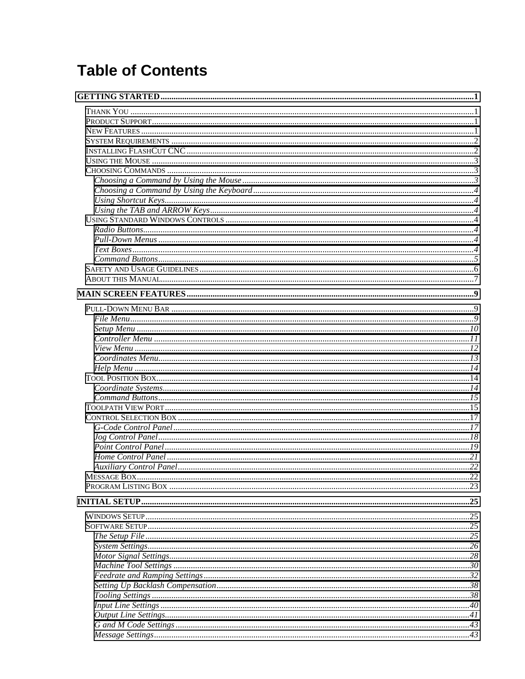# **Table of Contents**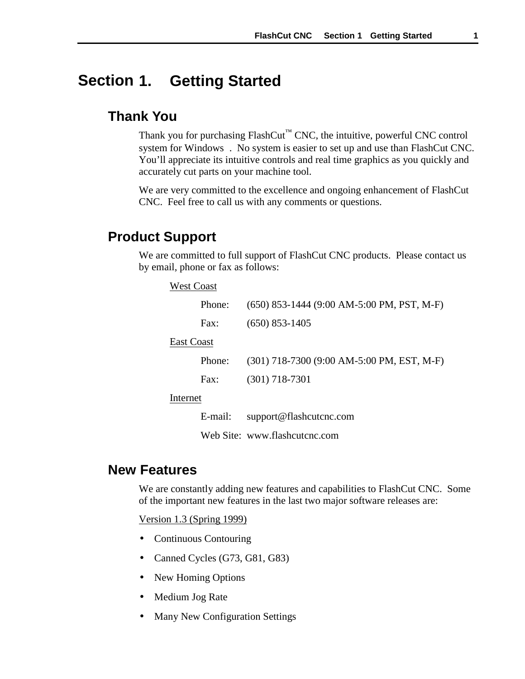#### <span id="page-4-0"></span>**1. Getting Started Section**

# **Thank You**

Thank you for purchasing  $FlashCut^{m}$  CNC, the intuitive, powerful CNC control system for Windows<sup>®</sup>. No system is easier to set up and use than FlashCut CNC. You'll appreciate its intuitive controls and real time graphics as you quickly and accurately cut parts on your machine tool.

We are very committed to the excellence and ongoing enhancement of FlashCut CNC. Feel free to call us with any comments or questions.

# **Product Support**

We are committed to full support of FlashCut CNC products. Please contact us by email, phone or fax as follows:

| <b>West Coast</b> |         |                                                |
|-------------------|---------|------------------------------------------------|
|                   | Phone:  | $(650)$ 853-1444 $(9:00$ AM-5:00 PM, PST, M-F) |
|                   | Fax:    | $(650)$ 853-1405                               |
| East Coast        |         |                                                |
|                   | Phone:  | $(301)$ 718-7300 $(9:00$ AM-5:00 PM, EST, M-F) |
|                   | Fax:    | $(301)$ 718-7301                               |
| Internet          |         |                                                |
|                   | E-mail: | support@flashcutcnc.com                        |

Web Site: www.flashcutcnc.com

# **New Features**

We are constantly adding new features and capabilities to FlashCut CNC. Some of the important new features in the last two major software releases are:

Version 1.3 (Spring 1999)

- Continuous Contouring
- Canned Cycles (G73, G81, G83)
- New Homing Options
- Medium Jog Rate
- Many New Configuration Settings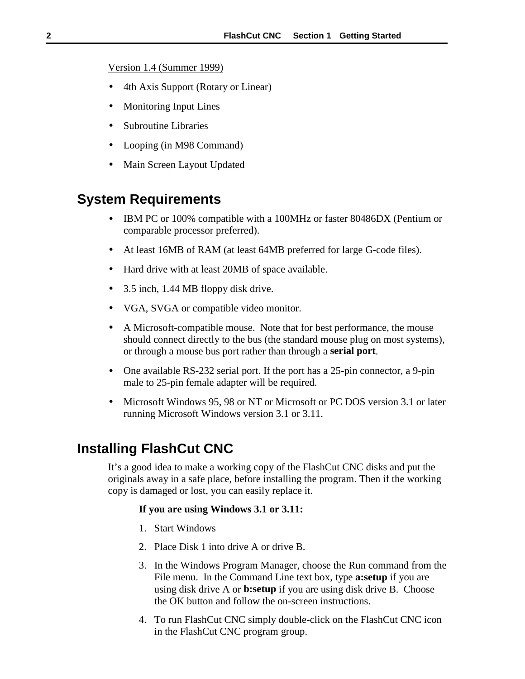<span id="page-5-0"></span>Version 1.4 (Summer 1999)

- 4th Axis Support (Rotary or Linear)
- Monitoring Input Lines
- Subroutine Libraries
- Looping (in M98 Command)
- Main Screen Layout Updated

# **System Requirements**

- IBM PC or 100% compatible with a 100MHz or faster 80486DX (Pentium or comparable processor preferred).
- At least 16MB of RAM (at least 64MB preferred for large G-code files).
- Hard drive with at least 20MB of space available.
- 3.5 inch, 1.44 MB floppy disk drive.
- VGA, SVGA or compatible video monitor.
- A Microsoft-compatible mouse. Note that for best performance, the mouse should connect directly to the bus (the standard mouse plug on most systems), or through a mouse bus port rather than through a **serial port**.
- One available RS-232 serial port. If the port has a 25-pin connector, a 9-pin male to 25-pin female adapter will be required.
- Microsoft Windows 95, 98 or NT or Microsoft or PC DOS version 3.1 or later running Microsoft Windows version 3.1 or 3.11.

# **Installing FlashCut CNC**

It's a good idea to make a working copy of the FlashCut CNC disks and put the originals away in a safe place, before installing the program. Then if the working copy is damaged or lost, you can easily replace it.

## **If you are using Windows 3.1 or 3.11:**

- 1. Start Windows
- 2. Place Disk 1 into drive A or drive B.
- 3. In the Windows Program Manager, choose the Run command from the File menu. In the Command Line text box, type **a:setup** if you are using disk drive A or **b:setup** if you are using disk drive B. Choose the OK button and follow the on-screen instructions.
- 4. To run FlashCut CNC simply double-click on the FlashCut CNC icon in the FlashCut CNC program group.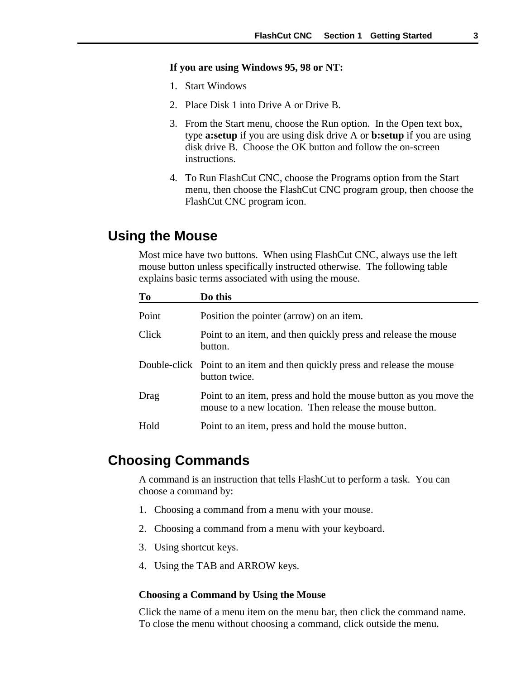#### <span id="page-6-0"></span>**If you are using Windows 95, 98 or NT:**

- 1. Start Windows
- 2. Place Disk 1 into Drive A or Drive B.
- 3. From the Start menu, choose the Run option. In the Open text box, type **a:setup** if you are using disk drive A or **b:setup** if you are using disk drive B. Choose the OK button and follow the on-screen instructions.
- 4. To Run FlashCut CNC, choose the Programs option from the Start menu, then choose the FlashCut CNC program group, then choose the FlashCut CNC program icon.

# **Using the Mouse**

Most mice have two buttons. When using FlashCut CNC, always use the left mouse button unless specifically instructed otherwise. The following table explains basic terms associated with using the mouse.

| To    | Do this                                                                                                                      |
|-------|------------------------------------------------------------------------------------------------------------------------------|
| Point | Position the pointer (arrow) on an item.                                                                                     |
| Click | Point to an item, and then quickly press and release the mouse<br>button.                                                    |
|       | Double-click Point to an item and then quickly press and release the mouse<br>button twice.                                  |
| Drag  | Point to an item, press and hold the mouse button as you move the<br>mouse to a new location. Then release the mouse button. |
| Hold  | Point to an item, press and hold the mouse button.                                                                           |

# **Choosing Commands**

A command is an instruction that tells FlashCut to perform a task. You can choose a command by:

- 1. Choosing a command from a menu with your mouse.
- 2. Choosing a command from a menu with your keyboard.
- 3. Using shortcut keys.
- 4. Using the TAB and ARROW keys.

#### **Choosing a Command by Using the Mouse**

Click the name of a menu item on the menu bar, then click the command name. To close the menu without choosing a command, click outside the menu.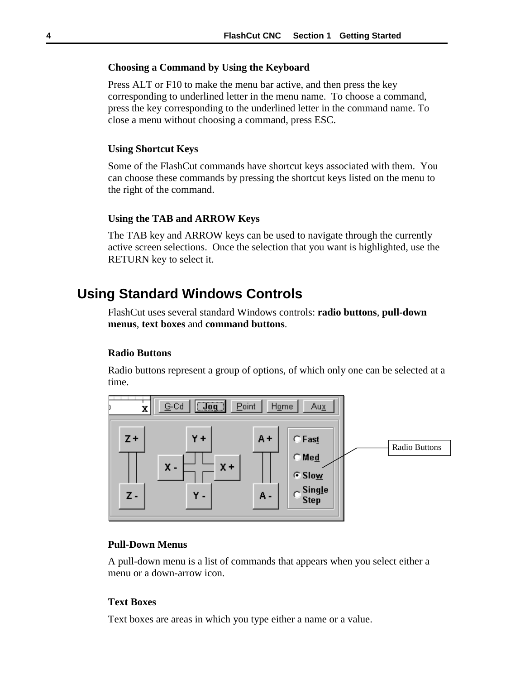#### <span id="page-7-0"></span>**Choosing a Command by Using the Keyboard**

Press ALT or F10 to make the menu bar active, and then press the key corresponding to underlined letter in the menu name. To choose a command, press the key corresponding to the underlined letter in the command name. To close a menu without choosing a command, press ESC.

### **Using Shortcut Keys**

Some of the FlashCut commands have shortcut keys associated with them. You can choose these commands by pressing the shortcut keys listed on the menu to the right of the command.

#### **Using the TAB and ARROW Keys**

The TAB key and ARROW keys can be used to navigate through the currently active screen selections. Once the selection that you want is highlighted, use the RETURN key to select it.

# **Using Standard Windows Controls**

FlashCut uses several standard Windows controls: **radio buttons**, **pull-down menus**, **text boxes** and **command buttons**.

## **Radio Buttons**

Radio buttons represent a group of options, of which only one can be selected at a time.



# **Pull-Down Menus**

A pull-down menu is a list of commands that appears when you select either a menu or a down-arrow icon.

#### **Text Boxes**

Text boxes are areas in which you type either a name or a value.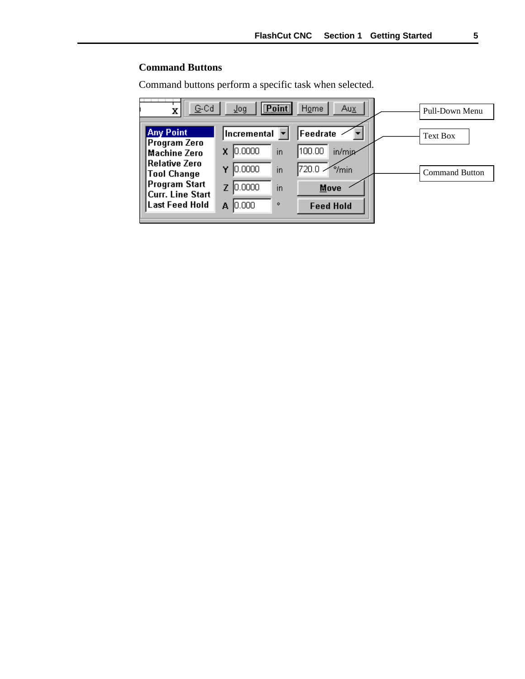# <span id="page-8-0"></span>**Command Buttons**

Command buttons perform a specific task when selected.

| G-Cd<br>х                           | <b>Point</b><br>$\sqrt{\log x}$ | Home<br>Aux               | Pull-Down Menu        |
|-------------------------------------|---------------------------------|---------------------------|-----------------------|
| <b>Any Point</b>                    | Incremental                     | Feedrate                  | <b>Text Box</b>       |
| Program Zero<br><b>Machine Zero</b> | 10,0000<br>in                   | 100.00<br>in/min          |                       |
| Relative Zero<br>Tool Change        | 0.0000 <br>in<br>Y              | 720.0.<br>$\gamma_{\min}$ | <b>Command Button</b> |
| Program Start <br>Curr. Line Start  | 0.0000 <br>in                   | Move                      |                       |
| Last Feed Hold                      | 10,000<br>۰<br>А                | <b>Feed Hold</b>          |                       |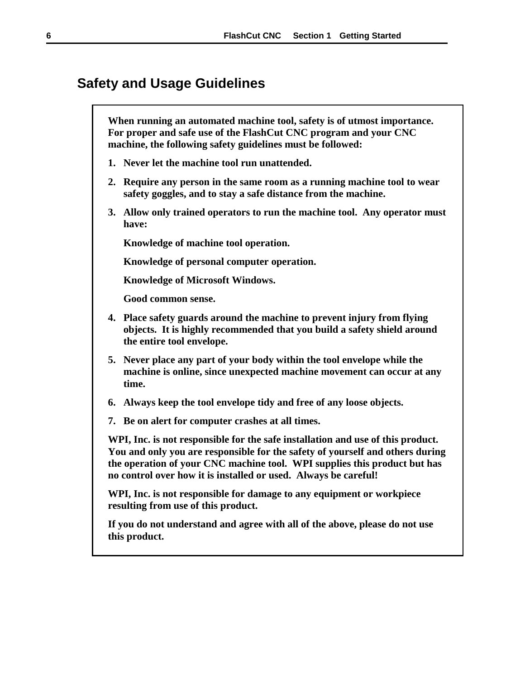# <span id="page-9-0"></span>**Safety and Usage Guidelines**

**When running an automated machine tool, safety is of utmost importance. For proper and safe use of the FlashCut CNC program and your CNC machine, the following safety guidelines must be followed:**

- **1. Never let the machine tool run unattended.**
- **2. Require any person in the same room as a running machine tool to wear safety goggles, and to stay a safe distance from the machine.**
- **3. Allow only trained operators to run the machine tool. Any operator must have:**

**Knowledge of machine tool operation.**

**Knowledge of personal computer operation.**

**Knowledge of Microsoft Windows.**

**Good common sense.**

- **4. Place safety guards around the machine to prevent injury from flying objects. It is highly recommended that you build a safety shield around the entire tool envelope.**
- **5. Never place any part of your body within the tool envelope while the machine is online, since unexpected machine movement can occur at any time.**
- **6. Always keep the tool envelope tidy and free of any loose objects.**
- **7. Be on alert for computer crashes at all times.**

**WPI, Inc. is not responsible for the safe installation and use of this product. You and only you are responsible for the safety of yourself and others during the operation of your CNC machine tool. WPI supplies this product but has no control over how it is installed or used. Always be careful!**

**WPI, Inc. is not responsible for damage to any equipment or workpiece resulting from use of this product.**

**If you do not understand and agree with all of the above, please do not use this product.**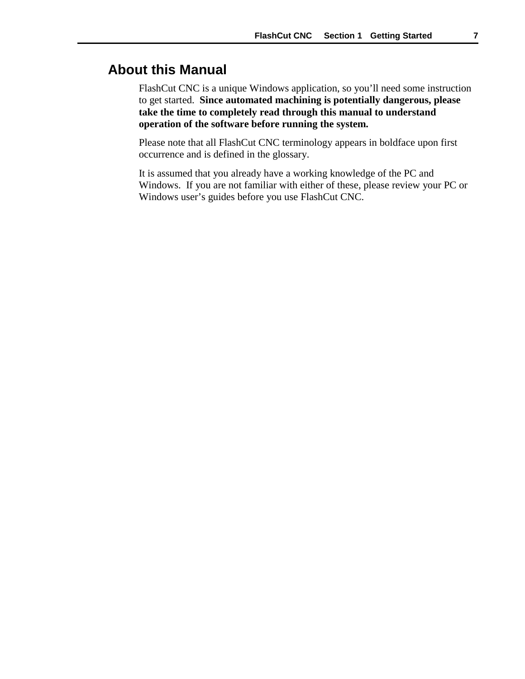# <span id="page-10-0"></span>**About this Manual**

FlashCut CNC is a unique Windows application, so you'll need some instruction to get started. **Since automated machining is potentially dangerous, please take the time to completely read through this manual to understand operation of the software before running the system.**

Please note that all FlashCut CNC terminology appears in boldface upon first occurrence and is defined in the glossary.

It is assumed that you already have a working knowledge of the PC and Windows. If you are not familiar with either of these, please review your PC or Windows user's guides before you use FlashCut CNC.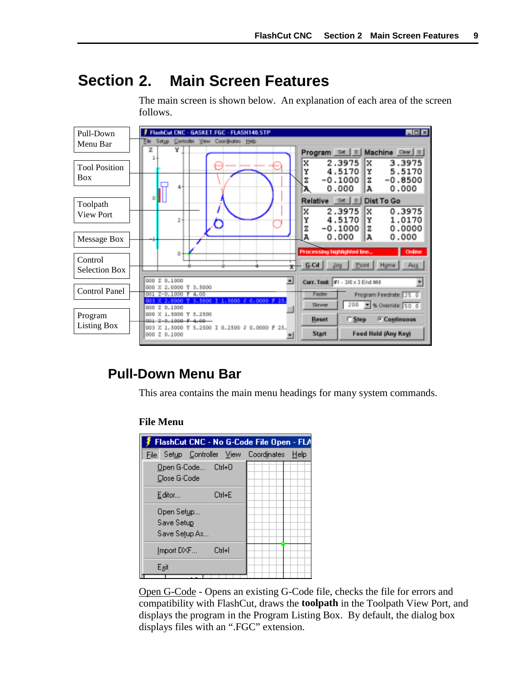#### <span id="page-12-0"></span>**2. Main Screen Features Section**

The main screen is shown below. An explanation of each area of the screen follows.



# **Pull-Down Menu Bar**

This area contains the main menu headings for many system commands.

## **File Menu**

|                                           |        |        | FlashCut CNC - No G-Code File Open - FLA |  |
|-------------------------------------------|--------|--------|------------------------------------------|--|
| File                                      |        |        | Setup Controller View Coordinates Help   |  |
| Open G-Code Ctrl+0<br>Close G-Code        |        |        |                                          |  |
| Editor                                    |        | Ctrl+E |                                          |  |
| Open Setup<br>Save Setup<br>Save Setup As |        |        |                                          |  |
| Import DXF                                | Ctrl+I |        |                                          |  |
| Exit                                      |        |        |                                          |  |

Open G-Code - Opens an existing G-Code file, checks the file for errors and compatibility with FlashCut, draws the **toolpath** in the Toolpath View Port, and displays the program in the Program Listing Box. By default, the dialog box displays files with an ".FGC" extension.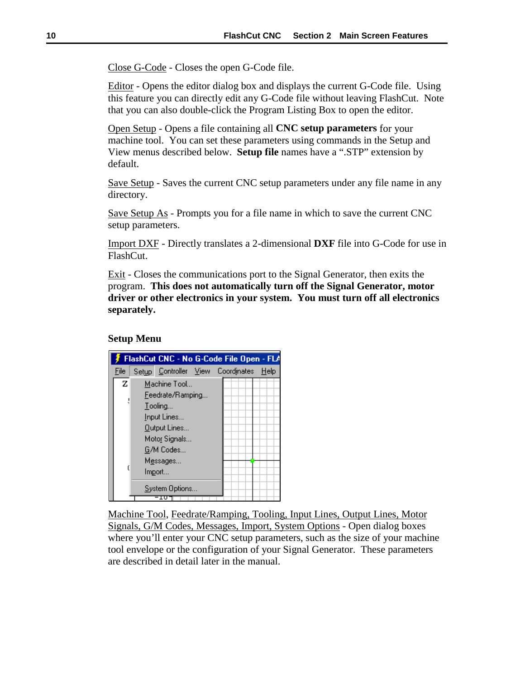<span id="page-13-0"></span>Close G-Code - Closes the open G-Code file.

Editor - Opens the editor dialog box and displays the current G-Code file. Using this feature you can directly edit any G-Code file without leaving FlashCut. Note that you can also double-click the Program Listing Box to open the editor.

Open Setup - Opens a file containing all **CNC setup parameters** for your machine tool. You can set these parameters using commands in the Setup and View menus described below. **Setup file** names have a ".STP" extension by default.

Save Setup - Saves the current CNC setup parameters under any file name in any directory.

Save Setup As - Prompts you for a file name in which to save the current CNC setup parameters.

Import DXF - Directly translates a 2-dimensional **DXF** file into G-Code for use in FlashCut.

Exit - Closes the communications port to the Signal Generator, then exits the program. **This does not automatically turn off the Signal Generator, motor driver or other electronics in your system. You must turn off all electronics separately.**

## **Setup Menu**



Machine Tool, Feedrate/Ramping, Tooling, Input Lines, Output Lines, Motor Signals, G/M Codes, Messages, Import, System Options - Open dialog boxes where you'll enter your CNC setup parameters, such as the size of your machine tool envelope or the configuration of your Signal Generator. These parameters are described in detail later in the manual.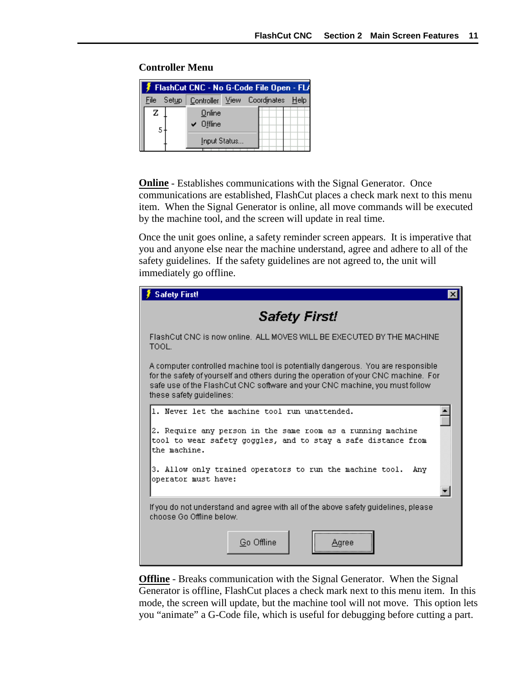|       |                     | FlashCut CNC - No G-Code File Open - FL/        |  |
|-------|---------------------|-------------------------------------------------|--|
| File: |                     | Set <u>u</u> p Controller View Coordinates Help |  |
| z     | Online<br>' Offline |                                                 |  |
|       | Input Status        |                                                 |  |

# <span id="page-14-0"></span>**Controller Menu**

**Online** - Establishes communications with the Signal Generator. Once communications are established, FlashCut places a check mark next to this menu item. When the Signal Generator is online, all move commands will be executed by the machine tool, and the screen will update in real time.

Once the unit goes online, a safety reminder screen appears. It is imperative that you and anyone else near the machine understand, agree and adhere to all of the safety guidelines. If the safety guidelines are not agreed to, the unit will immediately go offline.

| <b>Safety First!</b><br>x                                                                                                                                                                                                                                                           |
|-------------------------------------------------------------------------------------------------------------------------------------------------------------------------------------------------------------------------------------------------------------------------------------|
| <b>Safety First!</b>                                                                                                                                                                                                                                                                |
| FlashCut CNC is now online.  ALL MOVES WILL BE EXECUTED BY THE MACHINE<br>TOOL.                                                                                                                                                                                                     |
| A computer controlled machine tool is potentially dangerous. You are responsible<br>for the safety of yourself and others during the operation of your CNC machine. For<br>safe use of the FlashCut CNC software and your CNC machine, you must follow.<br>these safety quidelines: |
| 1. Never let the machine tool run unattended.                                                                                                                                                                                                                                       |
| 2. Require any person in the same room as a running machine<br>tool to wear safety goggles, and to stay a safe distance from<br>the machine.                                                                                                                                        |
| 3. Allow only trained operators to run the machine tool.<br>Anv<br>operator must have:                                                                                                                                                                                              |
|                                                                                                                                                                                                                                                                                     |
| If you do not understand and agree with all of the above safety guidelines, please<br>choose Go Offline below.                                                                                                                                                                      |
| Go Offline<br>ree                                                                                                                                                                                                                                                                   |

**Offline** - Breaks communication with the Signal Generator. When the Signal Generator is offline, FlashCut places a check mark next to this menu item. In this mode, the screen will update, but the machine tool will not move. This option lets you "animate" a G-Code file, which is useful for debugging before cutting a part.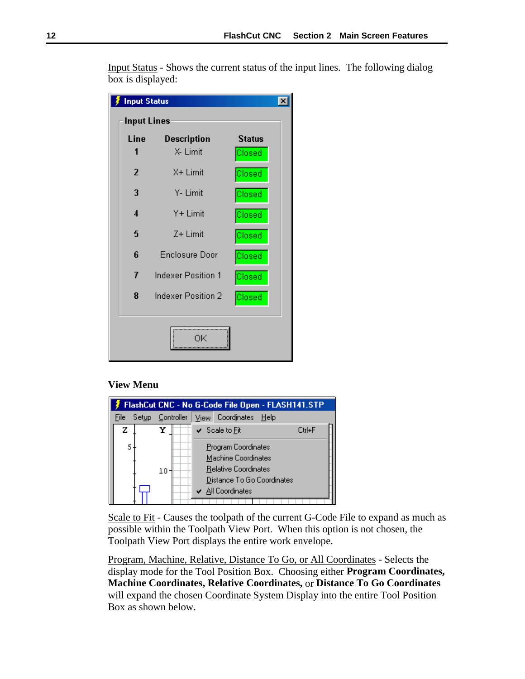| <b>Input Status</b> |                           |               |
|---------------------|---------------------------|---------------|
| <b>Input Lines</b>  |                           |               |
| Line                | Description               | <b>Status</b> |
| 1                   | X- Limit                  | Closed        |
| $\overline{2}$      | X+ Limit                  | Closed        |
| 3                   | Y- Limit                  | Closed        |
| 4                   | Y+ Limit                  | Closed        |
| 5                   | Z+ Limit                  | Closed        |
| 6                   | <b>Enclosure Door</b>     | Closed        |
| 7                   | <b>Indexer Position 1</b> | Closed        |
| 8                   | Indexer Position 2        | Closed        |
|                     | ΟK                        |               |

<span id="page-15-0"></span>Input Status - Shows the current status of the input lines. The following dialog box is displayed:

## **View Menu**

| FlashCut CNC - No G-Code File Open - FLASH141.STP |                   |                                                                                                                                           |  |  |
|---------------------------------------------------|-------------------|-------------------------------------------------------------------------------------------------------------------------------------------|--|--|
| Setup.<br>File                                    | <b>Controller</b> | View Coordinates<br>- Help                                                                                                                |  |  |
| z                                                 |                   | Ctrl+F<br>$\checkmark$ Scale to Fit                                                                                                       |  |  |
|                                                   | $10 -$            | Program Coordinates<br>Machine Coordinates<br>Relative Coordinates<br>Distance To Go Coordinates<br>$\blacktriangleright$ All Coordinates |  |  |

Scale to Fit - Causes the toolpath of the current G-Code File to expand as much as possible within the Toolpath View Port. When this option is not chosen, the Toolpath View Port displays the entire work envelope.

Program, Machine, Relative, Distance To Go, or All Coordinates - Selects the display mode for the Tool Position Box. Choosing either **Program Coordinates, Machine Coordinates, Relative Coordinates,** or **Distance To Go Coordinates** will expand the chosen Coordinate System Display into the entire Tool Position Box as shown below.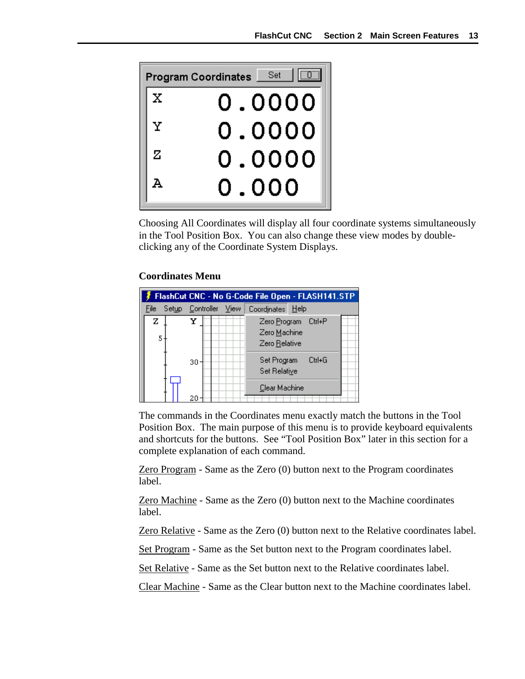<span id="page-16-0"></span>

Choosing All Coordinates will display all four coordinate systems simultaneously in the Tool Position Box. You can also change these view modes by doubleclicking any of the Coordinate System Displays.

# **Coordinates Menu**



The commands in the Coordinates menu exactly match the buttons in the Tool Position Box. The main purpose of this menu is to provide keyboard equivalents and shortcuts for the buttons. See "Tool Position Box" later in this section for a complete explanation of each command.

Zero Program - Same as the Zero (0) button next to the Program coordinates label.

Zero Machine - Same as the Zero (0) button next to the Machine coordinates label.

Zero Relative - Same as the Zero (0) button next to the Relative coordinates label.

Set Program - Same as the Set button next to the Program coordinates label.

Set Relative - Same as the Set button next to the Relative coordinates label.

Clear Machine - Same as the Clear button next to the Machine coordinates label.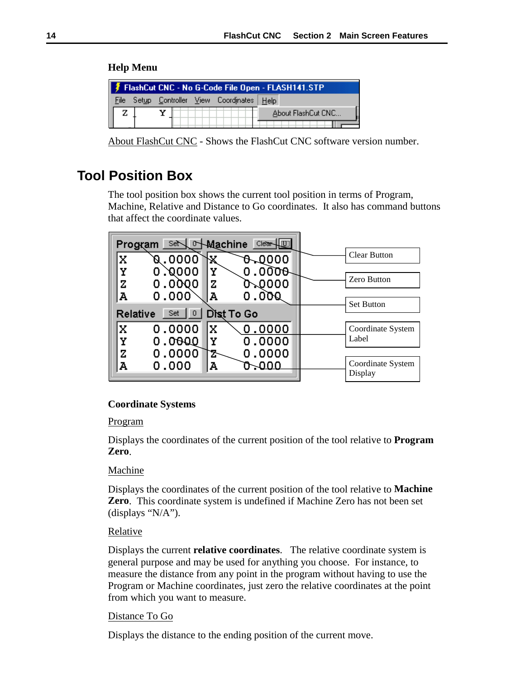# <span id="page-17-0"></span>**Help Menu**

| FlashCut CNC - No G-Code File Open - FLASH141.STP |  |  |  |  |                                             |                    |  |
|---------------------------------------------------|--|--|--|--|---------------------------------------------|--------------------|--|
|                                                   |  |  |  |  | File Setup Controller View Coordinates Help |                    |  |
|                                                   |  |  |  |  |                                             | About FlashCut CNC |  |
|                                                   |  |  |  |  |                                             |                    |  |

About FlashCut CNC - Shows the FlashCut CNC software version number.

# **Tool Position Box**

The tool position box shows the current tool position in terms of Program, Machine, Relative and Distance to Go coordinates. It also has command buttons that affect the coordinate values.

| Program  | Set~     | <b>Nachine</b><br>Clear- |                              |
|----------|----------|--------------------------|------------------------------|
|          | Q.0000   | 6.0000                   | <b>Clear Button</b>          |
|          | ,0000    | 0.0000<br>Y              |                              |
| z        | 0.0000   | ን-0000<br>z              | Zero Button                  |
| А        | 0.000    | 0.000<br>А               | <b>Set Button</b>            |
| Relative | Set<br>0 | Dist To Go               |                              |
| X        | 0.0000   | 0.0000<br>x              | Coordinate System            |
| Υ        | 0.0000   | 0.0000                   | Label                        |
| z        | 0.0000   | 0.0000                   |                              |
| д        | 0.000    | $\sim$ 000<br>А          | Coordinate System<br>Display |

# **Coordinate Systems**

# Program

Displays the coordinates of the current position of the tool relative to **Program Zero**.

# Machine

Displays the coordinates of the current position of the tool relative to **Machine Zero**. This coordinate system is undefined if Machine Zero has not been set (displays "N/A").

# **Relative**

Displays the current **relative coordinates**. The relative coordinate system is general purpose and may be used for anything you choose. For instance, to measure the distance from any point in the program without having to use the Program or Machine coordinates, just zero the relative coordinates at the point from which you want to measure.

# Distance To Go

Displays the distance to the ending position of the current move.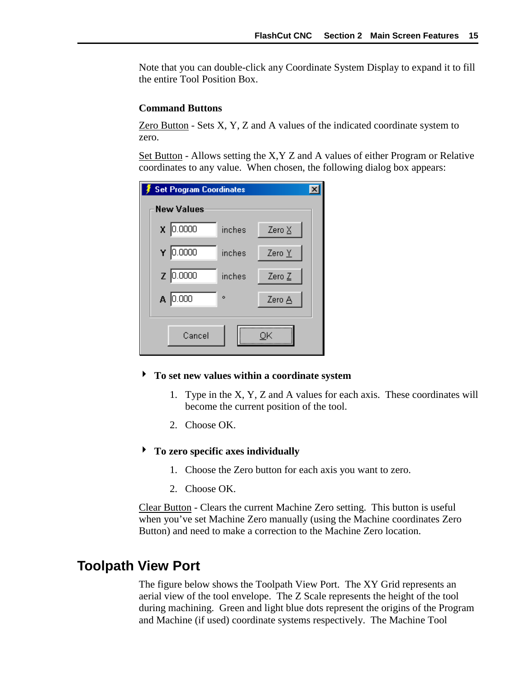<span id="page-18-0"></span>Note that you can double-click any Coordinate System Display to expand it to fill the entire Tool Position Box.

## **Command Buttons**

Zero Button - Sets X, Y, Z and A values of the indicated coordinate system to zero.

Set Button - Allows setting the X,Y Z and A values of either Program or Relative coordinates to any value. When chosen, the following dialog box appears:

| <b>Set Program Coordinates</b> |        |        |
|--------------------------------|--------|--------|
| <b>New Values</b>              |        |        |
| $\chi$ 0.0000                  | inches | Zero X |
| $Y$ 0.0000                     | inches | Zero Y |
| $Z$ 0.0000                     | inches | Zero Z |
| $A$ 0.000                      | ۰      | Zero A |
| Cancel                         |        |        |

- ! **To set new values within a coordinate system**
	- 1. Type in the X, Y, Z and A values for each axis. These coordinates will become the current position of the tool.
	- 2. Choose OK.

## ! **To zero specific axes individually**

- 1. Choose the Zero button for each axis you want to zero.
- 2. Choose OK.

Clear Button - Clears the current Machine Zero setting. This button is useful when you've set Machine Zero manually (using the Machine coordinates Zero Button) and need to make a correction to the Machine Zero location.

# **Toolpath View Port**

The figure below shows the Toolpath View Port. The XY Grid represents an aerial view of the tool envelope. The Z Scale represents the height of the tool during machining. Green and light blue dots represent the origins of the Program and Machine (if used) coordinate systems respectively. The Machine Tool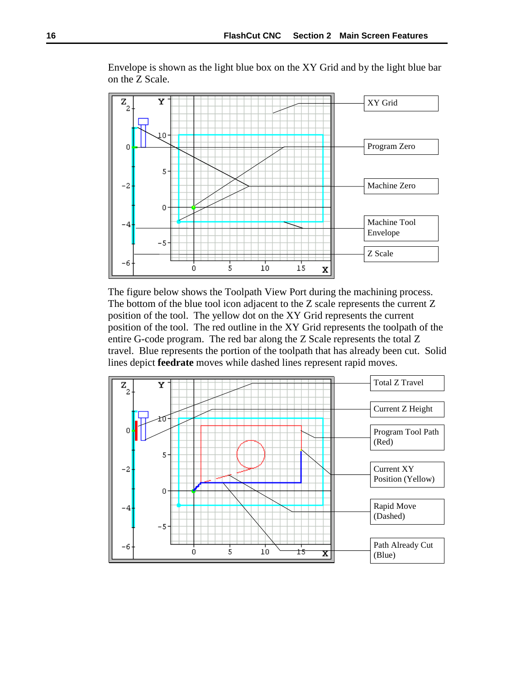



The figure below shows the Toolpath View Port during the machining process. The bottom of the blue tool icon adjacent to the Z scale represents the current Z position of the tool. The yellow dot on the XY Grid represents the current position of the tool. The red outline in the XY Grid represents the toolpath of the entire G-code program. The red bar along the Z Scale represents the total Z travel. Blue represents the portion of the toolpath that has already been cut. Solid lines depict **feedrate** moves while dashed lines represent rapid moves.

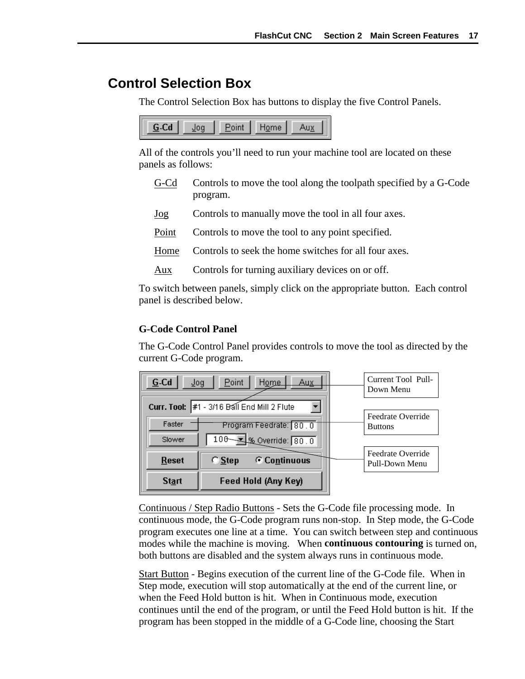# <span id="page-20-0"></span>**Control Selection Box**

The Control Selection Box has buttons to display the five Control Panels.



All of the controls you'll need to run your machine tool are located on these panels as follows:

- G-Cd Controls to move the tool along the toolpath specified by a G-Code program.
- Jog Controls to manually move the tool in all four axes.
- Point Controls to move the tool to any point specified.
- Home Controls to seek the home switches for all four axes.
- Aux Controls for turning auxiliary devices on or off.

To switch between panels, simply click on the appropriate button. Each control panel is described below.

# **G-Code Control Panel**

The G-Code Control Panel provides controls to move the tool as directed by the current G-Code program.



Continuous / Step Radio Buttons - Sets the G-Code file processing mode. In continuous mode, the G-Code program runs non-stop. In Step mode, the G-Code program executes one line at a time. You can switch between step and continuous modes while the machine is moving. When **continuous contouring** is turned on, both buttons are disabled and the system always runs in continuous mode.

Start Button - Begins execution of the current line of the G-Code file. When in Step mode, execution will stop automatically at the end of the current line, or when the Feed Hold button is hit. When in Continuous mode, execution continues until the end of the program, or until the Feed Hold button is hit. If the program has been stopped in the middle of a G-Code line, choosing the Start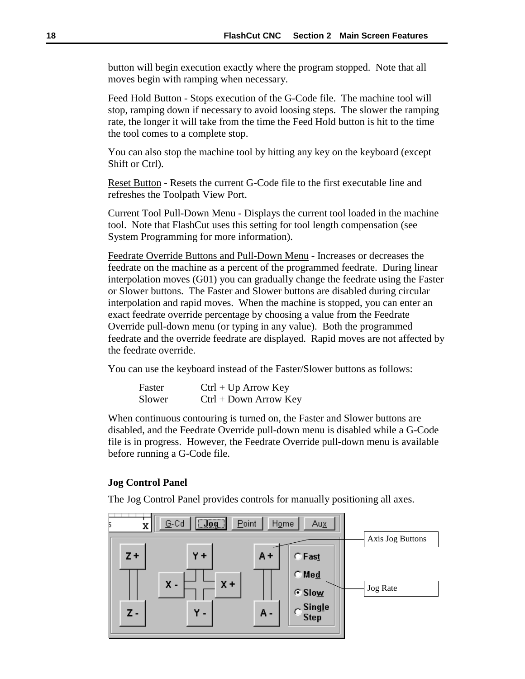<span id="page-21-0"></span>button will begin execution exactly where the program stopped. Note that all moves begin with ramping when necessary.

Feed Hold Button - Stops execution of the G-Code file. The machine tool will stop, ramping down if necessary to avoid loosing steps. The slower the ramping rate, the longer it will take from the time the Feed Hold button is hit to the time the tool comes to a complete stop.

You can also stop the machine tool by hitting any key on the keyboard (except Shift or Ctrl).

Reset Button - Resets the current G-Code file to the first executable line and refreshes the Toolpath View Port.

Current Tool Pull-Down Menu - Displays the current tool loaded in the machine tool. Note that FlashCut uses this setting for tool length compensation (see System Programming for more information).

Feedrate Override Buttons and Pull-Down Menu - Increases or decreases the feedrate on the machine as a percent of the programmed feedrate. During linear interpolation moves (G01) you can gradually change the feedrate using the Faster or Slower buttons. The Faster and Slower buttons are disabled during circular interpolation and rapid moves. When the machine is stopped, you can enter an exact feedrate override percentage by choosing a value from the Feedrate Override pull-down menu (or typing in any value). Both the programmed feedrate and the override feedrate are displayed. Rapid moves are not affected by the feedrate override.

You can use the keyboard instead of the Faster/Slower buttons as follows:

| Faster | $Ctrl + Up Arrow Key$   |
|--------|-------------------------|
| Slower | $Ctrl + Down Arrow Key$ |

When continuous contouring is turned on, the Faster and Slower buttons are disabled, and the Feedrate Override pull-down menu is disabled while a G-Code file is in progress. However, the Feedrate Override pull-down menu is available before running a G-Code file.

## **Jog Control Panel**

The Jog Control Panel provides controls for manually positioning all axes.

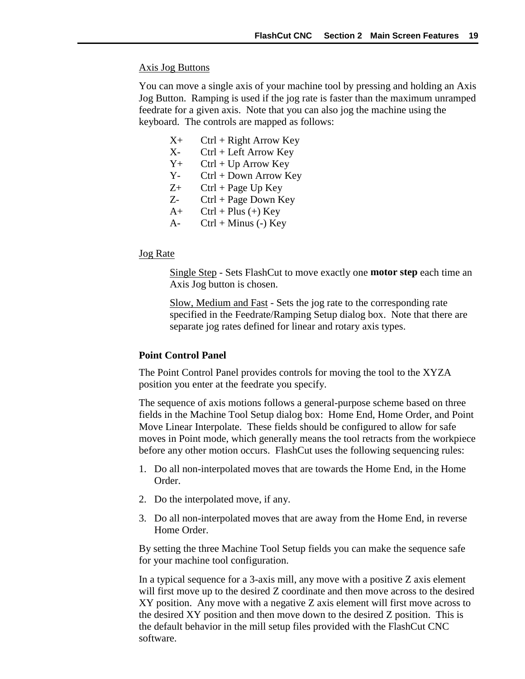## <span id="page-22-0"></span>Axis Jog Buttons

You can move a single axis of your machine tool by pressing and holding an Axis Jog Button. Ramping is used if the jog rate is faster than the maximum unramped feedrate for a given axis. Note that you can also jog the machine using the keyboard. The controls are mapped as follows:

- $X_+$  Ctrl + Right Arrow Key
- X- Ctrl + Left Arrow Key
- $Y_+$  Ctrl + Up Arrow Key
- Y- Ctrl + Down Arrow Key
- $Z^+$  Ctrl + Page Up Key
- $Z$  Ctrl + Page Down Key
- $A+$  Ctrl + Plus (+) Key
- A-  $Ctrl + Minus (-) Key$

## Jog Rate

Single Step - Sets FlashCut to move exactly one **motor step** each time an Axis Jog button is chosen.

Slow, Medium and Fast - Sets the jog rate to the corresponding rate specified in the Feedrate/Ramping Setup dialog box. Note that there are separate jog rates defined for linear and rotary axis types.

#### **Point Control Panel**

The Point Control Panel provides controls for moving the tool to the XYZA position you enter at the feedrate you specify.

The sequence of axis motions follows a general-purpose scheme based on three fields in the Machine Tool Setup dialog box: Home End, Home Order, and Point Move Linear Interpolate. These fields should be configured to allow for safe moves in Point mode, which generally means the tool retracts from the workpiece before any other motion occurs. FlashCut uses the following sequencing rules:

- 1. Do all non-interpolated moves that are towards the Home End, in the Home Order.
- 2. Do the interpolated move, if any.
- 3. Do all non-interpolated moves that are away from the Home End, in reverse Home Order.

By setting the three Machine Tool Setup fields you can make the sequence safe for your machine tool configuration.

In a typical sequence for a 3-axis mill, any move with a positive Z axis element will first move up to the desired Z coordinate and then move across to the desired XY position. Any move with a negative Z axis element will first move across to the desired XY position and then move down to the desired Z position. This is the default behavior in the mill setup files provided with the FlashCut CNC software.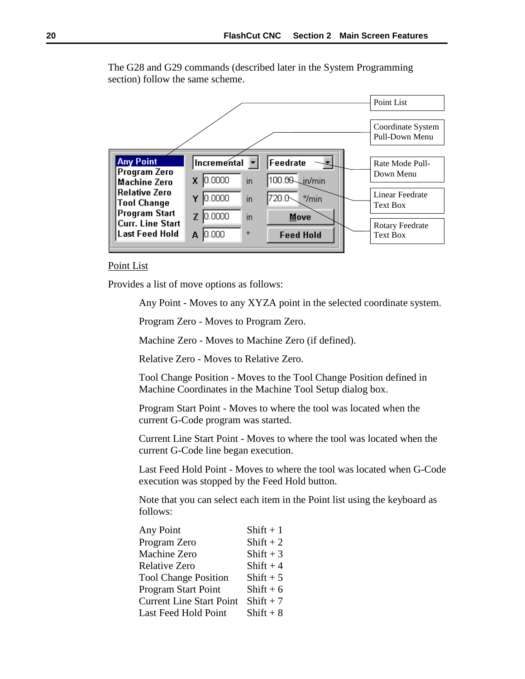The G28 and G29 commands (described later in the System Programming section) follow the same scheme.



Point List

Provides a list of move options as follows:

Any Point - Moves to any XYZA point in the selected coordinate system.

Program Zero - Moves to Program Zero.

Machine Zero - Moves to Machine Zero (if defined).

Relative Zero - Moves to Relative Zero.

Tool Change Position - Moves to the Tool Change Position defined in Machine Coordinates in the Machine Tool Setup dialog box.

Program Start Point - Moves to where the tool was located when the current G-Code program was started.

Current Line Start Point - Moves to where the tool was located when the current G-Code line began execution.

Last Feed Hold Point - Moves to where the tool was located when G-Code execution was stopped by the Feed Hold button.

Note that you can select each item in the Point list using the keyboard as follows:

| Any Point                       | Shift $+1$  |
|---------------------------------|-------------|
| Program Zero                    | Shift $+2$  |
| Machine Zero                    | Shift $+3$  |
| <b>Relative Zero</b>            | Shift $+4$  |
| <b>Tool Change Position</b>     | Shift $+5$  |
| Program Start Point             | $Shift + 6$ |
| <b>Current Line Start Point</b> | $Shift + 7$ |
| Last Feed Hold Point            | $Shift + 8$ |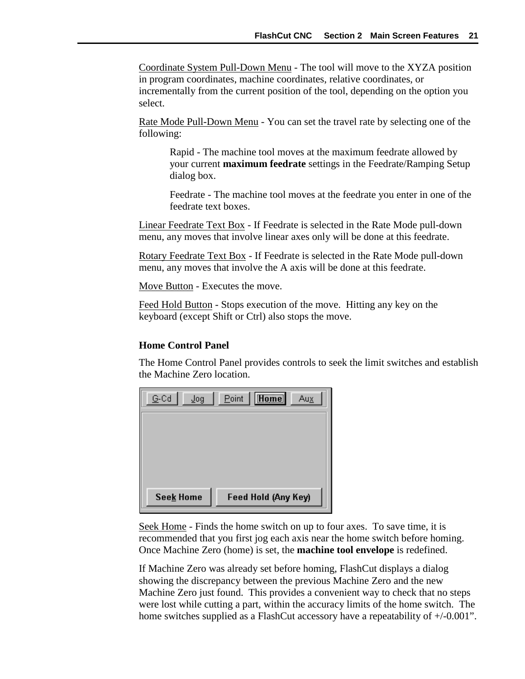<span id="page-24-0"></span>Coordinate System Pull-Down Menu - The tool will move to the XYZA position in program coordinates, machine coordinates, relative coordinates, or incrementally from the current position of the tool, depending on the option you select.

Rate Mode Pull-Down Menu - You can set the travel rate by selecting one of the following:

Rapid - The machine tool moves at the maximum feedrate allowed by your current **maximum feedrate** settings in the Feedrate/Ramping Setup dialog box.

Feedrate - The machine tool moves at the feedrate you enter in one of the feedrate text boxes.

Linear Feedrate Text Box - If Feedrate is selected in the Rate Mode pull-down menu, any moves that involve linear axes only will be done at this feedrate.

Rotary Feedrate Text Box - If Feedrate is selected in the Rate Mode pull-down menu, any moves that involve the A axis will be done at this feedrate.

Move Button - Executes the move.

Feed Hold Button - Stops execution of the move. Hitting any key on the keyboard (except Shift or Ctrl) also stops the move.

# **Home Control Panel**

The Home Control Panel provides controls to seek the limit switches and establish the Machine Zero location.

| $G$ -Cd<br>Jog   | <b>Home</b><br>Point<br>Aux |
|------------------|-----------------------------|
|                  |                             |
|                  |                             |
|                  |                             |
|                  |                             |
| <b>Seek Home</b> | Feed Hold (Any Key)         |

Seek Home - Finds the home switch on up to four axes. To save time, it is recommended that you first jog each axis near the home switch before homing. Once Machine Zero (home) is set, the **machine tool envelope** is redefined.

If Machine Zero was already set before homing, FlashCut displays a dialog showing the discrepancy between the previous Machine Zero and the new Machine Zero just found. This provides a convenient way to check that no steps were lost while cutting a part, within the accuracy limits of the home switch. The home switches supplied as a FlashCut accessory have a repeatability of  $+/-0.001$ ".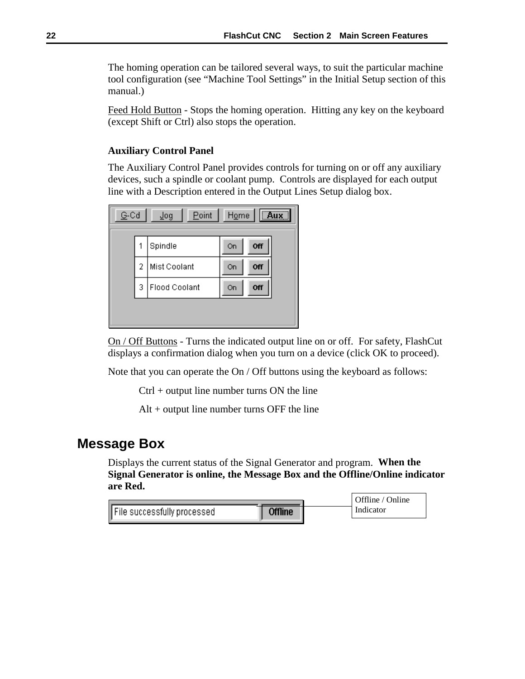<span id="page-25-0"></span>The homing operation can be tailored several ways, to suit the particular machine tool configuration (see "Machine Tool Settings" in the Initial Setup section of this manual.)

Feed Hold Button - Stops the homing operation. Hitting any key on the keyboard (except Shift or Ctrl) also stops the operation.

# **Auxiliary Control Panel**

The Auxiliary Control Panel provides controls for turning on or off any auxiliary devices, such a spindle or coolant pump. Controls are displayed for each output line with a Description entered in the Output Lines Setup dialog box.

| $\sqrt{a}$ ux<br>Point<br>G-Cd<br>Home<br>Tođ |   |               |    |     |  |  |
|-----------------------------------------------|---|---------------|----|-----|--|--|
|                                               | 1 | Spindle       | On | Off |  |  |
|                                               | 2 | Mist Coolant  | On | Off |  |  |
|                                               | 3 | Flood Coolant | On | Off |  |  |
|                                               |   |               |    |     |  |  |

On / Off Buttons - Turns the indicated output line on or off. For safety, FlashCut displays a confirmation dialog when you turn on a device (click OK to proceed).

Note that you can operate the On / Off buttons using the keyboard as follows:

Ctrl + output line number turns ON the line

Alt + output line number turns OFF the line

# **Message Box**

Displays the current status of the Signal Generator and program. **When the Signal Generator is online, the Message Box and the Offline/Online indicator are Red.**

|                             |                | Offline / Online |
|-----------------------------|----------------|------------------|
| File successfully processed | <b>Offline</b> | Indicator        |
|                             |                |                  |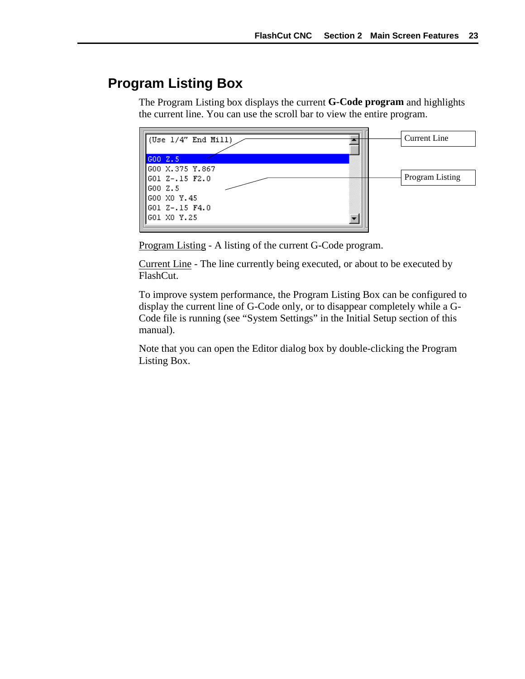# <span id="page-26-0"></span>**Program Listing Box**

The Program Listing box displays the current **G-Code program** and highlights the current line. You can use the scroll bar to view the entire program.



Program Listing - A listing of the current G-Code program.

Current Line - The line currently being executed, or about to be executed by FlashCut.

To improve system performance, the Program Listing Box can be configured to display the current line of G-Code only, or to disappear completely while a G-Code file is running (see "System Settings" in the Initial Setup section of this manual).

Note that you can open the Editor dialog box by double-clicking the Program Listing Box.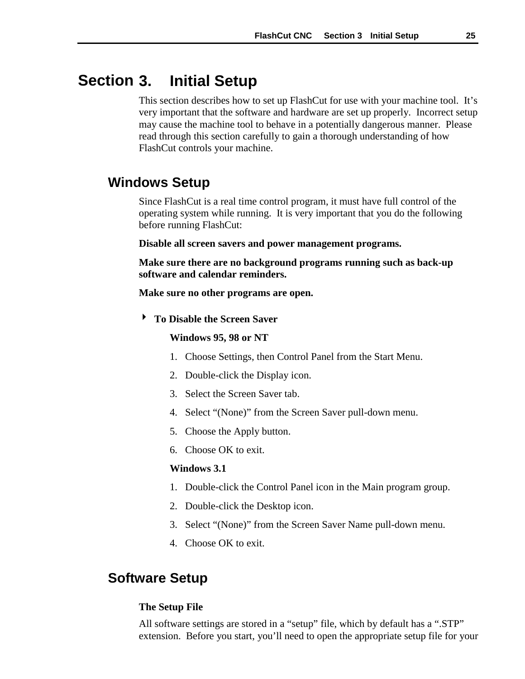#### <span id="page-28-0"></span>**3. Initial Setup Section**

This section describes how to set up FlashCut for use with your machine tool. It's very important that the software and hardware are set up properly. Incorrect setup may cause the machine tool to behave in a potentially dangerous manner. Please read through this section carefully to gain a thorough understanding of how FlashCut controls your machine.

# **Windows Setup**

Since FlashCut is a real time control program, it must have full control of the operating system while running. It is very important that you do the following before running FlashCut:

**Disable all screen savers and power management programs.**

**Make sure there are no background programs running such as back-up software and calendar reminders.**

**Make sure no other programs are open.**

! **To Disable the Screen Saver**

**Windows 95, 98 or NT**

- 1. Choose Settings, then Control Panel from the Start Menu.
- 2. Double-click the Display icon.
- 3. Select the Screen Saver tab.
- 4. Select "(None)" from the Screen Saver pull-down menu.
- 5. Choose the Apply button.
- 6. Choose OK to exit.

#### **Windows 3.1**

- 1. Double-click the Control Panel icon in the Main program group.
- 2. Double-click the Desktop icon.
- 3. Select "(None)" from the Screen Saver Name pull-down menu.
- 4. Choose OK to exit.

# **Software Setup**

#### **The Setup File**

All software settings are stored in a "setup" file, which by default has a ".STP" extension. Before you start, you'll need to open the appropriate setup file for your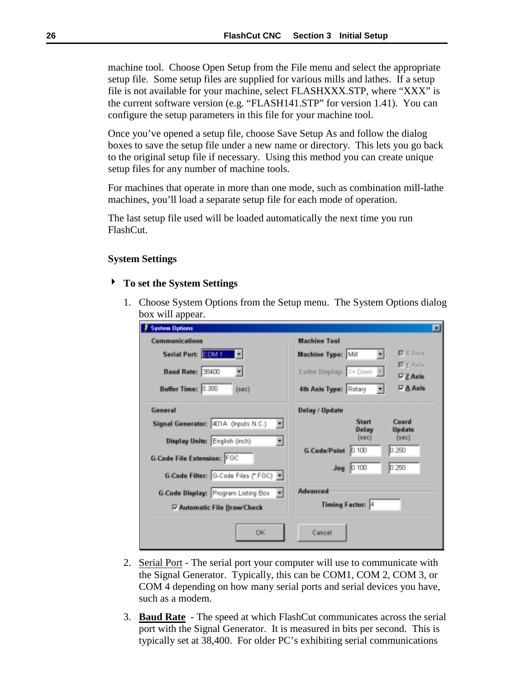<span id="page-29-0"></span>machine tool. Choose Open Setup from the File menu and select the appropriate setup file. Some setup files are supplied for various mills and lathes. If a setup file is not available for your machine, select FLASHXXX.STP, where "XXX" is the current software version (e.g. "FLASH141.STP" for version 1.41). You can configure the setup parameters in this file for your machine tool.

Once you've opened a setup file, choose Save Setup As and follow the dialog boxes to save the setup file under a new name or directory. This lets you go back to the original setup file if necessary. Using this method you can create unique setup files for any number of machine tools.

For machines that operate in more than one mode, such as combination mill-lathe machines, you'll load a separate setup file for each mode of operation.

The last setup file used will be loaded automatically the next time you run FlashCut.

#### **System Settings**

#### ! **To set the System Settings**

1. Choose System Options from the Setup menu. The System Options dialog box will appear.

| <b>System Options</b>                                                                                                                                                                                                                                            | 図                                                                                                                                                                                      |
|------------------------------------------------------------------------------------------------------------------------------------------------------------------------------------------------------------------------------------------------------------------|----------------------------------------------------------------------------------------------------------------------------------------------------------------------------------------|
| Communications<br>Serial Port: <b>BOM1</b><br>Baud Rate: 38400<br>Buffer Time: 0.300<br>$(\sec)$                                                                                                                                                                 | <b>Machine Tool</b><br>$\nabla$ X Axis<br>Machine Type: Mill<br><b>EX Axis</b><br>Lathe Display: X+ Down<br>$\nabla Z$ Axis<br><b>PA</b> Axis<br>4th Axis Type: Rotary                 |
| General<br>Signal Generator: 401A (Inputs N.C.)<br>ш<br>Display Units: English (inch)<br><b>G-Code File Extension: FGC</b><br>G-Code Filter: G-Code Files (*.FGC) ><br>G-Code Display: Program Listing Box<br>$\mathbf{r}$<br><b>▽ Automatic File Draw/Check</b> | Delay / Update<br><b>Start</b><br>Coord<br>Update<br>Delay<br>(sec)<br>(sec)<br>0.250<br>0.100<br><b>G-Code/Point</b><br>0.250<br>$Jog$ $0.100$<br>Advanced<br><b>Timing Factor: 4</b> |
| <b>OK</b>                                                                                                                                                                                                                                                        | Cancel                                                                                                                                                                                 |

- 2. Serial Port The serial port your computer will use to communicate with the Signal Generator. Typically, this can be COM1, COM 2, COM 3, or COM 4 depending on how many serial ports and serial devices you have, such as a modem.
- 3. **Baud Rate** The speed at which FlashCut communicates across the serial port with the Signal Generator. It is measured in bits per second. This is typically set at 38,400. For older PC's exhibiting serial communications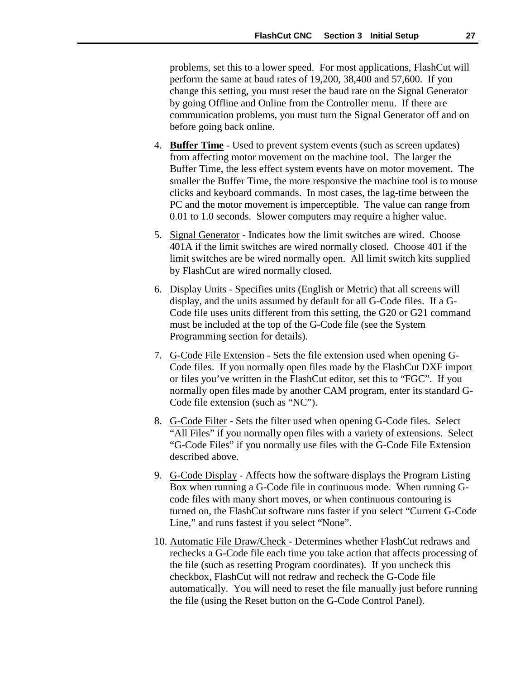problems, set this to a lower speed. For most applications, FlashCut will perform the same at baud rates of 19,200, 38,400 and 57,600. If you change this setting, you must reset the baud rate on the Signal Generator by going Offline and Online from the Controller menu. If there are communication problems, you must turn the Signal Generator off and on before going back online.

- 4. **Buffer Time** Used to prevent system events (such as screen updates) from affecting motor movement on the machine tool. The larger the Buffer Time, the less effect system events have on motor movement. The smaller the Buffer Time, the more responsive the machine tool is to mouse clicks and keyboard commands. In most cases, the lag-time between the PC and the motor movement is imperceptible. The value can range from 0.01 to 1.0 seconds. Slower computers may require a higher value.
- 5. Signal Generator Indicates how the limit switches are wired. Choose 401A if the limit switches are wired normally closed. Choose 401 if the limit switches are be wired normally open. All limit switch kits supplied by FlashCut are wired normally closed.
- 6. Display Units Specifies units (English or Metric) that all screens will display, and the units assumed by default for all G-Code files. If a G-Code file uses units different from this setting, the G20 or G21 command must be included at the top of the G-Code file (see the System Programming section for details).
- 7. G-Code File Extension Sets the file extension used when opening G-Code files. If you normally open files made by the FlashCut DXF import or files you've written in the FlashCut editor, set this to "FGC". If you normally open files made by another CAM program, enter its standard G-Code file extension (such as "NC").
- 8. G-Code Filter Sets the filter used when opening G-Code files. Select "All Files" if you normally open files with a variety of extensions. Select "G-Code Files" if you normally use files with the G-Code File Extension described above.
- 9. G-Code Display Affects how the software displays the Program Listing Box when running a G-Code file in continuous mode. When running Gcode files with many short moves, or when continuous contouring is turned on, the FlashCut software runs faster if you select "Current G-Code Line," and runs fastest if you select "None".
- 10. Automatic File Draw/Check Determines whether FlashCut redraws and rechecks a G-Code file each time you take action that affects processing of the file (such as resetting Program coordinates). If you uncheck this checkbox, FlashCut will not redraw and recheck the G-Code file automatically. You will need to reset the file manually just before running the file (using the Reset button on the G-Code Control Panel).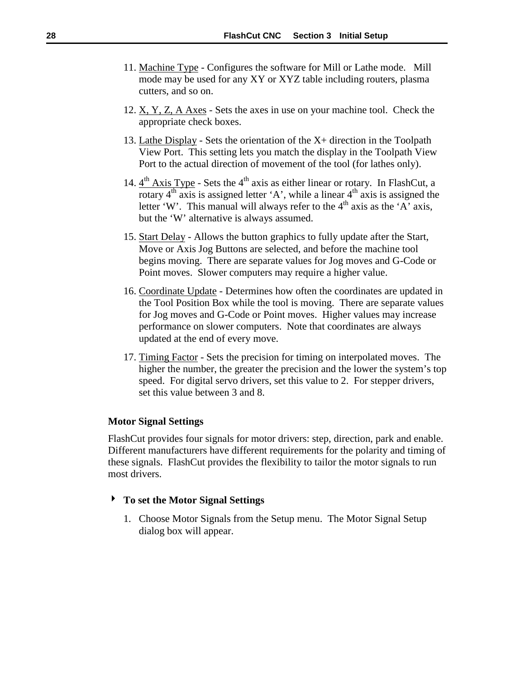- <span id="page-31-0"></span>11. Machine Type - Configures the software for Mill or Lathe mode. Mill mode may be used for any XY or XYZ table including routers, plasma cutters, and so on.
- 12. X, Y, Z, A Axes Sets the axes in use on your machine tool. Check the appropriate check boxes.
- 13. Lathe Display Sets the orientation of the X+ direction in the Toolpath View Port. This setting lets you match the display in the Toolpath View Port to the actual direction of movement of the tool (for lathes only).
- 14.  $4<sup>th</sup> Axis Type$  Sets the  $4<sup>th</sup> axis$  as either linear or rotary. In FlashCut, a rotary  $4<sup>th</sup> axis$  is assigned letter 'A', while a linear  $4<sup>th</sup> axis$  is assigned the letter 'W'. This manual will always refer to the  $4<sup>th</sup>$  axis as the 'A' axis, but the 'W' alternative is always assumed.
- 15. Start Delay Allows the button graphics to fully update after the Start, Move or Axis Jog Buttons are selected, and before the machine tool begins moving. There are separate values for Jog moves and G-Code or Point moves. Slower computers may require a higher value.
- 16. Coordinate Update Determines how often the coordinates are updated in the Tool Position Box while the tool is moving. There are separate values for Jog moves and G-Code or Point moves. Higher values may increase performance on slower computers. Note that coordinates are always updated at the end of every move.
- 17. Timing Factor Sets the precision for timing on interpolated moves. The higher the number, the greater the precision and the lower the system's top speed. For digital servo drivers, set this value to 2. For stepper drivers, set this value between 3 and 8.

## **Motor Signal Settings**

FlashCut provides four signals for motor drivers: step, direction, park and enable. Different manufacturers have different requirements for the polarity and timing of these signals. FlashCut provides the flexibility to tailor the motor signals to run most drivers.

#### ! **To set the Motor Signal Settings**

1. Choose Motor Signals from the Setup menu. The Motor Signal Setup dialog box will appear.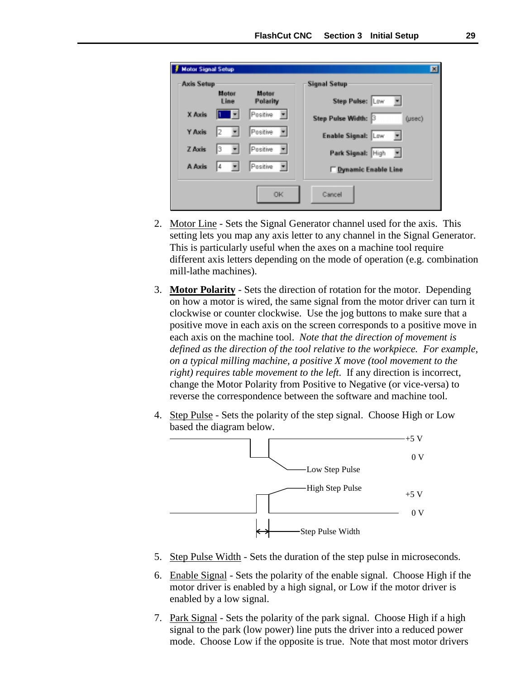| <b>Motor Signal Setup</b><br>-Axis Setup |               |                            | 図<br><b>Signal Setup</b>             |
|------------------------------------------|---------------|----------------------------|--------------------------------------|
|                                          | Motor<br>Line | Motor<br>Polarity          | Step Pulse: Low                      |
| X Axis                                   |               | Positive                   | Step Pulse Width: 3<br>$($ usec $)$  |
| Y Axis                                   |               | Positive                   | Enable Signal: Low<br>$\overline{ }$ |
| <b>Z</b> Axis                            | з<br>۰        | Positive<br>ш              | Park Signal: High<br>ш               |
| A Axis                                   | 4<br>۳        | Positive<br>$\overline{ }$ | <b>Dynamic Enable Line</b>           |
|                                          |               | <b>OK</b>                  | Cancel                               |

- 2. Motor Line Sets the Signal Generator channel used for the axis. This setting lets you map any axis letter to any channel in the Signal Generator. This is particularly useful when the axes on a machine tool require different axis letters depending on the mode of operation (e.g. combination mill-lathe machines).
- 3. **Motor Polarity**  Sets the direction of rotation for the motor. Depending on how a motor is wired, the same signal from the motor driver can turn it clockwise or counter clockwise. Use the jog buttons to make sure that a positive move in each axis on the screen corresponds to a positive move in each axis on the machine tool. *Note that the direction of movement is defined as the direction of the tool relative to the workpiece. For example, on a typical milling machine, a positive X move (tool movement to the right) requires table movement to the left*. If any direction is incorrect, change the Motor Polarity from Positive to Negative (or vice-versa) to reverse the correspondence between the software and machine tool.
- 4. Step Pulse Sets the polarity of the step signal. Choose High or Low based the diagram below.



- 5. Step Pulse Width Sets the duration of the step pulse in microseconds.
- 6. Enable Signal Sets the polarity of the enable signal. Choose High if the motor driver is enabled by a high signal, or Low if the motor driver is enabled by a low signal.
- 7. Park Signal Sets the polarity of the park signal. Choose High if a high signal to the park (low power) line puts the driver into a reduced power mode. Choose Low if the opposite is true. Note that most motor drivers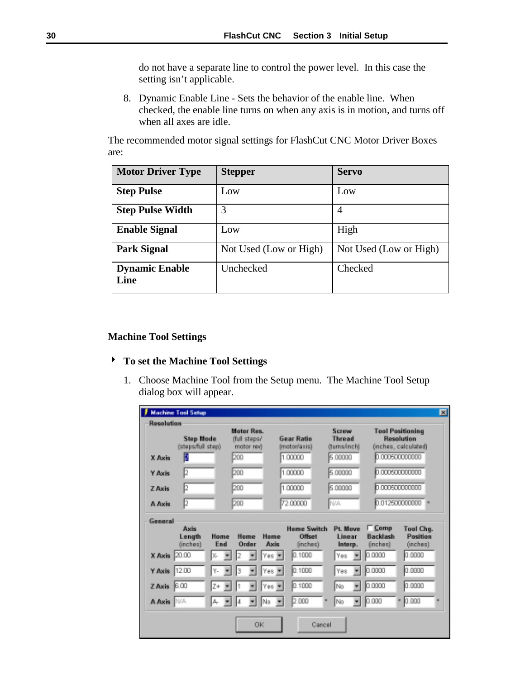<span id="page-33-0"></span>do not have a separate line to control the power level. In this case the setting isn't applicable.

8. Dynamic Enable Line - Sets the behavior of the enable line. When checked, the enable line turns on when any axis is in motion, and turns off when all axes are idle.

The recommended motor signal settings for FlashCut CNC Motor Driver Boxes are:

| <b>Motor Driver Type</b>      | <b>Stepper</b>         | <b>Servo</b>           |
|-------------------------------|------------------------|------------------------|
| <b>Step Pulse</b>             | Low                    | Low                    |
| <b>Step Pulse Width</b>       | 3                      | 4                      |
| <b>Enable Signal</b>          | Low                    | High                   |
| <b>Park Signal</b>            | Not Used (Low or High) | Not Used (Low or High) |
| <b>Dynamic Enable</b><br>Line | Unchecked              | Checked                |

# **Machine Tool Settings**

# ! **To set the Machine Tool Settings**

1. Choose Machine Tool from the Setup menu. The Machine Tool Setup dialog box will appear.

| Resolution      |                                       |                                | Motor Res.                 |         | <b>Gear Ratio</b>            | Screw<br><b>Thread</b> |                           | <b>Tool Positioning</b><br>Resolution |
|-----------------|---------------------------------------|--------------------------------|----------------------------|---------|------------------------------|------------------------|---------------------------|---------------------------------------|
|                 | <b>Step Mode</b><br>(steps/full step) |                                | ffull steps/<br>motor rev) |         | (motor/axis)                 | (tums/inch)            |                           | (inches, calculated)                  |
| X Axis          |                                       |                                | 200                        |         | 1,00000                      | 5.00000                | 0.000500000000            |                                       |
| Y Axis          | 12                                    |                                | 200                        |         | 1,00000                      | 5.00000                |                           | 0.000500000000                        |
| <b>Z</b> Axis   | 12                                    |                                | 200                        |         | 1,00000                      | 5.00000                | 0.00060000000             |                                       |
| A Axis          | 12                                    |                                | 200                        |         | 7200000                      | N/A                    | 0.012500000000            |                                       |
| General         |                                       |                                |                            |         |                              |                        |                           |                                       |
|                 | Axis                                  | Home                           | Home                       | Home    | <b>Home Switch</b><br>Offset | Pt. Move<br>Linear     | $\Gamma$ Comp<br>Backlash | <b>Tool Chg.</b><br>Position          |
|                 | Length<br>(inches)                    | End                            | Order                      | Axis    | (inches)                     | Interp.                | (inches)                  | (inches)                              |
| X Axis 2000     |                                       | χ.                             |                            | Yes =   | 1000<br>In.                  | Yes                    | 0.0000                    | 0.0000                                |
| Y Axis 1200     |                                       | γ.                             | 3                          | Yes -   | 0.1000                       | Yes                    | 0.0000                    | 0.0000                                |
| $Z$ Axis $6.00$ |                                       | Z+<br>$\overline{\phantom{a}}$ | ٠                          | Yes -   | 0.1000                       | No<br>٠                | 0.0000                    | 0.0000                                |
| A Axis   N/A    |                                       | д.<br>×                        | l4<br>۰                    | No<br>× | 2.000                        | No<br>٠                | 0.000                     | 0.000                                 |
|                 |                                       |                                |                            |         |                              |                        |                           |                                       |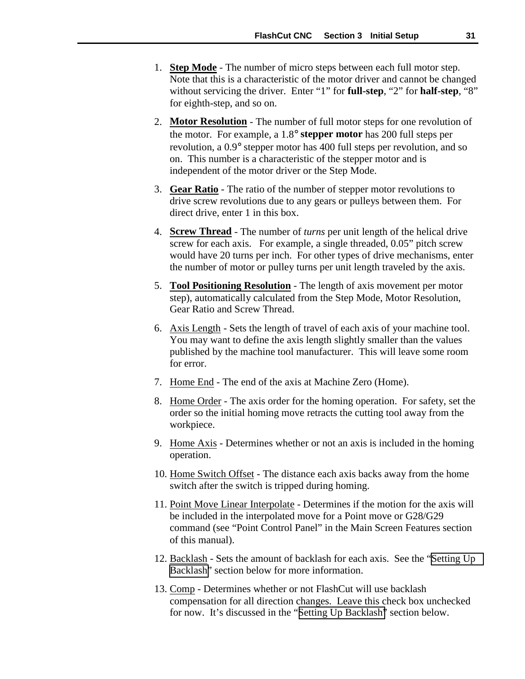- 1. **Step Mode** The number of micro steps between each full motor step. Note that this is a characteristic of the motor driver and cannot be changed without servicing the driver. Enter "1" for **full-step**, "2" for **half-step**, "8" for eighth-step, and so on.
- 2. **Motor Resolution** The number of full motor steps for one revolution of the motor. For example, a 1.8° **stepper motor** has 200 full steps per revolution, a 0.9° stepper motor has 400 full steps per revolution, and so on. This number is a characteristic of the stepper motor and is independent of the motor driver or the Step Mode.
- 3. **Gear Ratio**  The ratio of the number of stepper motor revolutions to drive screw revolutions due to any gears or pulleys between them. For direct drive, enter 1 in this box.
- 4. **Screw Thread** The number of *turns* per unit length of the helical drive screw for each axis. For example, a single threaded, 0.05" pitch screw would have 20 turns per inch. For other types of drive mechanisms, enter the number of motor or pulley turns per unit length traveled by the axis.
- 5. **Tool Positioning Resolution** The length of axis movement per motor step), automatically calculated from the Step Mode, Motor Resolution, Gear Ratio and Screw Thread.
- 6. Axis Length Sets the length of travel of each axis of your machine tool. You may want to define the axis length slightly smaller than the values published by the machine tool manufacturer. This will leave some room for error.
- 7. Home End The end of the axis at Machine Zero (Home).
- 8. Home Order The axis order for the homing operation. For safety, set the order so the initial homing move retracts the cutting tool away from the workpiece.
- 9. Home Axis Determines whether or not an axis is included in the homing operation.
- 10. Home Switch Offset The distance each axis backs away from the home switch after the switch is tripped during homing.
- 11. Point Move Linear Interpolate Determines if the motion for the axis will be included in the interpolated move for a Point move or G28/G29 command (see "Point Control Panel" in the Main Screen Features section of this manual).
- 12. Backlash Sets the amount of backlash for each axis. See the ["Setting Up](#page-41-0) [Backlash"](#page-41-0) section below for more information.
- 13. Comp Determines whether or not FlashCut will use backlash compensation for all direction changes. Leave this check box unchecked for now. It's discussed in the "[Setting Up Backlash"](#page-41-0) section below.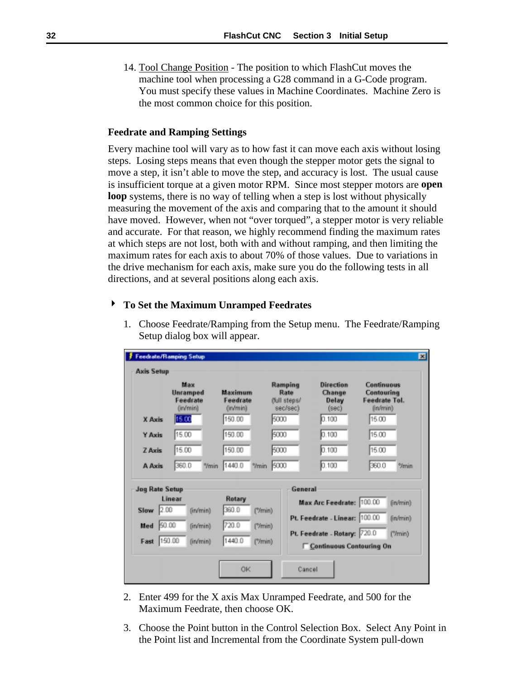<span id="page-35-0"></span>14. Tool Change Position - The position to which FlashCut moves the machine tool when processing a G28 command in a G-Code program. You must specify these values in Machine Coordinates. Machine Zero is the most common choice for this position.

## **Feedrate and Ramping Settings**

Every machine tool will vary as to how fast it can move each axis without losing steps. Losing steps means that even though the stepper motor gets the signal to move a step, it isn't able to move the step, and accuracy is lost. The usual cause is insufficient torque at a given motor RPM. Since most stepper motors are **open loop** systems, there is no way of telling when a step is lost without physically measuring the movement of the axis and comparing that to the amount it should have moved. However, when not "over torqued", a stepper motor is very reliable and accurate. For that reason, we highly recommend finding the maximum rates at which steps are not lost, both with and without ramping, and then limiting the maximum rates for each axis to about 70% of those values. Due to variations in the drive mechanism for each axis, make sure you do the following tests in all directions, and at several positions along each axis.

## ! **To Set the Maximum Unramped Feedrates**

| 1. Choose Feedrate/Ramping from the Setup menu. The Feedrate/Ramping |  |
|----------------------------------------------------------------------|--|
| Setup dialog box will appear.                                        |  |
|                                                                      |  |

|                       | Feedrate/Ramping Setup                  |                             |                                                                               |                                 | 図                                                     |
|-----------------------|-----------------------------------------|-----------------------------|-------------------------------------------------------------------------------|---------------------------------|-------------------------------------------------------|
| <b>Axis Setup</b>     |                                         |                             |                                                                               |                                 |                                                       |
|                       | Max<br>Unramped<br>Feedrate<br>(in/min) |                             | Ramping<br>Maximum<br>Rate<br>Feedrate<br>dull steps/<br>(in/min)<br>sec/sec) |                                 | Continuous<br>Contouring<br>Feedrate Tol.<br>(in/min) |
| X Axis                | 15.00                                   | 150.00                      | 5000                                                                          | 0.100                           | 15.00                                                 |
| Y Axis                | 15.00                                   | 150.00                      | 5000                                                                          | 0.100                           | 15.00                                                 |
| <b>ZAxis</b>          | 15.00                                   | 150.00                      | 5000                                                                          | 0.100                           | 15.00                                                 |
| A Axis                | 360.0<br>"/min                          | 1440.0<br><sup>9</sup> /min | 5000                                                                          | 0.100                           | 360.0<br><sup>9</sup> /min                            |
| <b>Jog Rate Setup</b> |                                         |                             | General                                                                       |                                 |                                                       |
|                       | Linear                                  | Rotary                      |                                                                               | Max Arc Feedrate: 100.00        | (in/min)                                              |
| 2.00<br>Slow          | (in/min)                                | 360.0<br>('Ymin)            |                                                                               | Pt. Feedrate - Linear: 100.00   | (in/min)                                              |
| 50.00<br>Med          | (in/min)                                | 720.0<br>('Tmin)            |                                                                               | Pt. Feedrate - Rotary: 720.0    | ("/min)                                               |
| Fast                  | 150.00<br>(in/min)                      | 1440.0<br>('Tmin)           |                                                                               | <b>Continuous Contouring On</b> |                                                       |
|                       |                                         | <b>OK</b>                   | Cancel                                                                        |                                 |                                                       |

- 2. Enter 499 for the X axis Max Unramped Feedrate, and 500 for the Maximum Feedrate, then choose OK.
- 3. Choose the Point button in the Control Selection Box. Select Any Point in the Point list and Incremental from the Coordinate System pull-down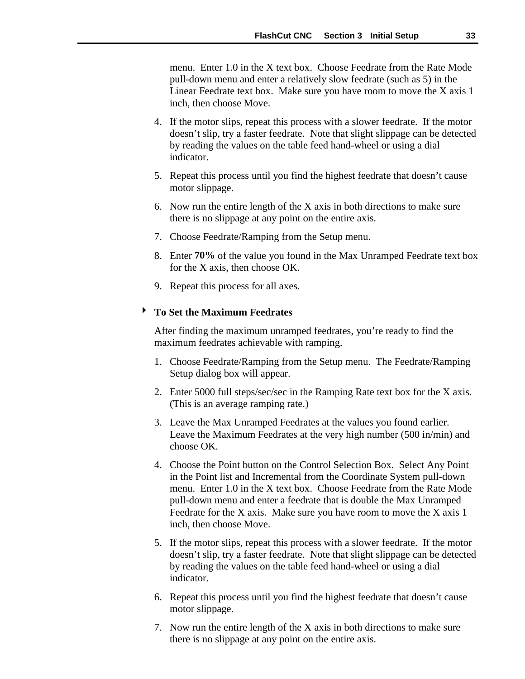menu. Enter 1.0 in the X text box. Choose Feedrate from the Rate Mode pull-down menu and enter a relatively slow feedrate (such as 5) in the Linear Feedrate text box. Make sure you have room to move the X axis 1 inch, then choose Move.

- 4. If the motor slips, repeat this process with a slower feedrate. If the motor doesn't slip, try a faster feedrate. Note that slight slippage can be detected by reading the values on the table feed hand-wheel or using a dial indicator.
- 5. Repeat this process until you find the highest feedrate that doesn't cause motor slippage.
- 6. Now run the entire length of the X axis in both directions to make sure there is no slippage at any point on the entire axis.
- 7. Choose Feedrate/Ramping from the Setup menu.
- 8. Enter **70%** of the value you found in the Max Unramped Feedrate text box for the X axis, then choose OK.
- 9. Repeat this process for all axes.

# ! **To Set the Maximum Feedrates**

After finding the maximum unramped feedrates, you're ready to find the maximum feedrates achievable with ramping.

- 1. Choose Feedrate/Ramping from the Setup menu. The Feedrate/Ramping Setup dialog box will appear.
- 2. Enter 5000 full steps/sec/sec in the Ramping Rate text box for the X axis. (This is an average ramping rate.)
- 3. Leave the Max Unramped Feedrates at the values you found earlier. Leave the Maximum Feedrates at the very high number (500 in/min) and choose OK.
- 4. Choose the Point button on the Control Selection Box. Select Any Point in the Point list and Incremental from the Coordinate System pull-down menu. Enter 1.0 in the X text box. Choose Feedrate from the Rate Mode pull-down menu and enter a feedrate that is double the Max Unramped Feedrate for the X axis. Make sure you have room to move the X axis 1 inch, then choose Move.
- 5. If the motor slips, repeat this process with a slower feedrate. If the motor doesn't slip, try a faster feedrate. Note that slight slippage can be detected by reading the values on the table feed hand-wheel or using a dial indicator.
- 6. Repeat this process until you find the highest feedrate that doesn't cause motor slippage.
- 7. Now run the entire length of the X axis in both directions to make sure there is no slippage at any point on the entire axis.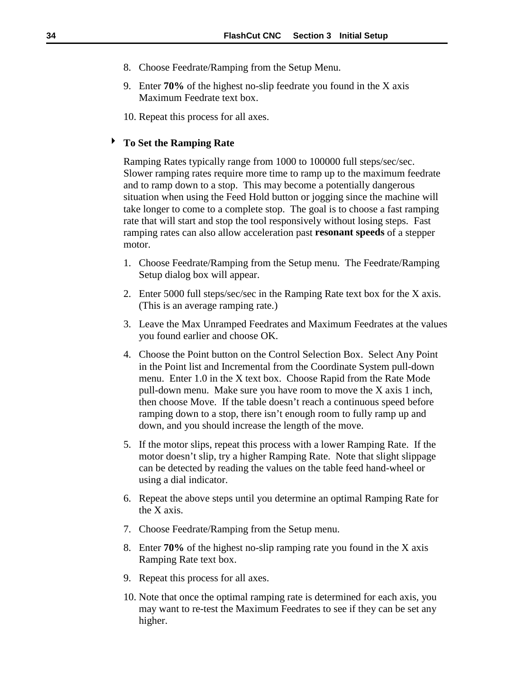- 8. Choose Feedrate/Ramping from the Setup Menu.
- 9. Enter **70%** of the highest no-slip feedrate you found in the X axis Maximum Feedrate text box.
- 10. Repeat this process for all axes.

# ! **To Set the Ramping Rate**

Ramping Rates typically range from 1000 to 100000 full steps/sec/sec. Slower ramping rates require more time to ramp up to the maximum feedrate and to ramp down to a stop. This may become a potentially dangerous situation when using the Feed Hold button or jogging since the machine will take longer to come to a complete stop. The goal is to choose a fast ramping rate that will start and stop the tool responsively without losing steps. Fast ramping rates can also allow acceleration past **resonant speeds** of a stepper motor.

- 1. Choose Feedrate/Ramping from the Setup menu. The Feedrate/Ramping Setup dialog box will appear.
- 2. Enter 5000 full steps/sec/sec in the Ramping Rate text box for the X axis. (This is an average ramping rate.)
- 3. Leave the Max Unramped Feedrates and Maximum Feedrates at the values you found earlier and choose OK.
- 4. Choose the Point button on the Control Selection Box. Select Any Point in the Point list and Incremental from the Coordinate System pull-down menu. Enter 1.0 in the X text box. Choose Rapid from the Rate Mode pull-down menu. Make sure you have room to move the X axis 1 inch, then choose Move. If the table doesn't reach a continuous speed before ramping down to a stop, there isn't enough room to fully ramp up and down, and you should increase the length of the move.
- 5. If the motor slips, repeat this process with a lower Ramping Rate. If the motor doesn't slip, try a higher Ramping Rate. Note that slight slippage can be detected by reading the values on the table feed hand-wheel or using a dial indicator.
- 6. Repeat the above steps until you determine an optimal Ramping Rate for the X axis.
- 7. Choose Feedrate/Ramping from the Setup menu.
- 8. Enter **70%** of the highest no-slip ramping rate you found in the X axis Ramping Rate text box.
- 9. Repeat this process for all axes.
- 10. Note that once the optimal ramping rate is determined for each axis, you may want to re-test the Maximum Feedrates to see if they can be set any higher.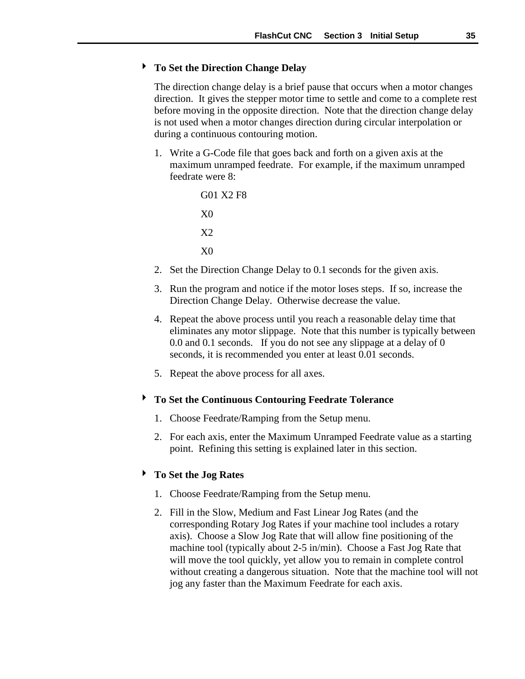#### ! **To Set the Direction Change Delay**

The direction change delay is a brief pause that occurs when a motor changes direction. It gives the stepper motor time to settle and come to a complete rest before moving in the opposite direction. Note that the direction change delay is not used when a motor changes direction during circular interpolation or during a continuous contouring motion.

1. Write a G-Code file that goes back and forth on a given axis at the maximum unramped feedrate. For example, if the maximum unramped feedrate were 8:

```
G01 X2 F8
X0
X2
X0
```
- 2. Set the Direction Change Delay to 0.1 seconds for the given axis.
- 3. Run the program and notice if the motor loses steps. If so, increase the Direction Change Delay. Otherwise decrease the value.
- 4. Repeat the above process until you reach a reasonable delay time that eliminates any motor slippage. Note that this number is typically between 0.0 and 0.1 seconds. If you do not see any slippage at a delay of 0 seconds, it is recommended you enter at least 0.01 seconds.
- 5. Repeat the above process for all axes.

#### ! **To Set the Continuous Contouring Feedrate Tolerance**

- 1. Choose Feedrate/Ramping from the Setup menu.
- 2. For each axis, enter the Maximum Unramped Feedrate value as a starting point. Refining this setting is explained later in this section.

### ! **To Set the Jog Rates**

- 1. Choose Feedrate/Ramping from the Setup menu.
- 2. Fill in the Slow, Medium and Fast Linear Jog Rates (and the corresponding Rotary Jog Rates if your machine tool includes a rotary axis). Choose a Slow Jog Rate that will allow fine positioning of the machine tool (typically about 2-5 in/min). Choose a Fast Jog Rate that will move the tool quickly, yet allow you to remain in complete control without creating a dangerous situation. Note that the machine tool will not jog any faster than the Maximum Feedrate for each axis.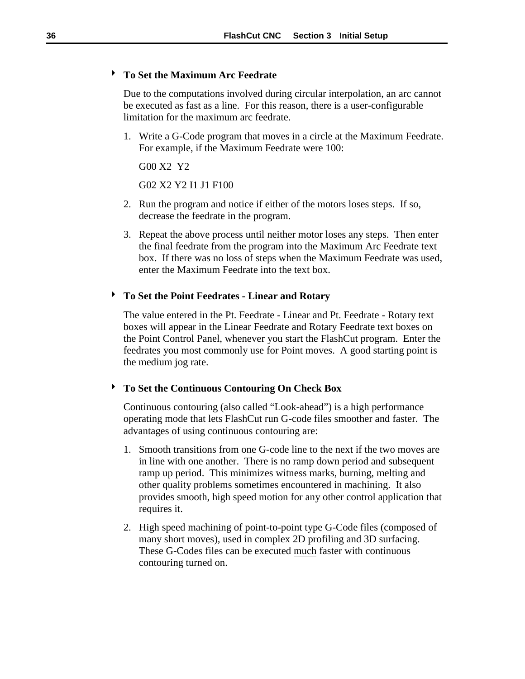### ! **To Set the Maximum Arc Feedrate**

Due to the computations involved during circular interpolation, an arc cannot be executed as fast as a line. For this reason, there is a user-configurable limitation for the maximum arc feedrate.

1. Write a G-Code program that moves in a circle at the Maximum Feedrate. For example, if the Maximum Feedrate were 100:

G00 X2 Y2

G02 X2 Y2 I1 J1 F100

- 2. Run the program and notice if either of the motors loses steps. If so, decrease the feedrate in the program.
- 3. Repeat the above process until neither motor loses any steps. Then enter the final feedrate from the program into the Maximum Arc Feedrate text box. If there was no loss of steps when the Maximum Feedrate was used, enter the Maximum Feedrate into the text box.

#### ! **To Set the Point Feedrates - Linear and Rotary**

The value entered in the Pt. Feedrate - Linear and Pt. Feedrate - Rotary text boxes will appear in the Linear Feedrate and Rotary Feedrate text boxes on the Point Control Panel, whenever you start the FlashCut program. Enter the feedrates you most commonly use for Point moves. A good starting point is the medium jog rate.

#### ! **To Set the Continuous Contouring On Check Box**

Continuous contouring (also called "Look-ahead") is a high performance operating mode that lets FlashCut run G-code files smoother and faster. The advantages of using continuous contouring are:

- 1. Smooth transitions from one G-code line to the next if the two moves are in line with one another. There is no ramp down period and subsequent ramp up period. This minimizes witness marks, burning, melting and other quality problems sometimes encountered in machining. It also provides smooth, high speed motion for any other control application that requires it.
- 2. High speed machining of point-to-point type G-Code files (composed of many short moves), used in complex 2D profiling and 3D surfacing. These G-Codes files can be executed much faster with continuous contouring turned on.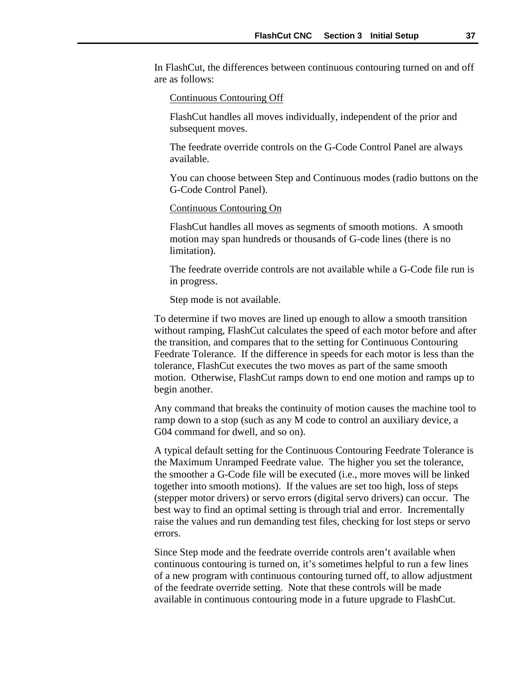In FlashCut, the differences between continuous contouring turned on and off are as follows:

#### Continuous Contouring Off

FlashCut handles all moves individually, independent of the prior and subsequent moves.

The feedrate override controls on the G-Code Control Panel are always available.

You can choose between Step and Continuous modes (radio buttons on the G-Code Control Panel).

#### Continuous Contouring On

FlashCut handles all moves as segments of smooth motions. A smooth motion may span hundreds or thousands of G-code lines (there is no limitation).

The feedrate override controls are not available while a G-Code file run is in progress.

Step mode is not available.

To determine if two moves are lined up enough to allow a smooth transition without ramping, FlashCut calculates the speed of each motor before and after the transition, and compares that to the setting for Continuous Contouring Feedrate Tolerance. If the difference in speeds for each motor is less than the tolerance, FlashCut executes the two moves as part of the same smooth motion. Otherwise, FlashCut ramps down to end one motion and ramps up to begin another.

Any command that breaks the continuity of motion causes the machine tool to ramp down to a stop (such as any M code to control an auxiliary device, a G04 command for dwell, and so on).

A typical default setting for the Continuous Contouring Feedrate Tolerance is the Maximum Unramped Feedrate value. The higher you set the tolerance, the smoother a G-Code file will be executed (i.e., more moves will be linked together into smooth motions). If the values are set too high, loss of steps (stepper motor drivers) or servo errors (digital servo drivers) can occur. The best way to find an optimal setting is through trial and error. Incrementally raise the values and run demanding test files, checking for lost steps or servo errors.

Since Step mode and the feedrate override controls aren't available when continuous contouring is turned on, it's sometimes helpful to run a few lines of a new program with continuous contouring turned off, to allow adjustment of the feedrate override setting. Note that these controls will be made available in continuous contouring mode in a future upgrade to FlashCut.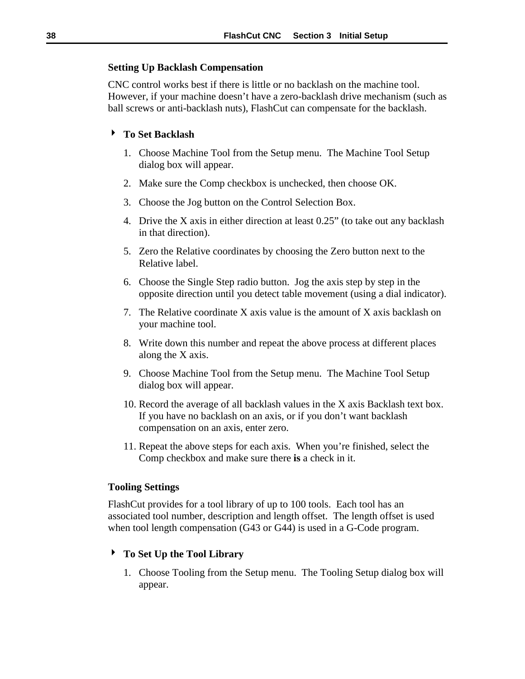#### **Setting Up Backlash Compensation**

CNC control works best if there is little or no backlash on the machine tool. However, if your machine doesn't have a zero-backlash drive mechanism (such as ball screws or anti-backlash nuts), FlashCut can compensate for the backlash.

#### ! **To Set Backlash**

- 1. Choose Machine Tool from the Setup menu. The Machine Tool Setup dialog box will appear.
- 2. Make sure the Comp checkbox is unchecked, then choose OK.
- 3. Choose the Jog button on the Control Selection Box.
- 4. Drive the X axis in either direction at least 0.25" (to take out any backlash in that direction).
- 5. Zero the Relative coordinates by choosing the Zero button next to the Relative label.
- 6. Choose the Single Step radio button. Jog the axis step by step in the opposite direction until you detect table movement (using a dial indicator).
- 7. The Relative coordinate X axis value is the amount of X axis backlash on your machine tool.
- 8. Write down this number and repeat the above process at different places along the X axis.
- 9. Choose Machine Tool from the Setup menu. The Machine Tool Setup dialog box will appear.
- 10. Record the average of all backlash values in the X axis Backlash text box. If you have no backlash on an axis, or if you don't want backlash compensation on an axis, enter zero.
- 11. Repeat the above steps for each axis. When you're finished, select the Comp checkbox and make sure there **is** a check in it.

#### **Tooling Settings**

FlashCut provides for a tool library of up to 100 tools. Each tool has an associated tool number, description and length offset. The length offset is used when tool length compensation (G43 or G44) is used in a G-Code program.

# ! **To Set Up the Tool Library**

1. Choose Tooling from the Setup menu. The Tooling Setup dialog box will appear.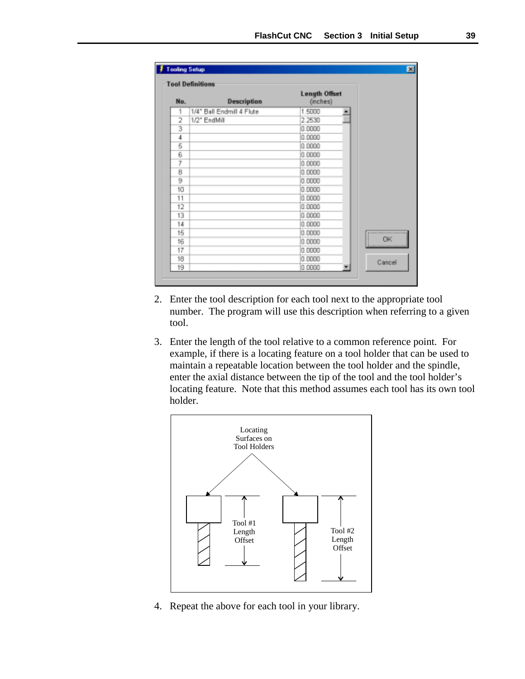| No.            |                           | <b>Length Offset</b> |           |
|----------------|---------------------------|----------------------|-----------|
|                | <b>Description</b>        | (inches)             |           |
| 1              | 1/4" Ball Endmill 4 Flute | 1.5000               | ۰         |
| $\overline{2}$ | 1/2" EndMill              | 2.2530               |           |
| 3              |                           | 0.0000               |           |
| 4              |                           | 0.0000               |           |
| 5              |                           | 0.0000               |           |
| 6              |                           | 0.0000               |           |
| 7              |                           | 0.0000               |           |
| 8              |                           | 0.0000               |           |
| 9              |                           | 0.0000               |           |
| 10             |                           | 0.0000               |           |
| 11             |                           | 0.0000               |           |
| 12             |                           | 0.0000               |           |
| 13             |                           | 0.0000               |           |
| 14             |                           | 0.0000               |           |
| 15             |                           | 0.0000               |           |
| 16             |                           | 0.0000               | <b>OK</b> |
| 17             |                           | 0.0000               |           |
| 18             |                           | 0.0000               |           |
| 19             |                           | 0.0000               | Cancell   |

- 2. Enter the tool description for each tool next to the appropriate tool number. The program will use this description when referring to a given tool.
- 3. Enter the length of the tool relative to a common reference point. For example, if there is a locating feature on a tool holder that can be used to maintain a repeatable location between the tool holder and the spindle, enter the axial distance between the tip of the tool and the tool holder's locating feature. Note that this method assumes each tool has its own tool holder.



4. Repeat the above for each tool in your library.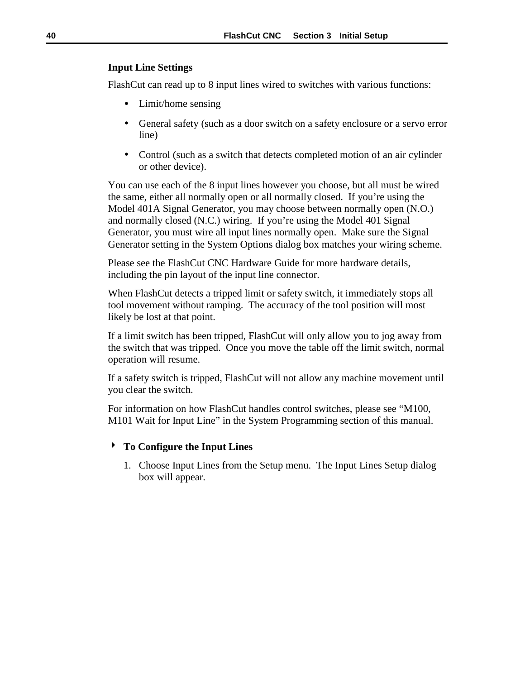### **Input Line Settings**

FlashCut can read up to 8 input lines wired to switches with various functions:

- Limit/home sensing
- General safety (such as a door switch on a safety enclosure or a servo error line)
- Control (such as a switch that detects completed motion of an air cylinder or other device).

You can use each of the 8 input lines however you choose, but all must be wired the same, either all normally open or all normally closed. If you're using the Model 401A Signal Generator, you may choose between normally open (N.O.) and normally closed (N.C.) wiring. If you're using the Model 401 Signal Generator, you must wire all input lines normally open. Make sure the Signal Generator setting in the System Options dialog box matches your wiring scheme.

Please see the FlashCut CNC Hardware Guide for more hardware details, including the pin layout of the input line connector.

When FlashCut detects a tripped limit or safety switch, it immediately stops all tool movement without ramping. The accuracy of the tool position will most likely be lost at that point.

If a limit switch has been tripped, FlashCut will only allow you to jog away from the switch that was tripped. Once you move the table off the limit switch, normal operation will resume.

If a safety switch is tripped, FlashCut will not allow any machine movement until you clear the switch.

For information on how FlashCut handles control switches, please see "M100, M101 Wait for Input Line" in the System Programming section of this manual.

# ! **To Configure the Input Lines**

1. Choose Input Lines from the Setup menu. The Input Lines Setup dialog box will appear.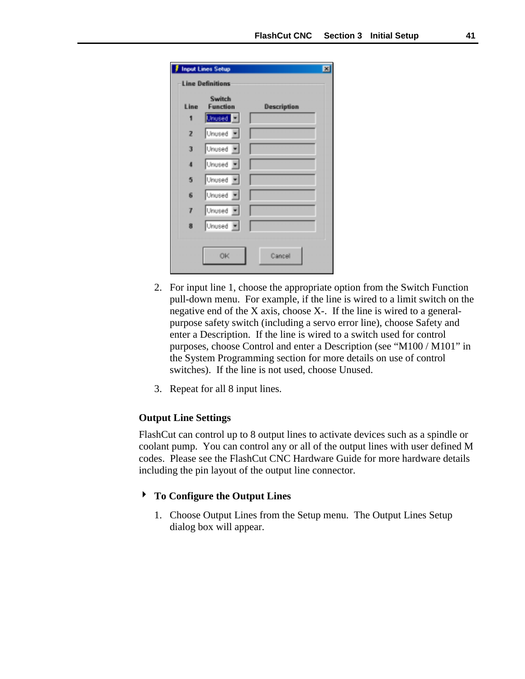<span id="page-44-0"></span>

|                | <b>Input Lines Setup</b>  |             | ⊠ |
|----------------|---------------------------|-------------|---|
|                | <b>Line Definitions</b>   |             |   |
| Line           | Switch<br><b>Function</b> | Description |   |
| 1              | Unused <sup>1</sup>       |             |   |
| $\overline{z}$ | Unused =                  |             |   |
| 3              | Unused =                  |             |   |
| 4              | Unused -                  |             |   |
| 5              | Unused F                  |             |   |
| 6              | Unused <b>F</b>           |             |   |
| 7              | Unused =                  |             |   |
| 8              | Unused <b>F</b>           |             |   |
|                | 0K                        | Cancel      |   |

- 2. For input line 1, choose the appropriate option from the Switch Function pull-down menu. For example, if the line is wired to a limit switch on the negative end of the X axis, choose X-. If the line is wired to a generalpurpose safety switch (including a servo error line), choose Safety and enter a Description. If the line is wired to a switch used for control purposes, choose Control and enter a Description (see "M100 / M101" in the System Programming section for more details on use of control switches). If the line is not used, choose Unused.
- 3. Repeat for all 8 input lines.

#### **Output Line Settings**

FlashCut can control up to 8 output lines to activate devices such as a spindle or coolant pump. You can control any or all of the output lines with user defined M codes. Please see the FlashCut CNC Hardware Guide for more hardware details including the pin layout of the output line connector.

#### ! **To Configure the Output Lines**

1. Choose Output Lines from the Setup menu. The Output Lines Setup dialog box will appear.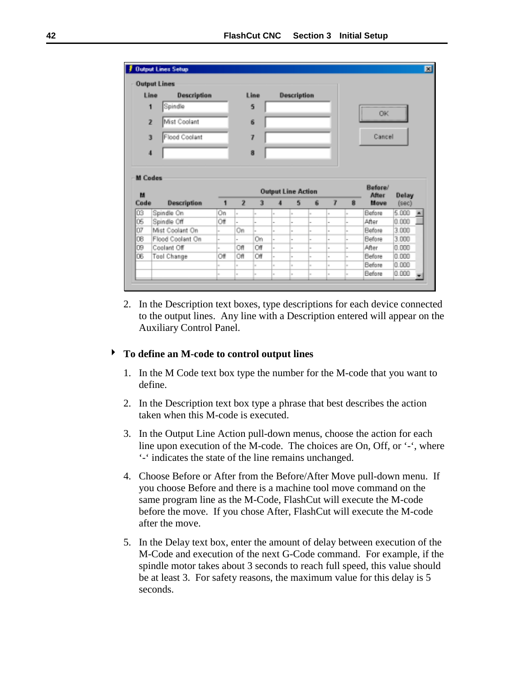|                                                                  | <b>Output Lines</b> |     |                         |      |                          |                           |   |                          |    |               |                |  |
|------------------------------------------------------------------|---------------------|-----|-------------------------|------|--------------------------|---------------------------|---|--------------------------|----|---------------|----------------|--|
| Line                                                             | <b>Description</b>  |     |                         | Line |                          | <b>Description</b>        |   |                          |    |               |                |  |
| 1                                                                | Spindle             |     |                         | 5    |                          |                           |   |                          |    | <b>OK</b>     |                |  |
| $\overline{z}$                                                   | Mist Coolant        |     |                         | 6    |                          |                           |   |                          |    |               |                |  |
| 3                                                                | Flood Coolant       |     |                         | 7    |                          |                           |   |                          |    | Cancel        |                |  |
| 4                                                                |                     |     |                         | 8    |                          |                           |   |                          |    |               |                |  |
|                                                                  |                     |     |                         |      |                          |                           |   |                          |    |               |                |  |
| <b>M</b> Codes                                                   |                     |     |                         |      |                          |                           |   |                          |    |               |                |  |
|                                                                  |                     |     |                         |      |                          | <b>Output Line Action</b> |   |                          |    | Before/       |                |  |
| м                                                                | Description         | 1   | $\overline{\mathbf{z}}$ | 3    |                          | 5                         | 6 | 7                        | 8  | After<br>Move | Delay<br>(sec) |  |
|                                                                  | Spindle On          | Οn  | ×.                      |      | $\sim$                   | w                         |   | ä,                       |    | Before        | 5.000          |  |
|                                                                  | Spindle Off         | Off |                         |      | $\sim$                   | i.                        |   | $\overline{a}$           |    | After         | 0.000          |  |
|                                                                  | Mist Coolant On     |     | Οn                      |      | $\overline{\phantom{a}}$ | ı.                        |   | ı.                       |    | Before        | 3.000          |  |
|                                                                  | Flood Coolant On    |     |                         | On   | $\sim$                   | ı.                        |   | $\overline{a}$           |    | Before        | 3.000          |  |
|                                                                  | Coolant Off         | ×.  | Off                     | Оf   | $\sim$                   | ı.                        |   | $\overline{\phantom{a}}$ |    | After         | 0.000          |  |
|                                                                  | Tool Change         | Of  | Off                     | Off  | $\sim$                   | m                         | w | $\sim$                   | u  | Before        | 0.000          |  |
| Code<br>ÛЗ<br>ÛŚ<br>Ū7<br>08<br>D <sub>®</sub><br>D <sub>6</sub> |                     | ×   | $\sim$                  | i.   | $\sim$                   | in.                       | w | $\sim$                   | ı. | Before        | 0.000          |  |

2. In the Description text boxes, type descriptions for each device connected to the output lines. Any line with a Description entered will appear on the Auxiliary Control Panel.

### ! **To define an M-code to control output lines**

- 1. In the M Code text box type the number for the M-code that you want to define.
- 2. In the Description text box type a phrase that best describes the action taken when this M-code is executed.
- 3. In the Output Line Action pull-down menus, choose the action for each line upon execution of the M-code. The choices are On, Off, or '-', where '-' indicates the state of the line remains unchanged.
- 4. Choose Before or After from the Before/After Move pull-down menu. If you choose Before and there is a machine tool move command on the same program line as the M-Code, FlashCut will execute the M-code before the move. If you chose After, FlashCut will execute the M-code after the move.
- 5. In the Delay text box, enter the amount of delay between execution of the M-Code and execution of the next G-Code command. For example, if the spindle motor takes about 3 seconds to reach full speed, this value should be at least 3. For safety reasons, the maximum value for this delay is 5 seconds.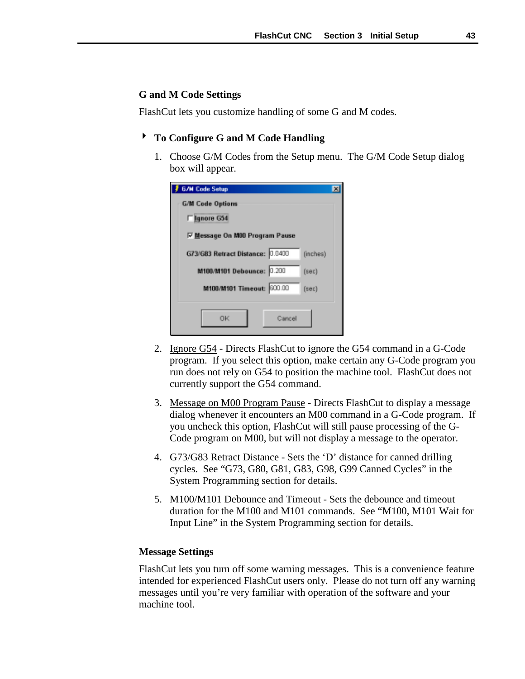#### **G and M Code Settings**

FlashCut lets you customize handling of some G and M codes.

#### ! **To Configure G and M Code Handling**

1. Choose G/M Codes from the Setup menu. The G/M Code Setup dialog box will appear.

| <b>G/M Code Setup</b>                        |  |
|----------------------------------------------|--|
| <b>G/M Code Options</b>                      |  |
| <b>Flanore G54</b>                           |  |
| <b>▽ Message On M00 Program Pause</b>        |  |
| G73/G83 Retract Distance: 0.0400<br>(inches) |  |
| M100/M101 Debounce: 0.200<br>[sec]           |  |
| M100/M101 Timeout: 600.00<br>[sec]           |  |
| OK<br>Cancel                                 |  |

- 2. Ignore G54 Directs FlashCut to ignore the G54 command in a G-Code program. If you select this option, make certain any G-Code program you run does not rely on G54 to position the machine tool. FlashCut does not currently support the G54 command.
- 3. Message on M00 Program Pause Directs FlashCut to display a message dialog whenever it encounters an M00 command in a G-Code program. If you uncheck this option, FlashCut will still pause processing of the G-Code program on M00, but will not display a message to the operator.
- 4. G73/G83 Retract Distance Sets the 'D' distance for canned drilling cycles. See "G73, G80, G81, G83, G98, G99 Canned Cycles" in the System Programming section for details.
- 5. M100/M101 Debounce and Timeout Sets the debounce and timeout duration for the M100 and M101 commands. See "M100, M101 Wait for Input Line" in the System Programming section for details.

#### **Message Settings**

FlashCut lets you turn off some warning messages. This is a convenience feature intended for experienced FlashCut users only. Please do not turn off any warning messages until you're very familiar with operation of the software and your machine tool.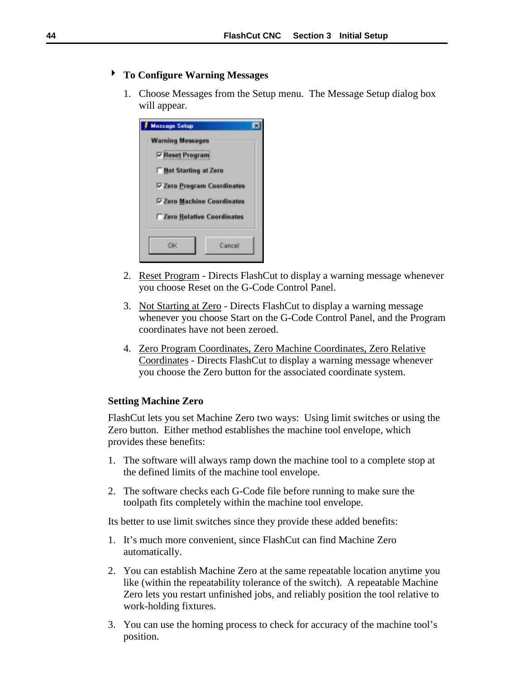# ! **To Configure Warning Messages**

1. Choose Messages from the Setup menu. The Message Setup dialog box will appear.

| <b>Message Setup</b>              |  |  |
|-----------------------------------|--|--|
| <b>Warning Messages</b>           |  |  |
| <b>▽ Reset Program</b>            |  |  |
| Mot Starting at Zero              |  |  |
| <b>▽ Zero Program Coordinates</b> |  |  |
| <b>▽ Zero Machine Coordinates</b> |  |  |
| Zero Relative Coordinates         |  |  |
| Cancel<br>ΩК                      |  |  |

- 2. Reset Program Directs FlashCut to display a warning message whenever you choose Reset on the G-Code Control Panel.
- 3. Not Starting at Zero Directs FlashCut to display a warning message whenever you choose Start on the G-Code Control Panel, and the Program coordinates have not been zeroed.
- 4. Zero Program Coordinates, Zero Machine Coordinates, Zero Relative Coordinates - Directs FlashCut to display a warning message whenever you choose the Zero button for the associated coordinate system.

#### **Setting Machine Zero**

FlashCut lets you set Machine Zero two ways: Using limit switches or using the Zero button. Either method establishes the machine tool envelope, which provides these benefits:

- 1. The software will always ramp down the machine tool to a complete stop at the defined limits of the machine tool envelope.
- 2. The software checks each G-Code file before running to make sure the toolpath fits completely within the machine tool envelope.

Its better to use limit switches since they provide these added benefits:

- 1. It's much more convenient, since FlashCut can find Machine Zero automatically.
- 2. You can establish Machine Zero at the same repeatable location anytime you like (within the repeatability tolerance of the switch). A repeatable Machine Zero lets you restart unfinished jobs, and reliably position the tool relative to work-holding fixtures.
- 3. You can use the homing process to check for accuracy of the machine tool's position.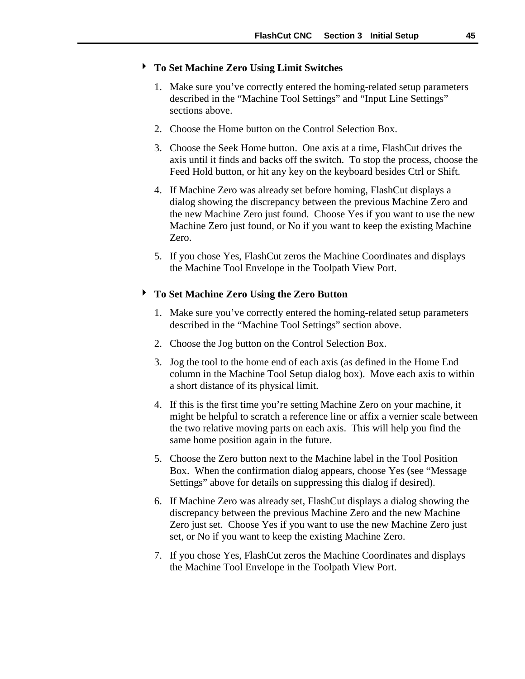#### ! **To Set Machine Zero Using Limit Switches**

- 1. Make sure you've correctly entered the homing-related setup parameters described in the "Machine Tool Settings" and "Input Line Settings" sections above.
- 2. Choose the Home button on the Control Selection Box.
- 3. Choose the Seek Home button. One axis at a time, FlashCut drives the axis until it finds and backs off the switch. To stop the process, choose the Feed Hold button, or hit any key on the keyboard besides Ctrl or Shift.
- 4. If Machine Zero was already set before homing, FlashCut displays a dialog showing the discrepancy between the previous Machine Zero and the new Machine Zero just found. Choose Yes if you want to use the new Machine Zero just found, or No if you want to keep the existing Machine Zero.
- 5. If you chose Yes, FlashCut zeros the Machine Coordinates and displays the Machine Tool Envelope in the Toolpath View Port.

### ! **To Set Machine Zero Using the Zero Button**

- 1. Make sure you've correctly entered the homing-related setup parameters described in the "Machine Tool Settings" section above.
- 2. Choose the Jog button on the Control Selection Box.
- 3. Jog the tool to the home end of each axis (as defined in the Home End column in the Machine Tool Setup dialog box). Move each axis to within a short distance of its physical limit.
- 4. If this is the first time you're setting Machine Zero on your machine, it might be helpful to scratch a reference line or affix a vernier scale between the two relative moving parts on each axis. This will help you find the same home position again in the future.
- 5. Choose the Zero button next to the Machine label in the Tool Position Box. When the confirmation dialog appears, choose Yes (see "Message Settings" above for details on suppressing this dialog if desired).
- 6. If Machine Zero was already set, FlashCut displays a dialog showing the discrepancy between the previous Machine Zero and the new Machine Zero just set. Choose Yes if you want to use the new Machine Zero just set, or No if you want to keep the existing Machine Zero.
- 7. If you chose Yes, FlashCut zeros the Machine Coordinates and displays the Machine Tool Envelope in the Toolpath View Port.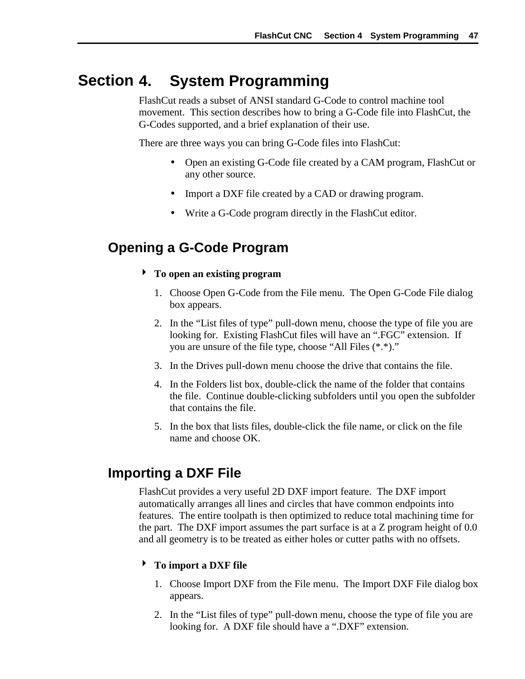#### **4. System Programming Section**

FlashCut reads a subset of ANSI standard G-Code to control machine tool movement. This section describes how to bring a G-Code file into FlashCut, the G-Codes supported, and a brief explanation of their use.

There are three ways you can bring G-Code files into FlashCut:

- Open an existing G-Code file created by a CAM program, FlashCut or any other source.
- Import a DXF file created by a CAD or drawing program.
- Write a G-Code program directly in the FlashCut editor.

# **Opening a G-Code Program**

- ! **To open an existing program**
	- 1. Choose Open G-Code from the File menu. The Open G-Code File dialog box appears.
	- 2. In the "List files of type" pull-down menu, choose the type of file you are looking for. Existing FlashCut files will have an ".FGC" extension. If you are unsure of the file type, choose "All Files (\*.\*)."
	- 3. In the Drives pull-down menu choose the drive that contains the file.
	- 4. In the Folders list box, double-click the name of the folder that contains the file. Continue double-clicking subfolders until you open the subfolder that contains the file.
	- 5. In the box that lists files, double-click the file name, or click on the file name and choose OK.

# **Importing a DXF File**

FlashCut provides a very useful 2D DXF import feature. The DXF import automatically arranges all lines and circles that have common endpoints into features. The entire toolpath is then optimized to reduce total machining time for the part. The DXF import assumes the part surface is at a Z program height of 0.0 and all geometry is to be treated as either holes or cutter paths with no offsets.

### ! **To import a DXF file**

- 1. Choose Import DXF from the File menu. The Import DXF File dialog box appears.
- 2. In the "List files of type" pull-down menu, choose the type of file you are looking for. A DXF file should have a ".DXF" extension.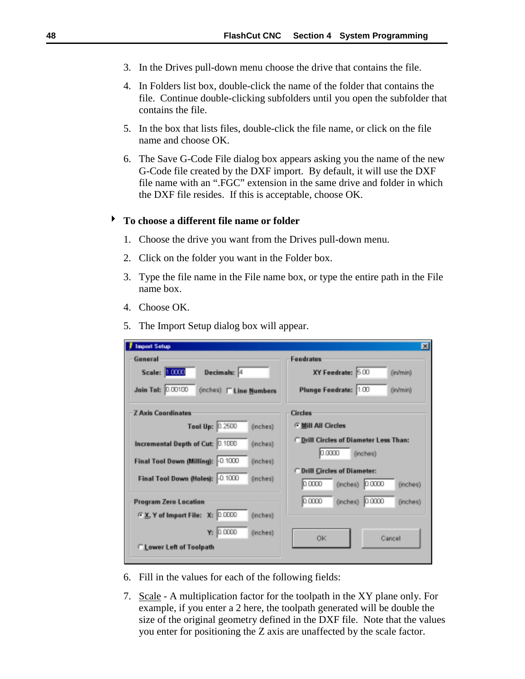- 3. In the Drives pull-down menu choose the drive that contains the file.
- 4. In Folders list box, double-click the name of the folder that contains the file. Continue double-clicking subfolders until you open the subfolder that contains the file.
- 5. In the box that lists files, double-click the file name, or click on the file name and choose OK.
- 6. The Save G-Code File dialog box appears asking you the name of the new G-Code file created by the DXF import. By default, it will use the DXF file name with an ".FGC" extension in the same drive and folder in which the DXF file resides. If this is acceptable, choose OK.

#### ! **To choose a different file name or folder**

- 1. Choose the drive you want from the Drives pull-down menu.
- 2. Click on the folder you want in the Folder box.
- 3. Type the file name in the File name box, or type the entire path in the File name box.
- 4. Choose OK.
- 5. The Import Setup dialog box will appear.

| <b>Import Setup</b>                             | 図                                                                            |
|-------------------------------------------------|------------------------------------------------------------------------------|
| General                                         | <b>Feedrates</b>                                                             |
| Scale: 10000<br>Decimals: 4                     | XY Feedrate: 5.00<br>(in/min)                                                |
| Join Tol: 0.00100<br>(inches)   Line Numbers    | Plunge Feedrate: 1.00<br>(in/min)                                            |
| <b>Z Axis Coordinates</b>                       | Circles                                                                      |
| Tool Up: 0.2500<br>(inches)                     | <b>C Mill All Circles</b>                                                    |
| Incremental Depth of Cut: 0.1000<br>(inches)    | C Drill Circles of Diameter Less Than:                                       |
| Final Tool Down (Milling): - 0.1000<br>(inches) | 0.0000<br>(inches)                                                           |
| Final Tool Down (Holes): -0.1000<br>(inches)    | <b>C</b> Drill Circles of Diameter:<br>0.0000<br>(inches) 0.0000<br>(inches) |
| <b>Program Zero Location</b>                    | 0.0000<br>0.0000<br>(inches)<br>(inches)                                     |
| F.X. Y of Import File: X: 0.0000<br>(inches)    |                                                                              |
| 0.0000<br>Y.<br>(inches)                        | 0K<br>Cancel                                                                 |
| C.Lower Left of Toolpath                        |                                                                              |

- 6. Fill in the values for each of the following fields:
- 7. Scale A multiplication factor for the toolpath in the XY plane only. For example, if you enter a 2 here, the toolpath generated will be double the size of the original geometry defined in the DXF file. Note that the values you enter for positioning the Z axis are unaffected by the scale factor.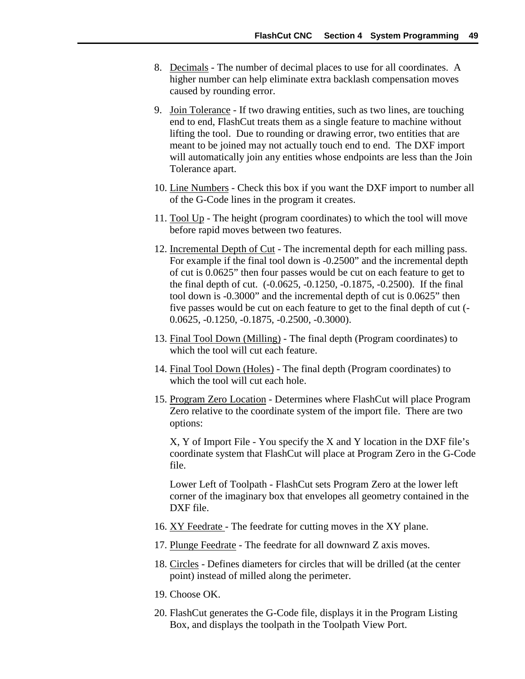- 8. Decimals The number of decimal places to use for all coordinates. A higher number can help eliminate extra backlash compensation moves caused by rounding error.
- 9. Join Tolerance If two drawing entities, such as two lines, are touching end to end, FlashCut treats them as a single feature to machine without lifting the tool. Due to rounding or drawing error, two entities that are meant to be joined may not actually touch end to end. The DXF import will automatically join any entities whose endpoints are less than the Join Tolerance apart.
- 10. Line Numbers Check this box if you want the DXF import to number all of the G-Code lines in the program it creates.
- 11. Tool Up The height (program coordinates) to which the tool will move before rapid moves between two features.
- 12. Incremental Depth of Cut The incremental depth for each milling pass. For example if the final tool down is -0.2500" and the incremental depth of cut is 0.0625" then four passes would be cut on each feature to get to the final depth of cut. (-0.0625, -0.1250, -0.1875, -0.2500). If the final tool down is -0.3000" and the incremental depth of cut is 0.0625" then five passes would be cut on each feature to get to the final depth of cut (- 0.0625, -0.1250, -0.1875, -0.2500, -0.3000).
- 13. Final Tool Down (Milling) The final depth (Program coordinates) to which the tool will cut each feature.
- 14. Final Tool Down (Holes) The final depth (Program coordinates) to which the tool will cut each hole.
- 15. Program Zero Location Determines where FlashCut will place Program Zero relative to the coordinate system of the import file. There are two options:

X, Y of Import File - You specify the X and Y location in the DXF file's coordinate system that FlashCut will place at Program Zero in the G-Code file.

Lower Left of Toolpath - FlashCut sets Program Zero at the lower left corner of the imaginary box that envelopes all geometry contained in the DXF file.

- 16. XY Feedrate The feedrate for cutting moves in the XY plane.
- 17. Plunge Feedrate The feedrate for all downward Z axis moves.
- 18. Circles Defines diameters for circles that will be drilled (at the center point) instead of milled along the perimeter.
- 19. Choose OK.
- 20. FlashCut generates the G-Code file, displays it in the Program Listing Box, and displays the toolpath in the Toolpath View Port.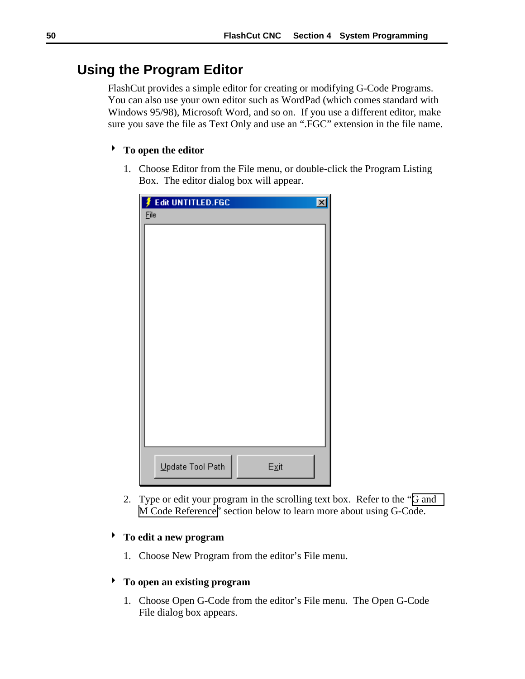# **Using the Program Editor**

FlashCut provides a simple editor for creating or modifying G-Code Programs. You can also use your own editor such as WordPad (which comes standard with Windows 95/98), Microsoft Word, and so on. If you use a different editor, make sure you save the file as Text Only and use an ".FGC" extension in the file name.

### ! **To open the editor**

1. Choose Editor from the File menu, or double-click the Program Listing Box. The editor dialog box will appear.

|      | Edit UNTITLED.FGC |                        | $\vert x \vert$ |
|------|-------------------|------------------------|-----------------|
| Eile |                   |                        |                 |
|      |                   |                        |                 |
|      |                   |                        |                 |
|      |                   |                        |                 |
|      |                   |                        |                 |
|      |                   |                        |                 |
|      |                   |                        |                 |
|      |                   |                        |                 |
|      |                   |                        |                 |
|      |                   |                        |                 |
|      |                   |                        |                 |
|      |                   |                        |                 |
|      |                   |                        |                 |
|      |                   |                        |                 |
|      |                   |                        |                 |
|      | Update Tool Path  | $E_{\underline{X}}$ it |                 |

2. Type or edit your program in the scrolling text box. Refer to the "[G and](#page-58-0) [M Code Reference"](#page-58-0) section below to learn more about using G-Code.

# ! **To edit a new program**

1. Choose New Program from the editor's File menu.

### ! **To open an existing program**

1. Choose Open G-Code from the editor's File menu. The Open G-Code File dialog box appears.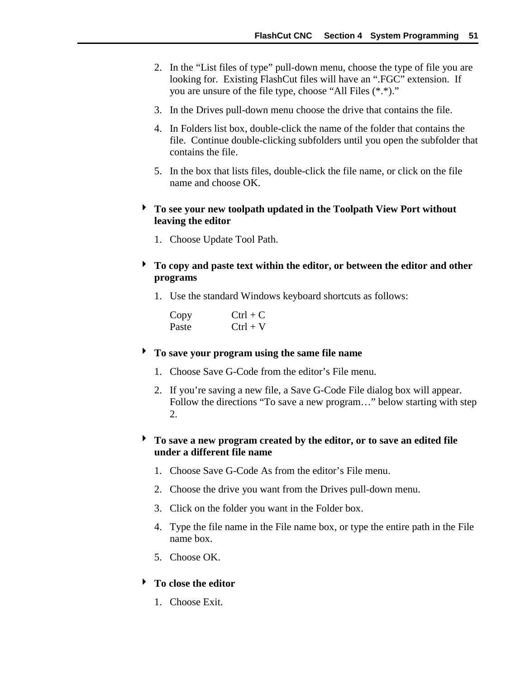- 2. In the "List files of type" pull-down menu, choose the type of file you are looking for. Existing FlashCut files will have an ".FGC" extension. If you are unsure of the file type, choose "All Files (\*.\*)."
- 3. In the Drives pull-down menu choose the drive that contains the file.
- 4. In Folders list box, double-click the name of the folder that contains the file. Continue double-clicking subfolders until you open the subfolder that contains the file.
- 5. In the box that lists files, double-click the file name, or click on the file name and choose OK.
- ! **To see your new toolpath updated in the Toolpath View Port without leaving the editor**
	- 1. Choose Update Tool Path.
- ! **To copy and paste text within the editor, or between the editor and other programs**
	- 1. Use the standard Windows keyboard shortcuts as follows:

| Copy  | $Ctrl + C$ |
|-------|------------|
| Paste | $Ctrl + V$ |

### ! **To save your program using the same file name**

- 1. Choose Save G-Code from the editor's File menu.
- 2. If you're saving a new file, a Save G-Code File dialog box will appear. Follow the directions "To save a new program…" below starting with step 2.

# ! **To save a new program created by the editor, or to save an edited file under a different file name**

- 1. Choose Save G-Code As from the editor's File menu.
- 2. Choose the drive you want from the Drives pull-down menu.
- 3. Click on the folder you want in the Folder box.
- 4. Type the file name in the File name box, or type the entire path in the File name box.
- 5. Choose OK.
- ! **To close the editor**
	- 1. Choose Exit.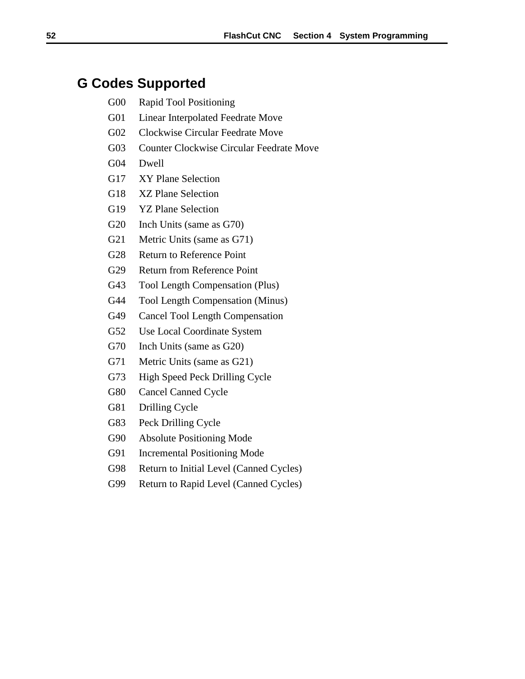# **G Codes Supported**

- G00 Rapid Tool Positioning
- G01 Linear Interpolated Feedrate Move
- G02 Clockwise Circular Feedrate Move
- G03 Counter Clockwise Circular Feedrate Move
- G04 Dwell
- G17 XY Plane Selection
- G18 XZ Plane Selection
- G19 YZ Plane Selection
- G20 Inch Units (same as G70)
- G21 Metric Units (same as G71)
- G28 Return to Reference Point
- G29 Return from Reference Point
- G43 Tool Length Compensation (Plus)
- G44 Tool Length Compensation (Minus)
- G49 Cancel Tool Length Compensation
- G52 Use Local Coordinate System
- G70 Inch Units (same as G20)
- G71 Metric Units (same as G21)
- G73 High Speed Peck Drilling Cycle
- G80 Cancel Canned Cycle
- G81 Drilling Cycle
- G83 Peck Drilling Cycle
- G90 Absolute Positioning Mode
- G91 Incremental Positioning Mode
- G98 Return to Initial Level (Canned Cycles)
- G99 Return to Rapid Level (Canned Cycles)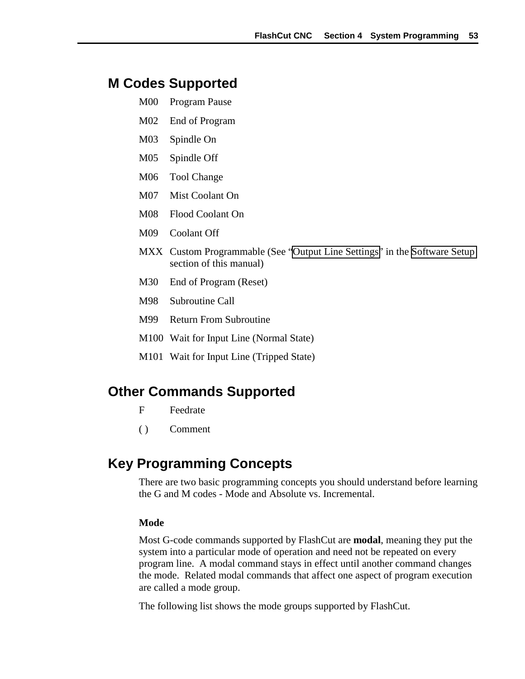# **M Codes Supported**

- M00 Program Pause
- M02 End of Program
- M03 Spindle On
- M05 Spindle Off
- M06 Tool Change
- M07 Mist Coolant On
- M08 Flood Coolant On
- M09 Coolant Off
- MXX Custom Programmable (See ["Output Line Settings"](#page-44-0) in the [Software Setup](#page-28-0) section of this manual)
- M30 End of Program (Reset)
- M98 Subroutine Call
- M99 Return From Subroutine
- M100 Wait for Input Line (Normal State)
- M101 Wait for Input Line (Tripped State)

# **Other Commands Supported**

- F Feedrate
- ( ) Comment

# **Key Programming Concepts**

There are two basic programming concepts you should understand before learning the G and M codes - Mode and Absolute vs. Incremental.

#### **Mode**

Most G-code commands supported by FlashCut are **modal**, meaning they put the system into a particular mode of operation and need not be repeated on every program line. A modal command stays in effect until another command changes the mode. Related modal commands that affect one aspect of program execution are called a mode group.

The following list shows the mode groups supported by FlashCut.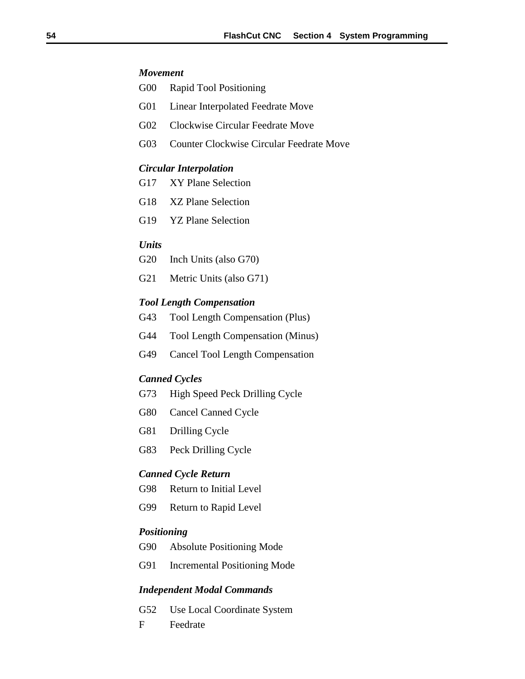#### *Movement*

- G00 Rapid Tool Positioning
- G01 Linear Interpolated Feedrate Move
- G02 Clockwise Circular Feedrate Move
- G03 Counter Clockwise Circular Feedrate Move

#### *Circular Interpolation*

- G17 XY Plane Selection
- G18 XZ Plane Selection
- G19 YZ Plane Selection

#### *Units*

- G20 Inch Units (also G70)
- G21 Metric Units (also G71)

#### *Tool Length Compensation*

- G43 Tool Length Compensation (Plus)
- G44 Tool Length Compensation (Minus)
- G49 Cancel Tool Length Compensation

#### *Canned Cycles*

- G73 High Speed Peck Drilling Cycle
- G80 Cancel Canned Cycle
- G81 Drilling Cycle
- G83 Peck Drilling Cycle

#### *Canned Cycle Return*

- G98 Return to Initial Level
- G99 Return to Rapid Level

#### *Positioning*

- G90 Absolute Positioning Mode
- G91 Incremental Positioning Mode

### *Independent Modal Commands*

- G52 Use Local Coordinate System
- F Feedrate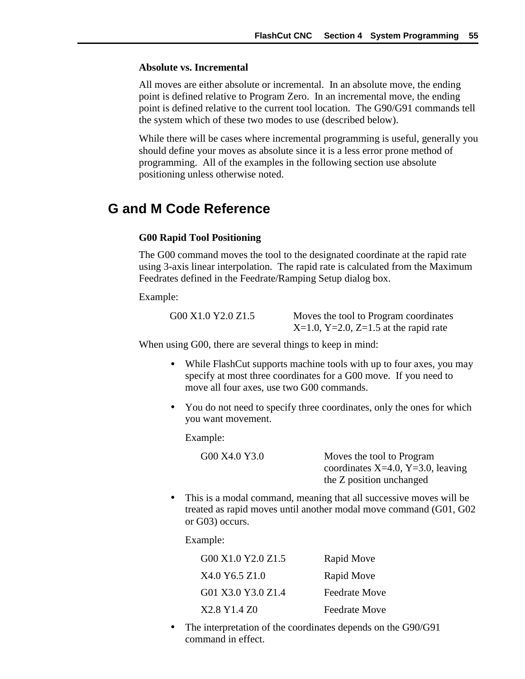### <span id="page-58-0"></span>**Absolute vs. Incremental**

All moves are either absolute or incremental. In an absolute move, the ending point is defined relative to Program Zero. In an incremental move, the ending point is defined relative to the current tool location. The G90/G91 commands tell the system which of these two modes to use (described below).

While there will be cases where incremental programming is useful, generally you should define your moves as absolute since it is a less error prone method of programming. All of the examples in the following section use absolute positioning unless otherwise noted.

# **G and M Code Reference**

#### **G00 Rapid Tool Positioning**

The G00 command moves the tool to the designated coordinate at the rapid rate using 3-axis linear interpolation. The rapid rate is calculated from the Maximum Feedrates defined in the Feedrate/Ramping Setup dialog box.

Example:

G00 X1.0 Y2.0 Z1.5 Moves the tool to Program coordinates  $X=1.0$ ,  $Y=2.0$ ,  $Z=1.5$  at the rapid rate

When using G00, there are several things to keep in mind:

- While FlashCut supports machine tools with up to four axes, you may specify at most three coordinates for a G00 move. If you need to move all four axes, use two G00 commands.
- You do not need to specify three coordinates, only the ones for which you want movement.

Example:

G00 X4.0 Y3.0 Moves the tool to Program coordinates  $X=4.0$ ,  $Y=3.0$ , leaving the Z position unchanged

• This is a modal command, meaning that all successive moves will be treated as rapid moves until another modal move command (G01, G02 or G03) occurs.

Example:

| G00 X1.0 Y2.0 Z1.5 | Rapid Move           |
|--------------------|----------------------|
| X4.0 Y6.5 Z1.0     | Rapid Move           |
| G01 X3.0 Y3.0 Z1.4 | <b>Feedrate Move</b> |
| X2.8 Y1.4 Z0       | <b>Feedrate Move</b> |

• The interpretation of the coordinates depends on the G90/G91 command in effect.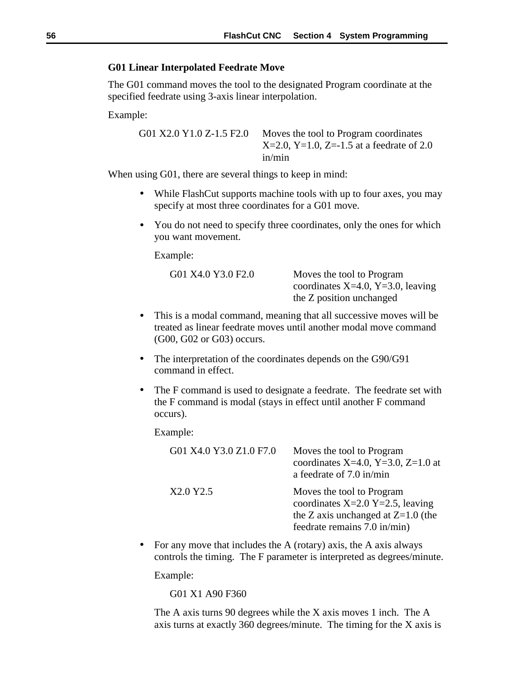#### **G01 Linear Interpolated Feedrate Move**

The G01 command moves the tool to the designated Program coordinate at the specified feedrate using 3-axis linear interpolation.

Example:

G01 X2.0 Y1.0 Z-1.5 F2.0 Moves the tool to Program coordinates  $X=2.0$ ,  $Y=1.0$ ,  $Z=-1.5$  at a feedrate of 2.0 in/min

When using G01, there are several things to keep in mind:

- While FlashCut supports machine tools with up to four axes, you may specify at most three coordinates for a G01 move.
- You do not need to specify three coordinates, only the ones for which you want movement.

Example:

| G01 X4.0 Y3.0 F2.0 | Moves the tool to Program         |
|--------------------|-----------------------------------|
|                    | coordinates X=4.0, Y=3.0, leaving |
|                    | the Z position unchanged          |
|                    |                                   |

- This is a modal command, meaning that all successive moves will be treated as linear feedrate moves until another modal move command (G00, G02 or G03) occurs.
- The interpretation of the coordinates depends on the G90/G91 command in effect.
- The F command is used to designate a feedrate. The feedrate set with the F command is modal (stays in effect until another F command occurs).

Example:

| G01 X4.0 Y3.0 Z1.0 F7.0 | Moves the tool to Program<br>coordinates X=4.0, Y=3.0, Z=1.0 at<br>a feedrate of 7.0 in/min                                             |
|-------------------------|-----------------------------------------------------------------------------------------------------------------------------------------|
| X2.0 Y2.5               | Moves the tool to Program<br>coordinates $X=2.0$ Y=2.5, leaving<br>the Z axis unchanged at $Z=1.0$ (the<br>feedrate remains 7.0 in/min) |

• For any move that includes the A (rotary) axis, the A axis always controls the timing. The F parameter is interpreted as degrees/minute.

Example:

G01 X1 A90 F360

The A axis turns 90 degrees while the X axis moves 1 inch. The A axis turns at exactly 360 degrees/minute. The timing for the X axis is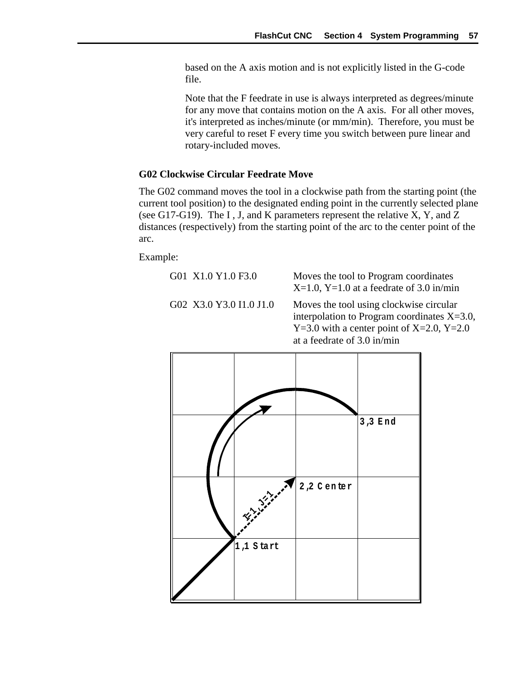based on the A axis motion and is not explicitly listed in the G-code file.

Note that the F feedrate in use is always interpreted as degrees/minute for any move that contains motion on the A axis. For all other moves, it's interpreted as inches/minute (or mm/min). Therefore, you must be very careful to reset F every time you switch between pure linear and rotary-included moves.

#### **G02 Clockwise Circular Feedrate Move**

The G02 command moves the tool in a clockwise path from the starting point (the current tool position) to the designated ending point in the currently selected plane (see G17-G19). The I , J, and K parameters represent the relative X, Y, and Z distances (respectively) from the starting point of the arc to the center point of the arc.

Example:

G01 X1.0 Y1.0 F3.0 Moves the tool to Program coordinates  $X=1.0$ ,  $Y=1.0$  at a feedrate of 3.0 in/min

G02 X3.0 Y3.0 I1.0 J1.0 Moves the tool using clockwise circular interpolation to Program coordinates X=3.0,  $Y=3.0$  with a center point of  $X=2.0$ ,  $Y=2.0$ at a feedrate of 3.0 in/min

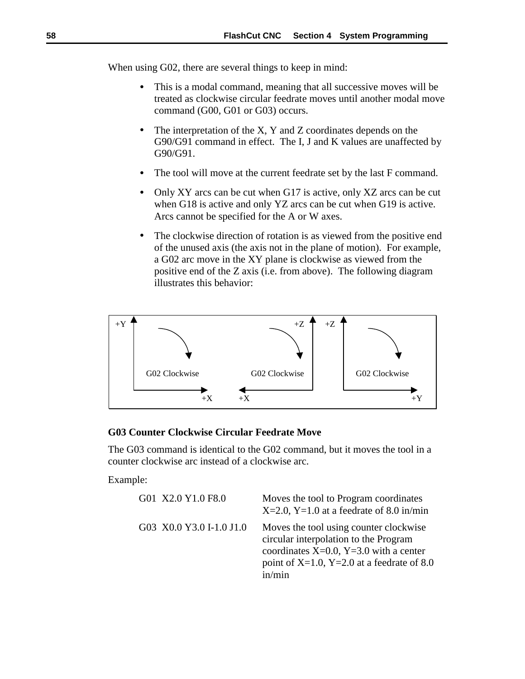When using G02, there are several things to keep in mind:

- This is a modal command, meaning that all successive moves will be treated as clockwise circular feedrate moves until another modal move command (G00, G01 or G03) occurs.
- The interpretation of the X, Y and Z coordinates depends on the G90/G91 command in effect. The I, J and K values are unaffected by G90/G91.
- The tool will move at the current feedrate set by the last F command.
- Only XY arcs can be cut when G17 is active, only XZ arcs can be cut when G18 is active and only YZ arcs can be cut when G19 is active. Arcs cannot be specified for the A or W axes.
- The clockwise direction of rotation is as viewed from the positive end of the unused axis (the axis not in the plane of motion). For example, a G02 arc move in the XY plane is clockwise as viewed from the positive end of the Z axis (i.e. from above). The following diagram illustrates this behavior:



#### **G03 Counter Clockwise Circular Feedrate Move**

The G03 command is identical to the G02 command, but it moves the tool in a counter clockwise arc instead of a clockwise arc.

Example:

| G01 X2.0 Y1.0 F8.0       | Moves the tool to Program coordinates<br>$X=2.0$ , Y=1.0 at a feedrate of 8.0 in/min                                                                                                   |
|--------------------------|----------------------------------------------------------------------------------------------------------------------------------------------------------------------------------------|
| G03 X0.0 Y3.0 I-1.0 J1.0 | Moves the tool using counter clockwise<br>circular interpolation to the Program<br>coordinates $X=0.0$ , $Y=3.0$ with a center<br>point of X=1.0, Y=2.0 at a feedrate of 8.0<br>in/min |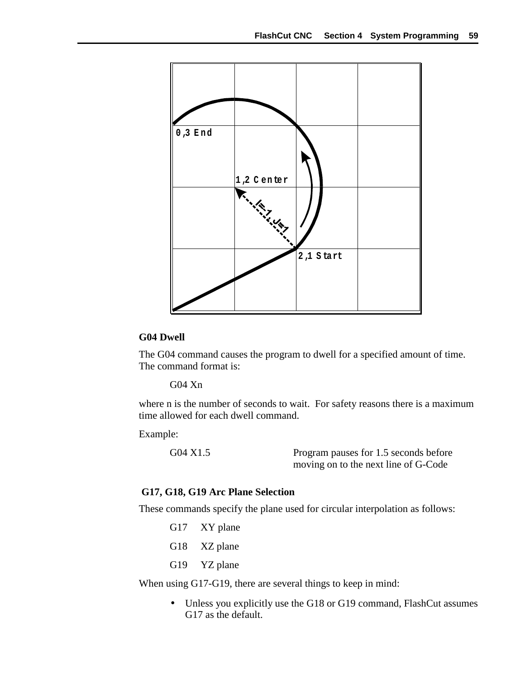

#### **G04 Dwell**

The G04 command causes the program to dwell for a specified amount of time. The command format is:

G04 Xn

where n is the number of seconds to wait. For safety reasons there is a maximum time allowed for each dwell command.

Example:

G04 X1.5 Program pauses for 1.5 seconds before moving on to the next line of G-Code

#### **G17, G18, G19 Arc Plane Selection**

These commands specify the plane used for circular interpolation as follows:

G17 XY plane G18 XZ plane G19 YZ plane

When using G17-G19, there are several things to keep in mind:

• Unless you explicitly use the G18 or G19 command, FlashCut assumes G17 as the default.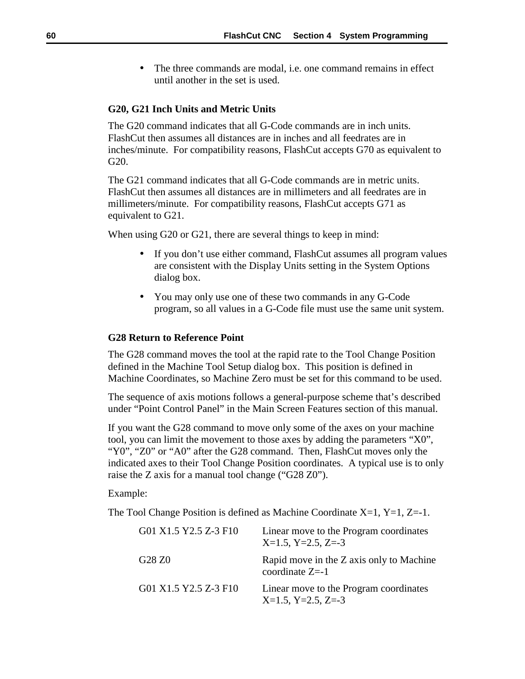The three commands are modal, *i.e.* one command remains in effect until another in the set is used.

#### **G20, G21 Inch Units and Metric Units**

The G20 command indicates that all G-Code commands are in inch units. FlashCut then assumes all distances are in inches and all feedrates are in inches/minute. For compatibility reasons, FlashCut accepts G70 as equivalent to G20.

The G21 command indicates that all G-Code commands are in metric units. FlashCut then assumes all distances are in millimeters and all feedrates are in millimeters/minute. For compatibility reasons, FlashCut accepts G71 as equivalent to G21.

When using G20 or G21, there are several things to keep in mind:

- If you don't use either command, FlashCut assumes all program values are consistent with the Display Units setting in the System Options dialog box.
- You may only use one of these two commands in any G-Code program, so all values in a G-Code file must use the same unit system.

#### **G28 Return to Reference Point**

The G28 command moves the tool at the rapid rate to the Tool Change Position defined in the Machine Tool Setup dialog box. This position is defined in Machine Coordinates, so Machine Zero must be set for this command to be used.

The sequence of axis motions follows a general-purpose scheme that's described under "Point Control Panel" in the Main Screen Features section of this manual.

If you want the G28 command to move only some of the axes on your machine tool, you can limit the movement to those axes by adding the parameters "X0", "Y0", "Z0" or "A0" after the G28 command. Then, FlashCut moves only the indicated axes to their Tool Change Position coordinates. A typical use is to only raise the Z axis for a manual tool change ("G28 Z0").

#### Example:

The Tool Change Position is defined as Machine Coordinate  $X=1$ ,  $Y=1$ ,  $Z=-1$ .

| G01 X1.5 Y2.5 Z-3 F10 | Linear move to the Program coordinates<br>$X=1.5$ , $Y=2.5$ , $Z=-3$ |
|-----------------------|----------------------------------------------------------------------|
| G28 Z0                | Rapid move in the Z axis only to Machine<br>coordinate $Z=1$         |
| G01 X1.5 Y2.5 Z-3 F10 | Linear move to the Program coordinates<br>$X=1.5$ , $Y=2.5$ , $Z=-3$ |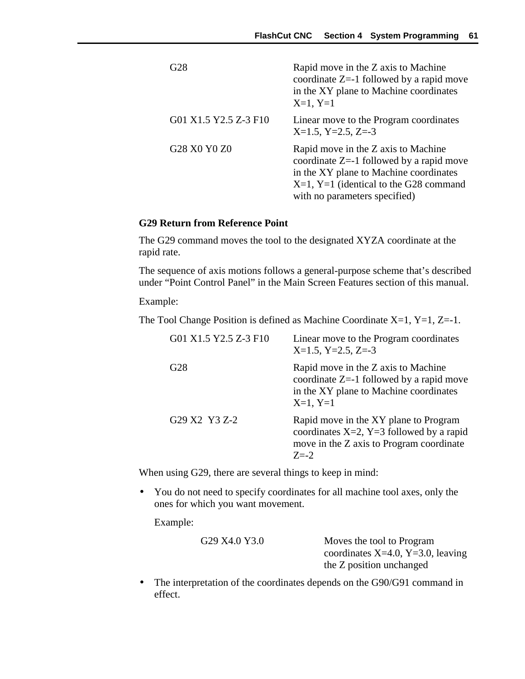| G28                   | Rapid move in the Z axis to Machine<br>coordinate $Z = -1$ followed by a rapid move<br>in the XY plane to Machine coordinates<br>$X=1, Y=1$                                                              |
|-----------------------|----------------------------------------------------------------------------------------------------------------------------------------------------------------------------------------------------------|
| G01 X1.5 Y2.5 Z-3 F10 | Linear move to the Program coordinates<br>$X=1.5$ , $Y=2.5$ , $Z=-3$                                                                                                                                     |
| G28 X0 Y0 Z0          | Rapid move in the Z axis to Machine<br>coordinate $Z=1$ followed by a rapid move<br>in the XY plane to Machine coordinates<br>$X=1$ , Y=1 (identical to the G28 command<br>with no parameters specified) |

### **G29 Return from Reference Point**

The G29 command moves the tool to the designated XYZA coordinate at the rapid rate.

The sequence of axis motions follows a general-purpose scheme that's described under "Point Control Panel" in the Main Screen Features section of this manual.

Example:

The Tool Change Position is defined as Machine Coordinate  $X=1$ ,  $Y=1$ ,  $Z=-1$ .

| G01 X1.5 Y2.5 Z-3 F10 | Linear move to the Program coordinates<br>$X=1.5$ , $Y=2.5$ , $Z=-3$                                                                           |
|-----------------------|------------------------------------------------------------------------------------------------------------------------------------------------|
| G <sub>28</sub>       | Rapid move in the Z axis to Machine<br>coordinate $Z = -1$ followed by a rapid move<br>in the XY plane to Machine coordinates<br>$X=1, Y=1$    |
| G29 X2 Y3 Z-2         | Rapid move in the XY plane to Program<br>coordinates $X=2$ , $Y=3$ followed by a rapid<br>move in the Z axis to Program coordinate<br>$7 = -2$ |

When using G29, there are several things to keep in mind:

• You do not need to specify coordinates for all machine tool axes, only the ones for which you want movement.

Example:

| G29 X4.0 Y3.0 |  |  |
|---------------|--|--|
|               |  |  |

G29 X4.0 Y3.0 Moves the tool to Program coordinates X=4.0, Y=3.0, leaving the Z position unchanged

• The interpretation of the coordinates depends on the G90/G91 command in effect.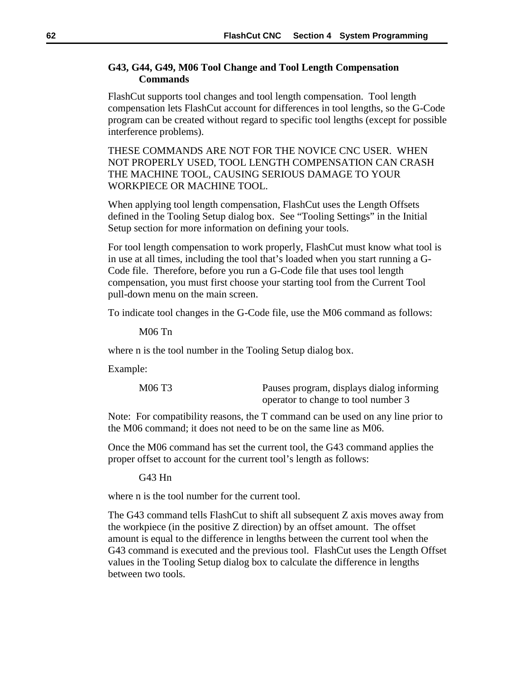### **G43, G44, G49, M06 Tool Change and Tool Length Compensation Commands**

FlashCut supports tool changes and tool length compensation. Tool length compensation lets FlashCut account for differences in tool lengths, so the G-Code program can be created without regard to specific tool lengths (except for possible interference problems).

THESE COMMANDS ARE NOT FOR THE NOVICE CNC USER. WHEN NOT PROPERLY USED, TOOL LENGTH COMPENSATION CAN CRASH THE MACHINE TOOL, CAUSING SERIOUS DAMAGE TO YOUR WORKPIECE OR MACHINE TOOL.

When applying tool length compensation, FlashCut uses the Length Offsets defined in the Tooling Setup dialog box. See "Tooling Settings" in the Initial Setup section for more information on defining your tools.

For tool length compensation to work properly, FlashCut must know what tool is in use at all times, including the tool that's loaded when you start running a G-Code file. Therefore, before you run a G-Code file that uses tool length compensation, you must first choose your starting tool from the Current Tool pull-down menu on the main screen.

To indicate tool changes in the G-Code file, use the M06 command as follows:

M06 Tn

where n is the tool number in the Tooling Setup dialog box.

Example:

| M06 T3 | Pauses program, displays dialog informing |
|--------|-------------------------------------------|
|        | operator to change to tool number 3       |

Note: For compatibility reasons, the T command can be used on any line prior to the M06 command; it does not need to be on the same line as M06.

Once the M06 command has set the current tool, the G43 command applies the proper offset to account for the current tool's length as follows:

G43 Hn

where n is the tool number for the current tool.

The G43 command tells FlashCut to shift all subsequent Z axis moves away from the workpiece (in the positive Z direction) by an offset amount. The offset amount is equal to the difference in lengths between the current tool when the G43 command is executed and the previous tool. FlashCut uses the Length Offset values in the Tooling Setup dialog box to calculate the difference in lengths between two tools.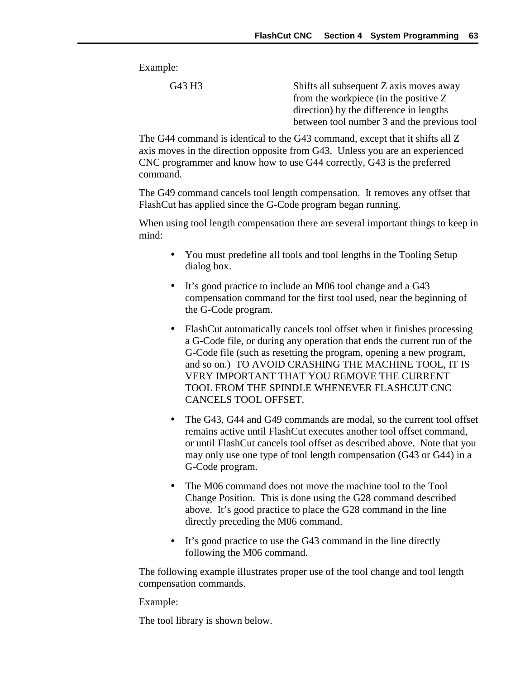Example:

G43 H3 Shifts all subsequent Z axis moves away from the workpiece (in the positive Z direction) by the difference in lengths between tool number 3 and the previous tool

The G44 command is identical to the G43 command, except that it shifts all Z axis moves in the direction opposite from G43. Unless you are an experienced CNC programmer and know how to use G44 correctly, G43 is the preferred command.

The G49 command cancels tool length compensation. It removes any offset that FlashCut has applied since the G-Code program began running.

When using tool length compensation there are several important things to keep in mind:

- You must predefine all tools and tool lengths in the Tooling Setup dialog box.
- It's good practice to include an M06 tool change and a G43 compensation command for the first tool used, near the beginning of the G-Code program.
- FlashCut automatically cancels tool offset when it finishes processing a G-Code file, or during any operation that ends the current run of the G-Code file (such as resetting the program, opening a new program, and so on.) TO AVOID CRASHING THE MACHINE TOOL, IT IS VERY IMPORTANT THAT YOU REMOVE THE CURRENT TOOL FROM THE SPINDLE WHENEVER FLASHCUT CNC CANCELS TOOL OFFSET.
- The G43, G44 and G49 commands are modal, so the current tool offset remains active until FlashCut executes another tool offset command, or until FlashCut cancels tool offset as described above. Note that you may only use one type of tool length compensation (G43 or G44) in a G-Code program.
- The M06 command does not move the machine tool to the Tool Change Position. This is done using the G28 command described above. It's good practice to place the G28 command in the line directly preceding the M06 command.
- It's good practice to use the G43 command in the line directly following the M06 command.

The following example illustrates proper use of the tool change and tool length compensation commands.

Example:

The tool library is shown below.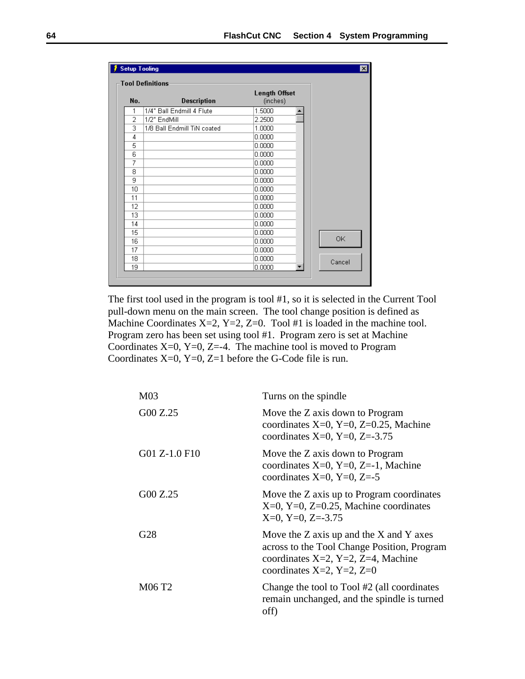|     | <b>Setup Tooling</b><br><b>Tool Definitions</b> |                                  |        |
|-----|-------------------------------------------------|----------------------------------|--------|
| No. | <b>Description</b>                              | <b>Length Offset</b><br>(inches) |        |
| 1   | 1/4" Ball Endmill 4 Flute                       | 1.5000                           |        |
| 2   | 1/2" EndMill                                    | 2.2500                           |        |
| 3   | 1/8 Ball Endmill TiN coated                     | 1.0000                           |        |
| 4   |                                                 | 0.0000                           |        |
| 5   |                                                 | 0.0000                           |        |
| 6   |                                                 | 0.0000                           |        |
| 7   |                                                 | 0.0000                           |        |
| 8   |                                                 | 0.0000                           |        |
| 9   |                                                 | 0.0000                           |        |
| 10  |                                                 | 0.0000                           |        |
| 11  |                                                 | 0.0000                           |        |
| 12  |                                                 | 0.0000                           |        |
| 13  |                                                 | 0.0000                           |        |
| 14  |                                                 | 0.0000                           |        |
| 15  |                                                 | 0.0000                           |        |
| 16  |                                                 | 0.0000                           | 0K     |
| 17  |                                                 | 0.0000                           |        |
| 18  |                                                 | 0.0000                           | Cancel |
| 19  |                                                 | 0.0000                           |        |

The first tool used in the program is tool #1, so it is selected in the Current Tool pull-down menu on the main screen. The tool change position is defined as Machine Coordinates X=2, Y=2, Z=0. Tool #1 is loaded in the machine tool. Program zero has been set using tool #1. Program zero is set at Machine Coordinates  $X=0$ ,  $Y=0$ ,  $Z=-4$ . The machine tool is moved to Program Coordinates X=0, Y=0, Z=1 before the G-Code file is run.

| M <sub>03</sub> | Turns on the spindle                                                                                                                                                     |
|-----------------|--------------------------------------------------------------------------------------------------------------------------------------------------------------------------|
| G00 Z.25        | Move the Z axis down to Program<br>coordinates $X=0$ , $Y=0$ , $Z=0.25$ , Machine<br>coordinates X=0, Y=0, Z=-3.75                                                       |
| G01 Z-1.0 F10   | Move the Z axis down to Program<br>coordinates $X=0$ , $Y=0$ , $Z=-1$ , Machine<br>coordinates X=0, Y=0, Z=-5                                                            |
| G00 Z.25        | Move the Z axis up to Program coordinates<br>$X=0$ , $Y=0$ , $Z=0.25$ , Machine coordinates<br>$X=0$ , $Y=0$ , $Z=-3.75$                                                 |
| G28             | Move the $Z$ axis up and the $X$ and $Y$ axes<br>across to the Tool Change Position, Program<br>coordinates $X=2$ , $Y=2$ , $Z=4$ , Machine<br>coordinates X=2, Y=2, Z=0 |
| M06 T2          | Change the tool to Tool #2 (all coordinates<br>remain unchanged, and the spindle is turned<br>off)                                                                       |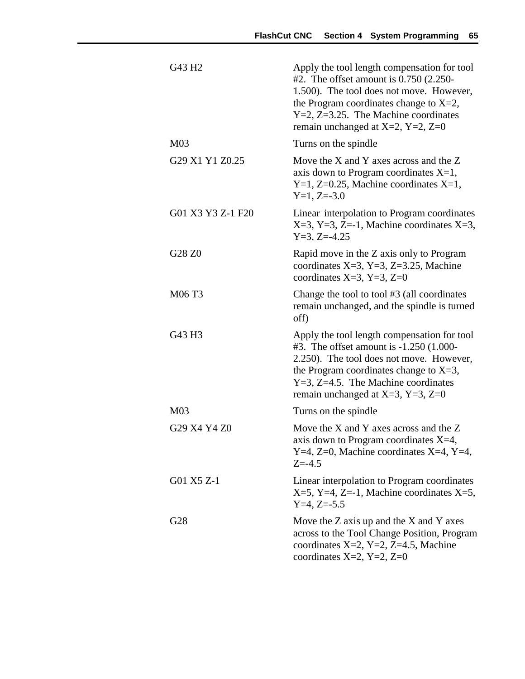| G43 H <sub>2</sub> | Apply the tool length compensation for tool<br>#2. The offset amount is $0.750$ (2.250-<br>1.500). The tool does not move. However,<br>the Program coordinates change to $X=2$ ,<br>$Y=2$ , $Z=3.25$ . The Machine coordinates<br>remain unchanged at X=2, Y=2, Z=0         |
|--------------------|-----------------------------------------------------------------------------------------------------------------------------------------------------------------------------------------------------------------------------------------------------------------------------|
| M <sub>03</sub>    | Turns on the spindle                                                                                                                                                                                                                                                        |
| G29 X1 Y1 Z0.25    | Move the X and Y axes across and the Z<br>axis down to Program coordinates $X=1$ ,<br>$Y=1$ , Z=0.25, Machine coordinates X=1,<br>$Y=1, Z=-3.0$                                                                                                                             |
| G01 X3 Y3 Z-1 F20  | Linear interpolation to Program coordinates<br>$X=3$ , $Y=3$ , $Z=-1$ , Machine coordinates $X=3$ ,<br>$Y=3$ , Z=-4.25                                                                                                                                                      |
| G28 Z0             | Rapid move in the Z axis only to Program<br>coordinates $X=3$ , $Y=3$ , $Z=3.25$ , Machine<br>coordinates X=3, Y=3, Z=0                                                                                                                                                     |
| M06 T3             | Change the tool to tool #3 (all coordinates<br>remain unchanged, and the spindle is turned<br>off)                                                                                                                                                                          |
| G43 H3             | Apply the tool length compensation for tool<br>#3. The offset amount is $-1.250$ (1.000-<br>2.250). The tool does not move. However,<br>the Program coordinates change to $X=3$ ,<br>$Y=3$ , $Z=4.5$ . The Machine coordinates<br>remain unchanged at $X=3$ , $Y=3$ , $Z=0$ |
| M <sub>03</sub>    | Turns on the spindle                                                                                                                                                                                                                                                        |
| G29 X4 Y4 Z0       | Move the X and Y axes across and the Z<br>axis down to Program coordinates $X=4$ .<br>Y=4, Z=0, Machine coordinates X=4, Y=4,<br>$Z = -4.5$                                                                                                                                 |
| G01 X5 Z-1         | Linear interpolation to Program coordinates<br>$X=5$ , Y=4, Z=-1, Machine coordinates X=5,<br>$Y=4$ , $Z=-5.5$                                                                                                                                                              |
| G28                | Move the $Z$ axis up and the $X$ and $Y$ axes<br>across to the Tool Change Position, Program<br>coordinates $X=2$ , $Y=2$ , $Z=4.5$ , Machine<br>coordinates X=2, Y=2, Z=0                                                                                                  |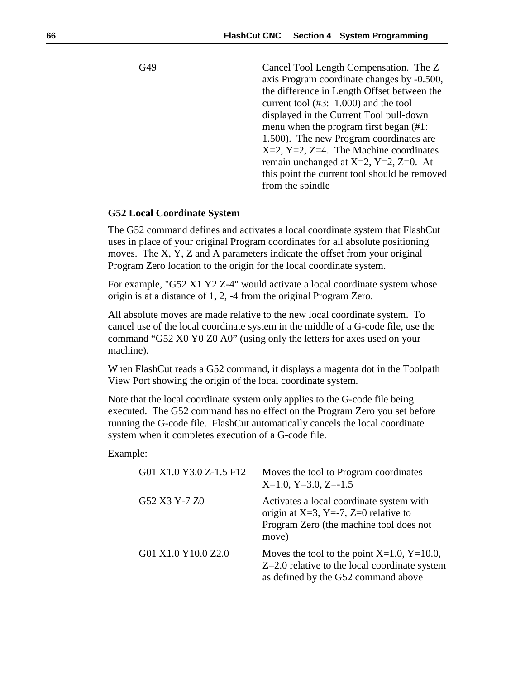G49 Cancel Tool Length Compensation. The Z axis Program coordinate changes by -0.500, the difference in Length Offset between the current tool (#3: 1.000) and the tool displayed in the Current Tool pull-down menu when the program first began (#1: 1.500). The new Program coordinates are X=2, Y=2, Z=4. The Machine coordinates remain unchanged at  $X=2$ ,  $Y=2$ ,  $Z=0$ . At this point the current tool should be removed from the spindle

#### **G52 Local Coordinate System**

The G52 command defines and activates a local coordinate system that FlashCut uses in place of your original Program coordinates for all absolute positioning moves. The X, Y, Z and A parameters indicate the offset from your original Program Zero location to the origin for the local coordinate system.

For example, "G52 X1 Y2 Z-4" would activate a local coordinate system whose origin is at a distance of 1, 2, -4 from the original Program Zero.

All absolute moves are made relative to the new local coordinate system. To cancel use of the local coordinate system in the middle of a G-code file, use the command "G52 X0 Y0 Z0 A0" (using only the letters for axes used on your machine).

When FlashCut reads a G52 command, it displays a magenta dot in the Toolpath View Port showing the origin of the local coordinate system.

Note that the local coordinate system only applies to the G-code file being executed. The G52 command has no effect on the Program Zero you set before running the G-code file. FlashCut automatically cancels the local coordinate system when it completes execution of a G-code file.

Example:

| G01 X1.0 Y3.0 Z-1.5 F12 | Moves the tool to Program coordinates<br>$X=1.0$ , $Y=3.0$ , $Z=-1.5$                                                                        |
|-------------------------|----------------------------------------------------------------------------------------------------------------------------------------------|
| G52 X3 Y-7 Z0           | Activates a local coordinate system with<br>origin at $X=3$ , $Y=-7$ , $Z=0$ relative to<br>Program Zero (the machine tool does not<br>move) |
| G01 X1.0 Y10.0 Z2.0     | Moves the tool to the point $X=1.0$ , $Y=10.0$ ,<br>$Z=2.0$ relative to the local coordinate system<br>as defined by the G52 command above   |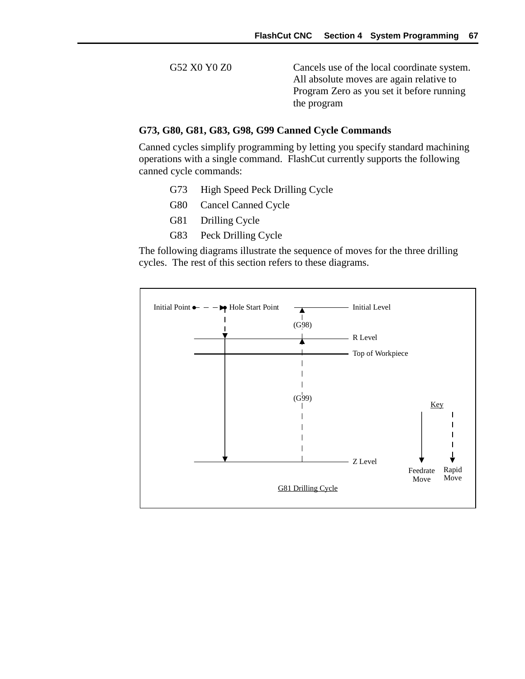G52 X0 Y0 Z0 Cancels use of the local coordinate system. All absolute moves are again relative to Program Zero as you set it before running the program

#### **G73, G80, G81, G83, G98, G99 Canned Cycle Commands**

Canned cycles simplify programming by letting you specify standard machining operations with a single command. FlashCut currently supports the following canned cycle commands:

- G73 High Speed Peck Drilling Cycle
- G80 Cancel Canned Cycle
- G81 Drilling Cycle
- G83 Peck Drilling Cycle

The following diagrams illustrate the sequence of moves for the three drilling cycles. The rest of this section refers to these diagrams.

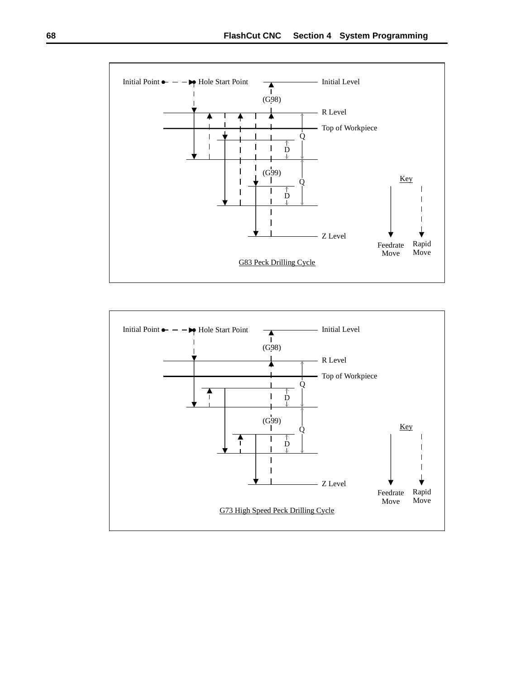

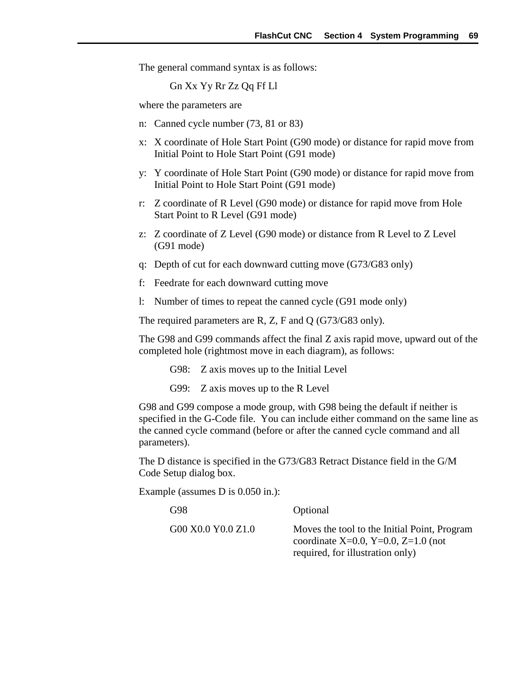The general command syntax is as follows:

Gn Xx Yy Rr Zz Qq Ff Ll

where the parameters are

- n: Canned cycle number (73, 81 or 83)
- x: X coordinate of Hole Start Point (G90 mode) or distance for rapid move from Initial Point to Hole Start Point (G91 mode)
- y: Y coordinate of Hole Start Point (G90 mode) or distance for rapid move from Initial Point to Hole Start Point (G91 mode)
- r: Z coordinate of R Level (G90 mode) or distance for rapid move from Hole Start Point to R Level (G91 mode)
- z: Z coordinate of Z Level (G90 mode) or distance from R Level to Z Level (G91 mode)
- q: Depth of cut for each downward cutting move (G73/G83 only)
- f: Feedrate for each downward cutting move
- l: Number of times to repeat the canned cycle (G91 mode only)

The required parameters are R, Z, F and Q (G73/G83 only).

The G98 and G99 commands affect the final Z axis rapid move, upward out of the completed hole (rightmost move in each diagram), as follows:

G98: Z axis moves up to the Initial Level

G99: Z axis moves up to the R Level

G98 and G99 compose a mode group, with G98 being the default if neither is specified in the G-Code file. You can include either command on the same line as the canned cycle command (before or after the canned cycle command and all parameters).

The D distance is specified in the G73/G83 Retract Distance field in the G/M Code Setup dialog box.

Example (assumes D is 0.050 in.):

G98 Optional G00 X0.0 Y0.0 Z1.0 Moves the tool to the Initial Point, Program coordinate X=0.0, Y=0.0, Z=1.0 (not required, for illustration only)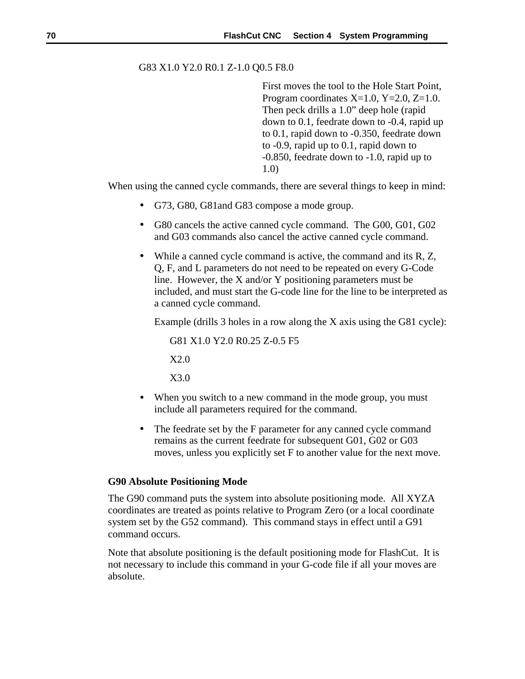### G83 X1.0 Y2.0 R0.1 Z-1.0 Q0.5 F8.0

First moves the tool to the Hole Start Point, Program coordinates  $X=1.0$ ,  $Y=2.0$ ,  $Z=1.0$ . Then peck drills a 1.0" deep hole (rapid down to 0.1, feedrate down to -0.4, rapid up to 0.1, rapid down to -0.350, feedrate down to -0.9, rapid up to 0.1, rapid down to -0.850, feedrate down to -1.0, rapid up to 1.0)

When using the canned cycle commands, there are several things to keep in mind:

- G73, G80, G81and G83 compose a mode group.
- G80 cancels the active canned cycle command. The G00, G01, G02 and G03 commands also cancel the active canned cycle command.
- While a canned cycle command is active, the command and its R, Z, Q, F, and L parameters do not need to be repeated on every G-Code line. However, the X and/or Y positioning parameters must be included, and must start the G-code line for the line to be interpreted as a canned cycle command.

Example (drills 3 holes in a row along the X axis using the G81 cycle):

G81 X1.0 Y2.0 R0.25 Z-0.5 F5 X2.0

X3.0

- When you switch to a new command in the mode group, you must include all parameters required for the command.
- The feedrate set by the F parameter for any canned cycle command remains as the current feedrate for subsequent G01, G02 or G03 moves, unless you explicitly set F to another value for the next move.

### **G90 Absolute Positioning Mode**

The G90 command puts the system into absolute positioning mode. All XYZA coordinates are treated as points relative to Program Zero (or a local coordinate system set by the G52 command). This command stays in effect until a G91 command occurs.

Note that absolute positioning is the default positioning mode for FlashCut. It is not necessary to include this command in your G-code file if all your moves are absolute.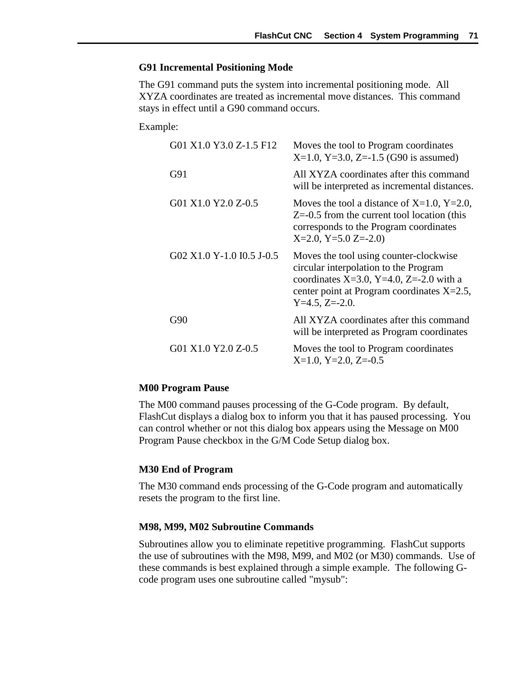#### **G91 Incremental Positioning Mode**

The G91 command puts the system into incremental positioning mode. All XYZA coordinates are treated as incremental move distances. This command stays in effect until a G90 command occurs.

Example:

| G01 X1.0 Y3.0 Z-1.5 F12   | Moves the tool to Program coordinates<br>$X=1.0$ , Y=3.0, Z=-1.5 (G90 is assumed)                                                                                                               |
|---------------------------|-------------------------------------------------------------------------------------------------------------------------------------------------------------------------------------------------|
| G91                       | All XYZA coordinates after this command<br>will be interpreted as incremental distances.                                                                                                        |
| G01 X1.0 Y2.0 Z-0.5       | Moves the tool a distance of X=1.0, Y=2.0,<br>$Z=0.5$ from the current tool location (this<br>corresponds to the Program coordinates<br>$X=2.0$ , $Y=5.0$ Z=-2.0)                               |
| G02 X1.0 Y-1.0 I0.5 J-0.5 | Moves the tool using counter-clockwise<br>circular interpolation to the Program<br>coordinates X=3.0, Y=4.0, Z=-2.0 with a<br>center point at Program coordinates $X=2.5$ ,<br>$Y=4.5, Z=-2.0.$ |
| G90                       | All XYZA coordinates after this command<br>will be interpreted as Program coordinates                                                                                                           |
| G01 X1.0 Y2.0 Z-0.5       | Moves the tool to Program coordinates<br>$X=1.0$ , $Y=2.0$ , $Z=-0.5$                                                                                                                           |

### **M00 Program Pause**

The M00 command pauses processing of the G-Code program. By default, FlashCut displays a dialog box to inform you that it has paused processing. You can control whether or not this dialog box appears using the Message on M00 Program Pause checkbox in the G/M Code Setup dialog box.

### **M30 End of Program**

The M30 command ends processing of the G-Code program and automatically resets the program to the first line.

### **M98, M99, M02 Subroutine Commands**

Subroutines allow you to eliminate repetitive programming. FlashCut supports the use of subroutines with the M98, M99, and M02 (or M30) commands. Use of these commands is best explained through a simple example. The following Gcode program uses one subroutine called "mysub":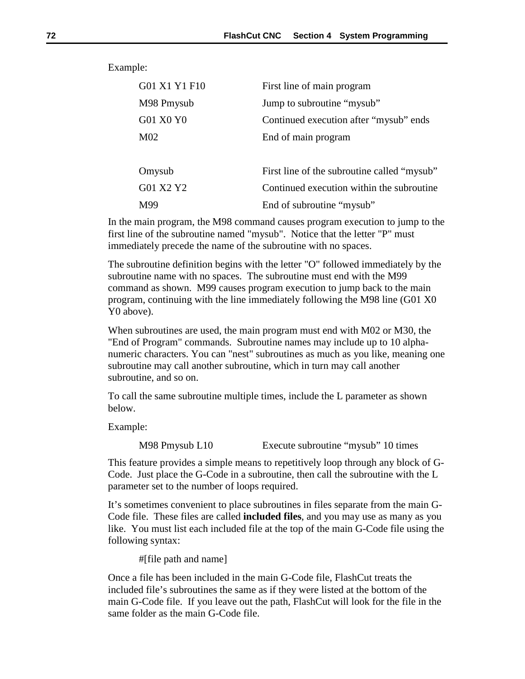Example:

| G01 X1 Y1 F10   | First line of main program                  |
|-----------------|---------------------------------------------|
| M98 Pmysub      | Jump to subroutine "mysub"                  |
| G01 X0 Y0       | Continued execution after "mysub" ends      |
| M <sub>02</sub> | End of main program                         |
|                 |                                             |
| Omysub          | First line of the subroutine called "mysub" |
| G01 X2 Y2       | Continued execution within the subroutine   |
| M99             | End of subroutine "mysub"                   |

In the main program, the M98 command causes program execution to jump to the first line of the subroutine named "mysub". Notice that the letter "P" must immediately precede the name of the subroutine with no spaces.

The subroutine definition begins with the letter "O" followed immediately by the subroutine name with no spaces. The subroutine must end with the M99 command as shown. M99 causes program execution to jump back to the main program, continuing with the line immediately following the M98 line (G01 X0 Y0 above).

When subroutines are used, the main program must end with M02 or M30, the "End of Program" commands. Subroutine names may include up to 10 alphanumeric characters. You can "nest" subroutines as much as you like, meaning one subroutine may call another subroutine, which in turn may call another subroutine, and so on.

To call the same subroutine multiple times, include the L parameter as shown below.

Example:

M98 Pmysub L10 Execute subroutine "mysub" 10 times

This feature provides a simple means to repetitively loop through any block of G-Code. Just place the G-Code in a subroutine, then call the subroutine with the L parameter set to the number of loops required.

It's sometimes convenient to place subroutines in files separate from the main G-Code file. These files are called **included files**, and you may use as many as you like. You must list each included file at the top of the main G-Code file using the following syntax:

#[file path and name]

Once a file has been included in the main G-Code file, FlashCut treats the included file's subroutines the same as if they were listed at the bottom of the main G-Code file. If you leave out the path, FlashCut will look for the file in the same folder as the main G-Code file.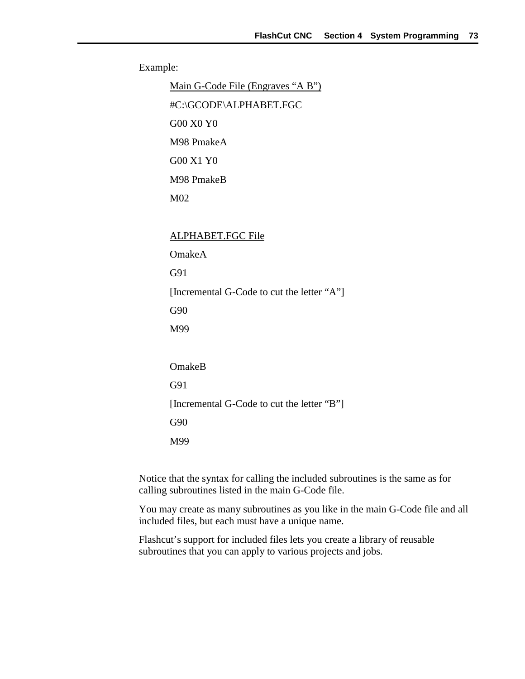Example:

Main G-Code File (Engraves "A B") #C:\GCODE\ALPHABET.FGC G00 X0 Y0 M98 PmakeA G00 X1 Y0 M98 PmakeB M02 ALPHABET.FGC File OmakeA G91 [Incremental G-Code to cut the letter "A"] G90 M99

OmakeB G91 [Incremental G-Code to cut the letter "B"] G90 M99

Notice that the syntax for calling the included subroutines is the same as for calling subroutines listed in the main G-Code file.

You may create as many subroutines as you like in the main G-Code file and all included files, but each must have a unique name.

Flashcut's support for included files lets you create a library of reusable subroutines that you can apply to various projects and jobs.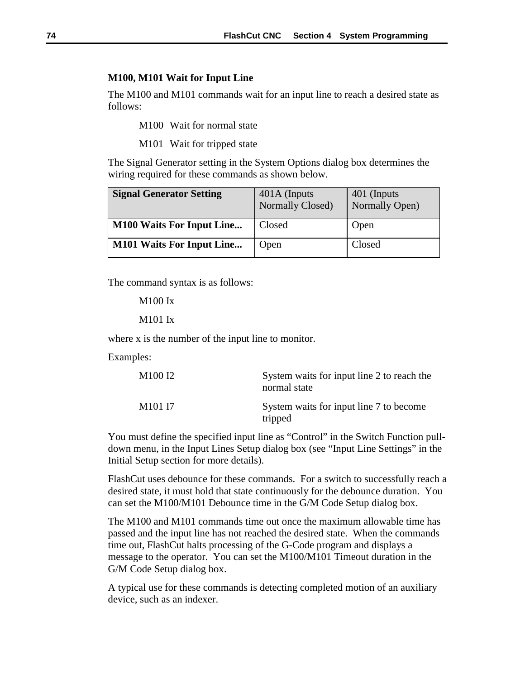#### **M100, M101 Wait for Input Line**

The M100 and M101 commands wait for an input line to reach a desired state as follows:

M100 Wait for normal state

M101 Wait for tripped state

The Signal Generator setting in the System Options dialog box determines the wiring required for these commands as shown below.

| <b>Signal Generator Setting</b>  | 401A (Inputs<br>Normally Closed) | 401 (Inputs)<br>Normally Open) |
|----------------------------------|----------------------------------|--------------------------------|
| <b>M100 Waits For Input Line</b> | Closed                           | Open                           |
| <b>M101 Waits For Input Line</b> | Open                             | Closed                         |

The command syntax is as follows:

M100 Ix

#### M101 Ix

where x is the number of the input line to monitor.

Examples:

| M <sub>100</sub> I <sub>2</sub> | System waits for input line 2 to reach the<br>normal state |
|---------------------------------|------------------------------------------------------------|
| M <sub>101</sub> I <sub>7</sub> | System waits for input line 7 to become<br>tripped         |

You must define the specified input line as "Control" in the Switch Function pulldown menu, in the Input Lines Setup dialog box (see "Input Line Settings" in the Initial Setup section for more details).

FlashCut uses debounce for these commands. For a switch to successfully reach a desired state, it must hold that state continuously for the debounce duration. You can set the M100/M101 Debounce time in the G/M Code Setup dialog box.

The M100 and M101 commands time out once the maximum allowable time has passed and the input line has not reached the desired state. When the commands time out, FlashCut halts processing of the G-Code program and displays a message to the operator. You can set the M100/M101 Timeout duration in the G/M Code Setup dialog box.

A typical use for these commands is detecting completed motion of an auxiliary device, such as an indexer.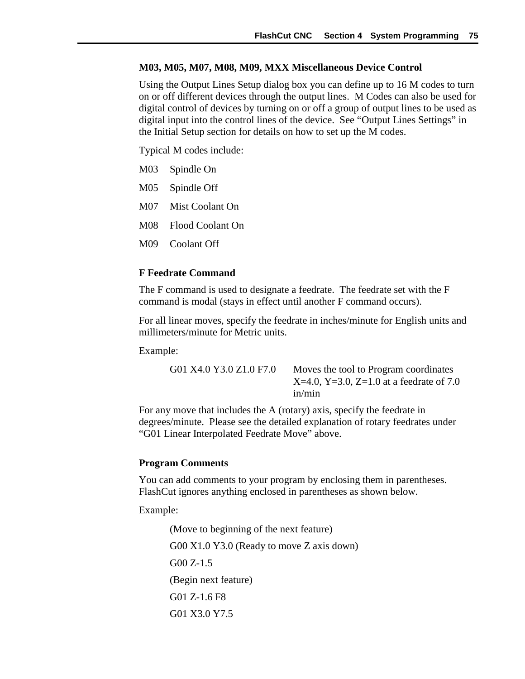#### **M03, M05, M07, M08, M09, MXX Miscellaneous Device Control**

Using the Output Lines Setup dialog box you can define up to 16 M codes to turn on or off different devices through the output lines. M Codes can also be used for digital control of devices by turning on or off a group of output lines to be used as digital input into the control lines of the device. See "Output Lines Settings" in the Initial Setup section for details on how to set up the M codes.

Typical M codes include:

- M03 Spindle On
- M05 Spindle Off
- M07 Mist Coolant On
- M08 Flood Coolant On
- M09 Coolant Off

### **F Feedrate Command**

The F command is used to designate a feedrate. The feedrate set with the F command is modal (stays in effect until another F command occurs).

For all linear moves, specify the feedrate in inches/minute for English units and millimeters/minute for Metric units.

Example:

G01 X4.0 Y3.0 Z1.0 F7.0 Moves the tool to Program coordinates  $X=4.0$ ,  $Y=3.0$ ,  $Z=1.0$  at a feedrate of 7.0 in/min

For any move that includes the A (rotary) axis, specify the feedrate in degrees/minute. Please see the detailed explanation of rotary feedrates under "G01 Linear Interpolated Feedrate Move" above.

### **Program Comments**

You can add comments to your program by enclosing them in parentheses. FlashCut ignores anything enclosed in parentheses as shown below.

Example:

(Move to beginning of the next feature) G00 X1.0 Y3.0 (Ready to move Z axis down) G00 Z-1.5 (Begin next feature) G01 Z-1.6 F8 G01 X3.0 Y7.5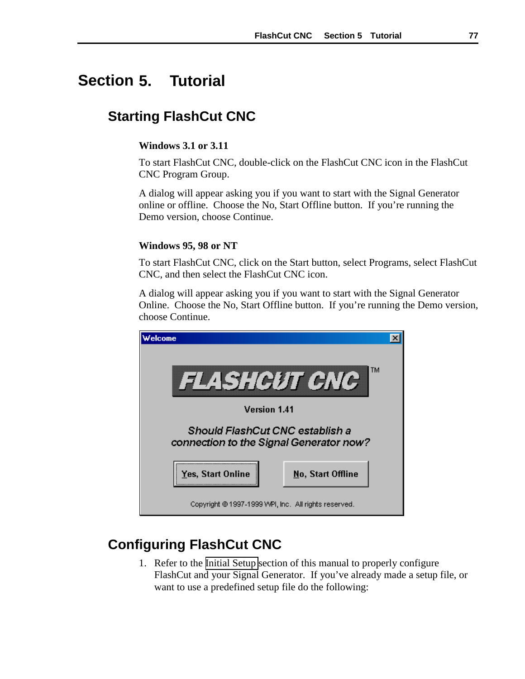# **5. Tutorial Section**

## **Starting FlashCut CNC**

### **Windows 3.1 or 3.11**

To start FlashCut CNC, double-click on the FlashCut CNC icon in the FlashCut CNC Program Group.

A dialog will appear asking you if you want to start with the Signal Generator online or offline. Choose the No, Start Offline button. If you're running the Demo version, choose Continue.

### **Windows 95, 98 or NT**

To start FlashCut CNC, click on the Start button, select Programs, select FlashCut CNC, and then select the FlashCut CNC icon.

A dialog will appear asking you if you want to start with the Signal Generator Online. Choose the No, Start Offline button. If you're running the Demo version, choose Continue.

| elcome                                                                     |  |  |  |  |
|----------------------------------------------------------------------------|--|--|--|--|
| ТM<br><b>FLASHCUT CNC</b>                                                  |  |  |  |  |
| <b>Version 1.41</b>                                                        |  |  |  |  |
| Should FlashCut CNC establish a<br>connection to the Signal Generator now? |  |  |  |  |
| <b>Yes, Start Online</b><br>No, Start Offline                              |  |  |  |  |
| Copyright © 1997-1999 WPI, Inc. All rights reserved.                       |  |  |  |  |

## **Configuring FlashCut CNC**

1. Refer to the [Initial Setup](#page-28-0) section of this manual to properly configure FlashCut and your Signal Generator. If you've already made a setup file, or want to use a predefined setup file do the following: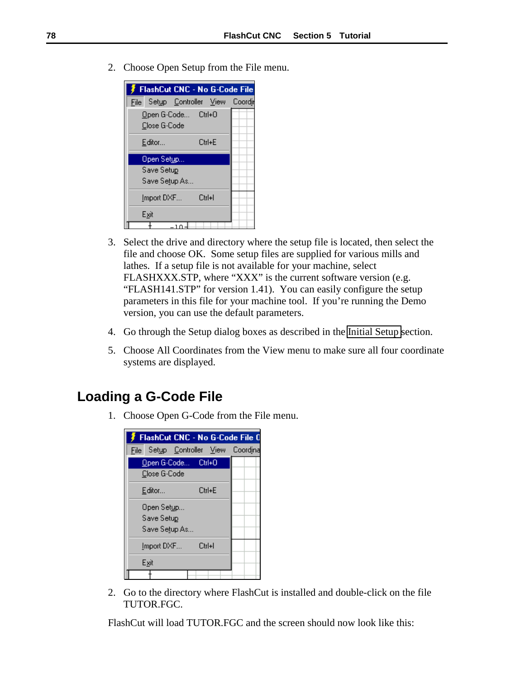2. Choose Open Setup from the File menu.



- 3. Select the drive and directory where the setup file is located, then select the file and choose OK. Some setup files are supplied for various mills and lathes. If a setup file is not available for your machine, select FLASHXXX.STP, where "XXX" is the current software version (e.g. "FLASH141.STP" for version 1.41). You can easily configure the setup parameters in this file for your machine tool. If you're running the Demo version, you can use the default parameters.
- 4. Go through the Setup dialog boxes as described in the [Initial Setup s](#page-28-0)ection.
- 5. Choose All Coordinates from the View menu to make sure all four coordinate systems are displayed.

## **Loading a G-Code File**

1. Choose Open G-Code from the File menu.



2. Go to the directory where FlashCut is installed and double-click on the file TUTOR.FGC.

FlashCut will load TUTOR.FGC and the screen should now look like this: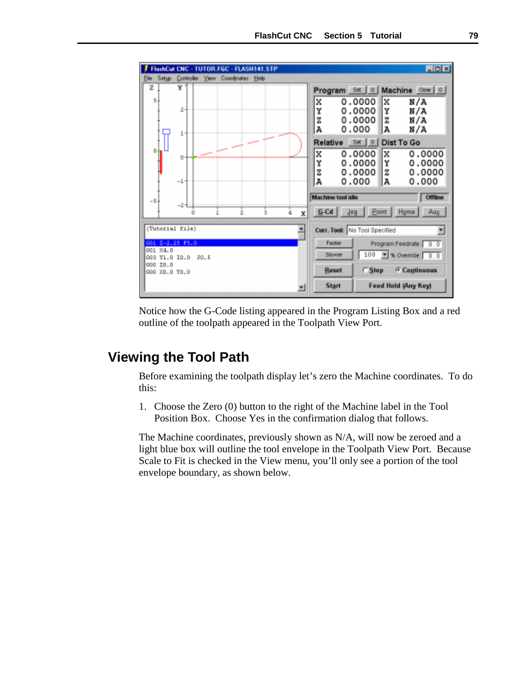

Notice how the G-Code listing appeared in the Program Listing Box and a red outline of the toolpath appeared in the Toolpath View Port.

## **Viewing the Tool Path**

Before examining the toolpath display let's zero the Machine coordinates. To do this:

1. Choose the Zero (0) button to the right of the Machine label in the Tool Position Box. Choose Yes in the confirmation dialog that follows.

The Machine coordinates, previously shown as N/A, will now be zeroed and a light blue box will outline the tool envelope in the Toolpath View Port. Because Scale to Fit is checked in the View menu, you'll only see a portion of the tool envelope boundary, as shown below.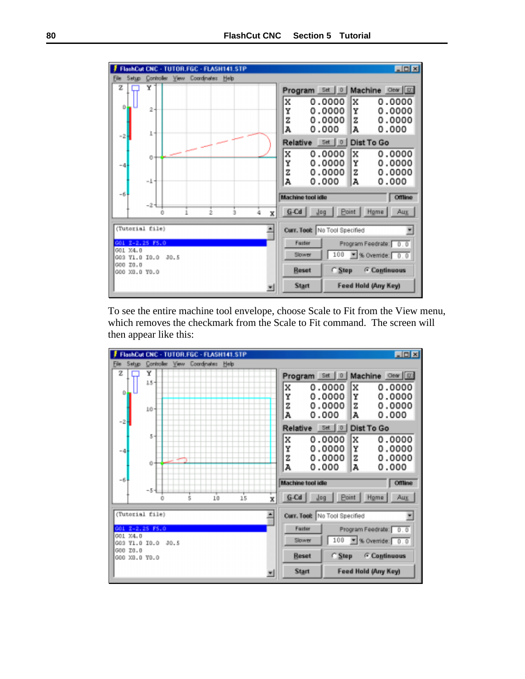

To see the entire machine tool envelope, choose Scale to Fit from the View menu, which removes the checkmark from the Scale to Fit command. The screen will then appear like this:

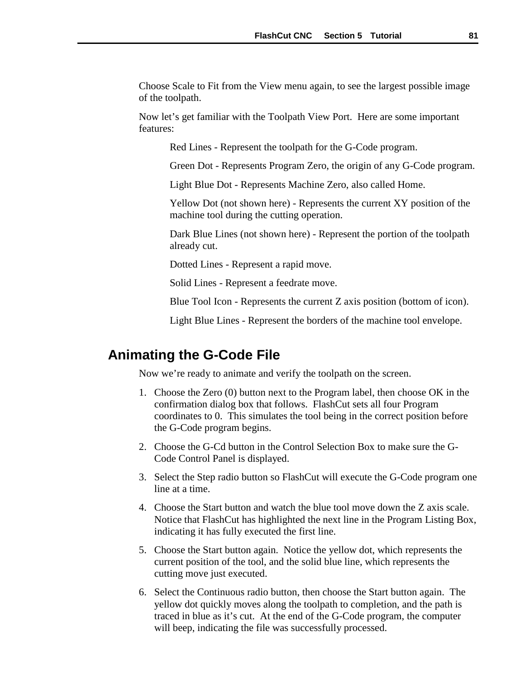Choose Scale to Fit from the View menu again, to see the largest possible image of the toolpath.

Now let's get familiar with the Toolpath View Port. Here are some important features:

Red Lines - Represent the toolpath for the G-Code program.

Green Dot - Represents Program Zero, the origin of any G-Code program.

Light Blue Dot - Represents Machine Zero, also called Home.

Yellow Dot (not shown here) - Represents the current XY position of the machine tool during the cutting operation.

Dark Blue Lines (not shown here) - Represent the portion of the toolpath already cut.

Dotted Lines - Represent a rapid move.

Solid Lines - Represent a feedrate move.

Blue Tool Icon - Represents the current Z axis position (bottom of icon).

Light Blue Lines - Represent the borders of the machine tool envelope.

## **Animating the G-Code File**

Now we're ready to animate and verify the toolpath on the screen.

- 1. Choose the Zero (0) button next to the Program label, then choose OK in the confirmation dialog box that follows. FlashCut sets all four Program coordinates to 0. This simulates the tool being in the correct position before the G-Code program begins.
- 2. Choose the G-Cd button in the Control Selection Box to make sure the G-Code Control Panel is displayed.
- 3. Select the Step radio button so FlashCut will execute the G-Code program one line at a time.
- 4. Choose the Start button and watch the blue tool move down the Z axis scale. Notice that FlashCut has highlighted the next line in the Program Listing Box, indicating it has fully executed the first line.
- 5. Choose the Start button again. Notice the yellow dot, which represents the current position of the tool, and the solid blue line, which represents the cutting move just executed.
- 6. Select the Continuous radio button, then choose the Start button again. The yellow dot quickly moves along the toolpath to completion, and the path is traced in blue as it's cut. At the end of the G-Code program, the computer will beep, indicating the file was successfully processed.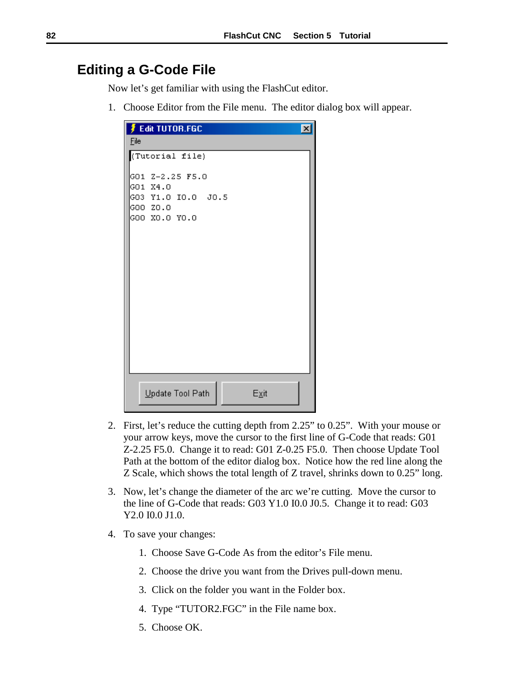## **Editing a G-Code File**

Now let's get familiar with using the FlashCut editor.

1. Choose Editor from the File menu. The editor dialog box will appear.

| <b>Fedit TUTOR FGC</b><br>$\boldsymbol{\mathsf{x}}$ |
|-----------------------------------------------------|
| Eile                                                |
| (Tutorial file)                                     |
| GO1 Z-2.25 F5.0                                     |
| GO1 X4.0                                            |
| GO3 Y1.O IO.O JO.5                                  |
| GOO ZO.O                                            |
| GOO XO.O YO.O                                       |
|                                                     |
|                                                     |
|                                                     |
|                                                     |
|                                                     |
|                                                     |
|                                                     |
|                                                     |
|                                                     |
|                                                     |
|                                                     |
|                                                     |
|                                                     |
| Update Tool Path<br>Exit                            |
|                                                     |

- 2. First, let's reduce the cutting depth from 2.25" to 0.25". With your mouse or your arrow keys, move the cursor to the first line of G-Code that reads: G01 Z-2.25 F5.0. Change it to read: G01 Z-0.25 F5.0. Then choose Update Tool Path at the bottom of the editor dialog box. Notice how the red line along the Z Scale, which shows the total length of Z travel, shrinks down to 0.25" long.
- 3. Now, let's change the diameter of the arc we're cutting. Move the cursor to the line of G-Code that reads: G03 Y1.0 I0.0 J0.5. Change it to read: G03 Y2.0 I0.0 J1.0.
- 4. To save your changes:
	- 1. Choose Save G-Code As from the editor's File menu.
	- 2. Choose the drive you want from the Drives pull-down menu.
	- 3. Click on the folder you want in the Folder box.
	- 4. Type "TUTOR2.FGC" in the File name box.
	- 5. Choose OK.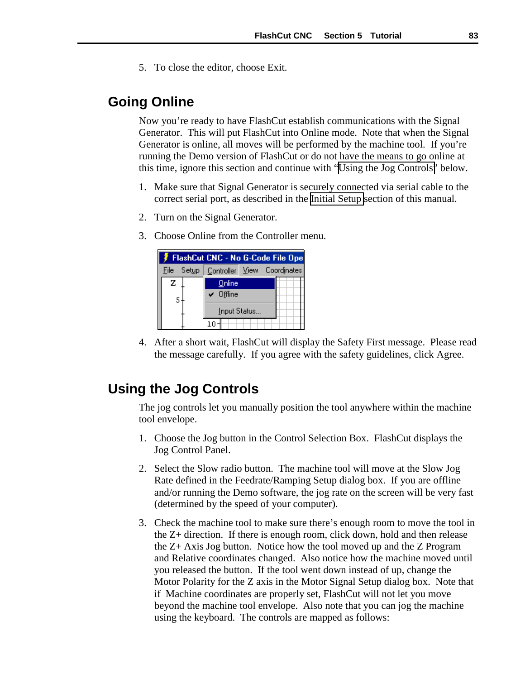5. To close the editor, choose Exit.

## **Going Online**

Now you're ready to have FlashCut establish communications with the Signal Generator. This will put FlashCut into Online mode. Note that when the Signal Generator is online, all moves will be performed by the machine tool. If you're running the Demo version of FlashCut or do not have the means to go online at this time, ignore this section and continue with "Using the Jog Controls" below.

- 1. Make sure that Signal Generator is securely connected via serial cable to the correct serial port, as described in the [Initial Setup](#page-28-0) section of this manual.
- 2. Turn on the Signal Generator.
- 3. Choose Online from the Controller menu.



4. After a short wait, FlashCut will display the Safety First message. Please read the message carefully. If you agree with the safety guidelines, click Agree.

## **Using the Jog Controls**

The jog controls let you manually position the tool anywhere within the machine tool envelope.

- 1. Choose the Jog button in the Control Selection Box. FlashCut displays the Jog Control Panel.
- 2. Select the Slow radio button. The machine tool will move at the Slow Jog Rate defined in the Feedrate/Ramping Setup dialog box. If you are offline and/or running the Demo software, the jog rate on the screen will be very fast (determined by the speed of your computer).
- 3. Check the machine tool to make sure there's enough room to move the tool in the Z+ direction. If there is enough room, click down, hold and then release the Z+ Axis Jog button. Notice how the tool moved up and the Z Program and Relative coordinates changed. Also notice how the machine moved until you released the button. If the tool went down instead of up, change the Motor Polarity for the Z axis in the Motor Signal Setup dialog box. Note that if Machine coordinates are properly set, FlashCut will not let you move beyond the machine tool envelope. Also note that you can jog the machine using the keyboard. The controls are mapped as follows: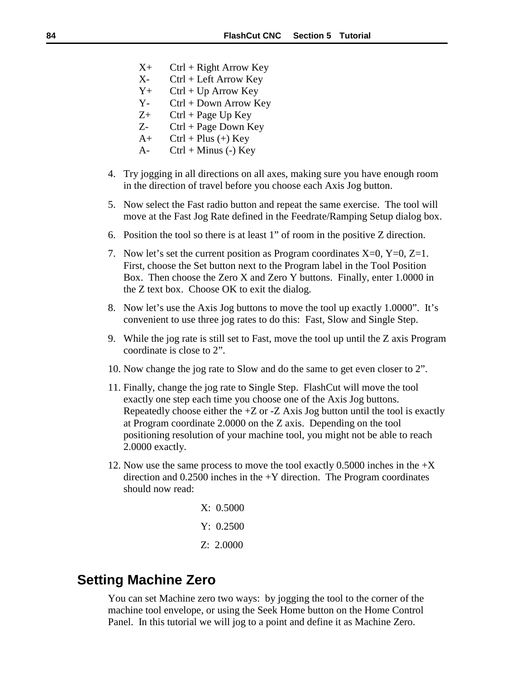- $X_+$  Ctrl + Right Arrow Key
- X- Ctrl + Left Arrow Key
- $Y_+$  Ctrl + Up Arrow Key
- Y- Ctrl + Down Arrow Key
- $Z+$  Ctrl + Page Up Key
- $Z$  Ctrl + Page Down Key
- $A+$  Ctrl + Plus (+) Key
- A-  $Ctrl + Minus (-) Key$
- 4. Try jogging in all directions on all axes, making sure you have enough room in the direction of travel before you choose each Axis Jog button.
- 5. Now select the Fast radio button and repeat the same exercise. The tool will move at the Fast Jog Rate defined in the Feedrate/Ramping Setup dialog box.
- 6. Position the tool so there is at least 1" of room in the positive Z direction.
- 7. Now let's set the current position as Program coordinates  $X=0$ ,  $Y=0$ ,  $Z=1$ . First, choose the Set button next to the Program label in the Tool Position Box. Then choose the Zero X and Zero Y buttons. Finally, enter 1.0000 in the Z text box. Choose OK to exit the dialog.
- 8. Now let's use the Axis Jog buttons to move the tool up exactly 1.0000". It's convenient to use three jog rates to do this: Fast, Slow and Single Step.
- 9. While the jog rate is still set to Fast, move the tool up until the Z axis Program coordinate is close to 2".
- 10. Now change the jog rate to Slow and do the same to get even closer to 2".
- 11. Finally, change the jog rate to Single Step. FlashCut will move the tool exactly one step each time you choose one of the Axis Jog buttons. Repeatedly choose either the  $+Z$  or  $-Z$  Axis Jog button until the tool is exactly at Program coordinate 2.0000 on the Z axis. Depending on the tool positioning resolution of your machine tool, you might not be able to reach 2.0000 exactly.
- 12. Now use the same process to move the tool exactly 0.5000 inches in the +X direction and  $0.2500$  inches in the  $+Y$  direction. The Program coordinates should now read:
	- X: 0.5000 Y: 0.2500 Z: 2.0000

## **Setting Machine Zero**

You can set Machine zero two ways: by jogging the tool to the corner of the machine tool envelope, or using the Seek Home button on the Home Control Panel. In this tutorial we will jog to a point and define it as Machine Zero.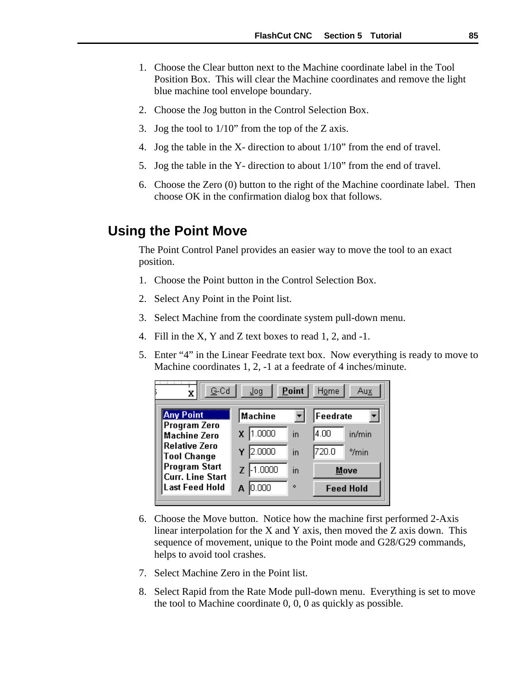- 1. Choose the Clear button next to the Machine coordinate label in the Tool Position Box. This will clear the Machine coordinates and remove the light blue machine tool envelope boundary.
- 2. Choose the Jog button in the Control Selection Box.
- 3. Jog the tool to 1/10" from the top of the Z axis.
- 4. Jog the table in the X- direction to about 1/10" from the end of travel.
- 5. Jog the table in the Y- direction to about 1/10" from the end of travel.
- 6. Choose the Zero (0) button to the right of the Machine coordinate label. Then choose OK in the confirmation dialog box that follows.

## **Using the Point Move**

The Point Control Panel provides an easier way to move the tool to an exact position.

- 1. Choose the Point button in the Control Selection Box.
- 2. Select Any Point in the Point list.
- 3. Select Machine from the coordinate system pull-down menu.
- 4. Fill in the X, Y and Z text boxes to read 1, 2, and -1.
- 5. Enter "4" in the Linear Feedrate text box. Now everything is ready to move to Machine coordinates 1, 2, -1 at a feedrate of 4 inches/minute.



- 6. Choose the Move button. Notice how the machine first performed 2-Axis linear interpolation for the X and Y axis, then moved the Z axis down. This sequence of movement, unique to the Point mode and G28/G29 commands, helps to avoid tool crashes.
- 7. Select Machine Zero in the Point list.
- 8. Select Rapid from the Rate Mode pull-down menu. Everything is set to move the tool to Machine coordinate 0, 0, 0 as quickly as possible.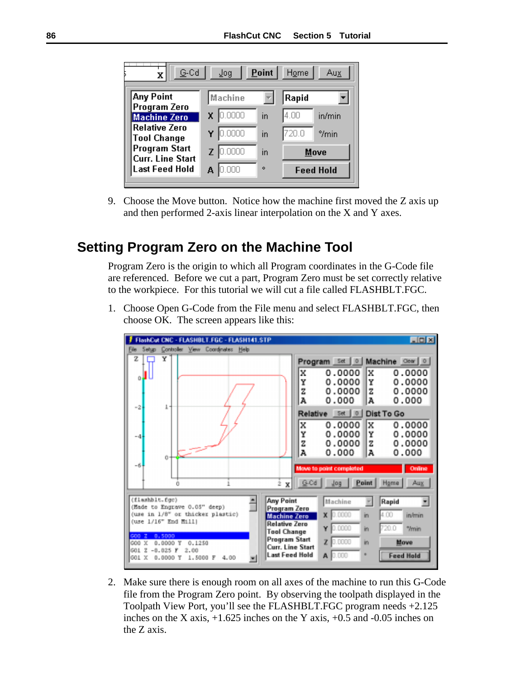<span id="page-89-0"></span>

| $G$ -Cd<br>X                                    | Jog     | Point | Home             | <u>Aux</u> |
|-------------------------------------------------|---------|-------|------------------|------------|
| Any Point                                       | Machine |       | Rapid            |            |
| Program Zero<br><b>Machine Zero</b>             | 0.0000  | in    | 4.00             | in/min     |
| <b>Relative Zero</b><br><b>Tool Change</b>      | 0.0000  | in    | 720.0            | $9/min$    |
| <b>Program Start</b><br><b>Curr. Line Start</b> | 0.0000  | in    | Move             |            |
| <b>Last Feed Hold</b>                           | 000     | ۰     | <b>Feed Hold</b> |            |

9. Choose the Move button. Notice how the machine first moved the Z axis up and then performed 2-axis linear interpolation on the X and Y axes.

## **Setting Program Zero on the Machine Tool**

Program Zero is the origin to which all Program coordinates in the G-Code file are referenced. Before we cut a part, Program Zero must be set correctly relative to the workpiece. For this tutorial we will cut a file called FLASHBLT.FGC.

1. Choose Open G-Code from the File menu and select FLASHBLT.FGC, then choose OK. The screen appears like this:



2. Make sure there is enough room on all axes of the machine to run this G-Code file from the Program Zero point. By observing the toolpath displayed in the Toolpath View Port, you'll see the FLASHBLT.FGC program needs +2.125 inches on the X axis,  $+1.625$  inches on the Y axis,  $+0.5$  and  $-0.05$  inches on the Z axis.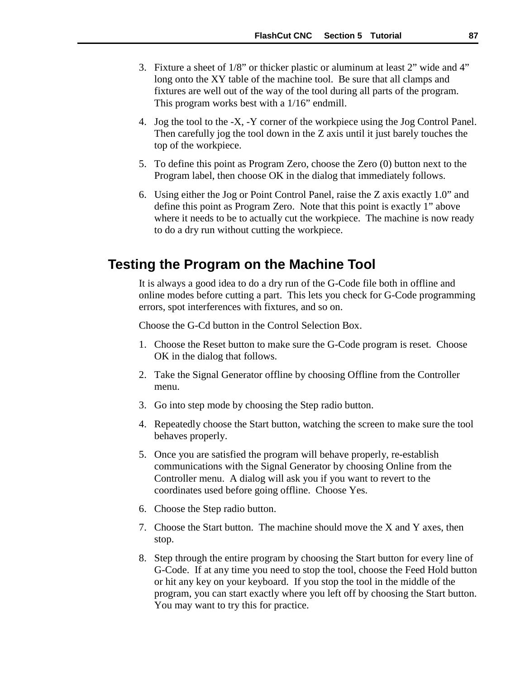- 3. Fixture a sheet of 1/8" or thicker plastic or aluminum at least 2" wide and 4" long onto the XY table of the machine tool. Be sure that all clamps and fixtures are well out of the way of the tool during all parts of the program. This program works best with a 1/16" endmill.
- 4. Jog the tool to the -X, -Y corner of the workpiece using the Jog Control Panel. Then carefully jog the tool down in the Z axis until it just barely touches the top of the workpiece.
- 5. To define this point as Program Zero, choose the Zero (0) button next to the Program label, then choose OK in the dialog that immediately follows.
- 6. Using either the Jog or Point Control Panel, raise the Z axis exactly 1.0" and define this point as Program Zero. Note that this point is exactly 1" above where it needs to be to actually cut the workpiece. The machine is now ready to do a dry run without cutting the workpiece.

### **Testing the Program on the Machine Tool**

It is always a good idea to do a dry run of the G-Code file both in offline and online modes before cutting a part. This lets you check for G-Code programming errors, spot interferences with fixtures, and so on.

Choose the G-Cd button in the Control Selection Box.

- 1. Choose the Reset button to make sure the G-Code program is reset. Choose OK in the dialog that follows.
- 2. Take the Signal Generator offline by choosing Offline from the Controller menu.
- 3. Go into step mode by choosing the Step radio button.
- 4. Repeatedly choose the Start button, watching the screen to make sure the tool behaves properly.
- 5. Once you are satisfied the program will behave properly, re-establish communications with the Signal Generator by choosing Online from the Controller menu. A dialog will ask you if you want to revert to the coordinates used before going offline. Choose Yes.
- 6. Choose the Step radio button.
- 7. Choose the Start button. The machine should move the X and Y axes, then stop.
- 8. Step through the entire program by choosing the Start button for every line of G-Code. If at any time you need to stop the tool, choose the Feed Hold button or hit any key on your keyboard. If you stop the tool in the middle of the program, you can start exactly where you left off by choosing the Start button. You may want to try this for practice.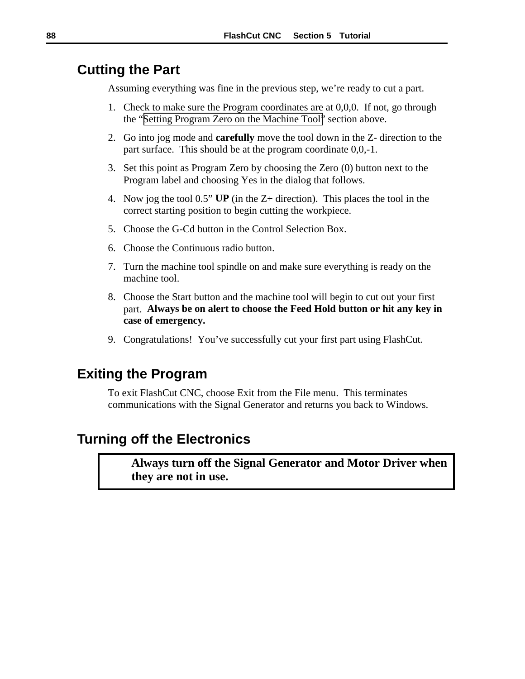## **Cutting the Part**

Assuming everything was fine in the previous step, we're ready to cut a part.

- 1. Check to make sure the Program coordinates are at 0,0,0. If not, go through the "[Setting Program Zero on the Machine Tool"](#page-89-0) section above.
- 2. Go into jog mode and **carefully** move the tool down in the Z- direction to the part surface. This should be at the program coordinate 0,0,-1.
- 3. Set this point as Program Zero by choosing the Zero (0) button next to the Program label and choosing Yes in the dialog that follows.
- 4. Now jog the tool 0.5" **UP** (in the Z+ direction). This places the tool in the correct starting position to begin cutting the workpiece.
- 5. Choose the G-Cd button in the Control Selection Box.
- 6. Choose the Continuous radio button.
- 7. Turn the machine tool spindle on and make sure everything is ready on the machine tool.
- 8. Choose the Start button and the machine tool will begin to cut out your first part. **Always be on alert to choose the Feed Hold button or hit any key in case of emergency.**
- 9. Congratulations! You've successfully cut your first part using FlashCut.

## **Exiting the Program**

To exit FlashCut CNC, choose Exit from the File menu. This terminates communications with the Signal Generator and returns you back to Windows.

## **Turning off the Electronics**

**Always turn off the Signal Generator and Motor Driver when they are not in use.**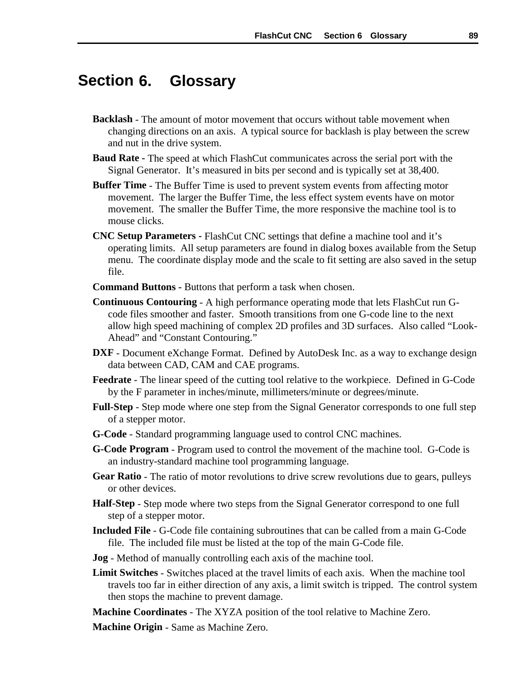#### **6. Glossary Section**

- **Backlash** The amount of motor movement that occurs without table movement when changing directions on an axis. A typical source for backlash is play between the screw and nut in the drive system.
- **Baud Rate -** The speed at which FlashCut communicates across the serial port with the Signal Generator. It's measured in bits per second and is typically set at 38,400.
- **Buffer Time** The Buffer Time is used to prevent system events from affecting motor movement. The larger the Buffer Time, the less effect system events have on motor movement. The smaller the Buffer Time, the more responsive the machine tool is to mouse clicks.
- **CNC Setup Parameters** FlashCut CNC settings that define a machine tool and it's operating limits. All setup parameters are found in dialog boxes available from the Setup menu. The coordinate display mode and the scale to fit setting are also saved in the setup file.
- **Command Buttons** Buttons that perform a task when chosen.
- **Continuous Contouring** A high performance operating mode that lets FlashCut run Gcode files smoother and faster. Smooth transitions from one G-code line to the next allow high speed machining of complex 2D profiles and 3D surfaces. Also called "Look-Ahead" and "Constant Contouring."
- **DXF** Document eXchange Format. Defined by AutoDesk Inc. as a way to exchange design data between CAD, CAM and CAE programs.
- **Feedrate** The linear speed of the cutting tool relative to the workpiece. Defined in G-Code by the F parameter in inches/minute, millimeters/minute or degrees/minute.
- **Full-Step** Step mode where one step from the Signal Generator corresponds to one full step of a stepper motor.
- **G-Code** Standard programming language used to control CNC machines.
- **G-Code Program** Program used to control the movement of the machine tool. G-Code is an industry-standard machine tool programming language.
- **Gear Ratio** The ratio of motor revolutions to drive screw revolutions due to gears, pulleys or other devices.
- **Half-Step** Step mode where two steps from the Signal Generator correspond to one full step of a stepper motor.
- **Included File**  G-Code file containing subroutines that can be called from a main G-Code file. The included file must be listed at the top of the main G-Code file.
- **Jog** Method of manually controlling each axis of the machine tool.
- **Limit Switches**  Switches placed at the travel limits of each axis. When the machine tool travels too far in either direction of any axis, a limit switch is tripped. The control system then stops the machine to prevent damage.
- **Machine Coordinates** The XYZA position of the tool relative to Machine Zero.

**Machine Origin** - Same as Machine Zero.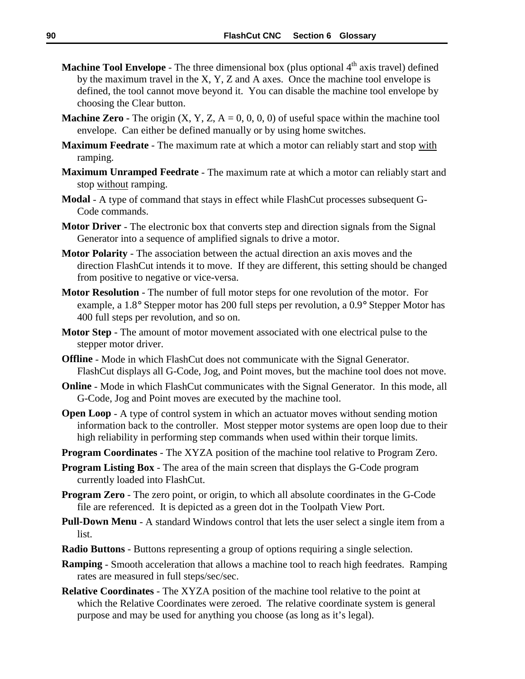- **Machine Tool Envelope** The three dimensional box (plus optional 4<sup>th</sup> axis travel) defined by the maximum travel in the X, Y, Z and A axes. Once the machine tool envelope is defined, the tool cannot move beyond it. You can disable the machine tool envelope by choosing the Clear button.
- **Machine Zero -** The origin  $(X, Y, Z, A = 0, 0, 0, 0)$  of useful space within the machine tool envelope. Can either be defined manually or by using home switches.
- **Maximum Feedrate**  The maximum rate at which a motor can reliably start and stop with ramping.
- **Maximum Unramped Feedrate**  The maximum rate at which a motor can reliably start and stop without ramping.
- **Modal** A type of command that stays in effect while FlashCut processes subsequent G-Code commands.
- **Motor Driver** The electronic box that converts step and direction signals from the Signal Generator into a sequence of amplified signals to drive a motor.
- **Motor Polarity** The association between the actual direction an axis moves and the direction FlashCut intends it to move. If they are different, this setting should be changed from positive to negative or vice-versa.
- **Motor Resolution** The number of full motor steps for one revolution of the motor. For example, a 1.8° Stepper motor has 200 full steps per revolution, a 0.9° Stepper Motor has 400 full steps per revolution, and so on.
- **Motor Step** The amount of motor movement associated with one electrical pulse to the stepper motor driver.
- **Offline** Mode in which FlashCut does not communicate with the Signal Generator. FlashCut displays all G-Code, Jog, and Point moves, but the machine tool does not move.
- **Online** Mode in which FlashCut communicates with the Signal Generator. In this mode, all G-Code, Jog and Point moves are executed by the machine tool.
- **Open Loop** A type of control system in which an actuator moves without sending motion information back to the controller. Most stepper motor systems are open loop due to their high reliability in performing step commands when used within their torque limits.
- **Program Coordinates** The XYZA position of the machine tool relative to Program Zero.
- **Program Listing Box** The area of the main screen that displays the G-Code program currently loaded into FlashCut.
- **Program Zero** The zero point, or origin, to which all absolute coordinates in the G-Code file are referenced. It is depicted as a green dot in the Toolpath View Port.
- **Pull-Down Menu** A standard Windows control that lets the user select a single item from a list.
- **Radio Buttons** Buttons representing a group of options requiring a single selection.
- **Ramping** Smooth acceleration that allows a machine tool to reach high feedrates. Ramping rates are measured in full steps/sec/sec.
- **Relative Coordinates** The XYZA position of the machine tool relative to the point at which the Relative Coordinates were zeroed. The relative coordinate system is general purpose and may be used for anything you choose (as long as it's legal).